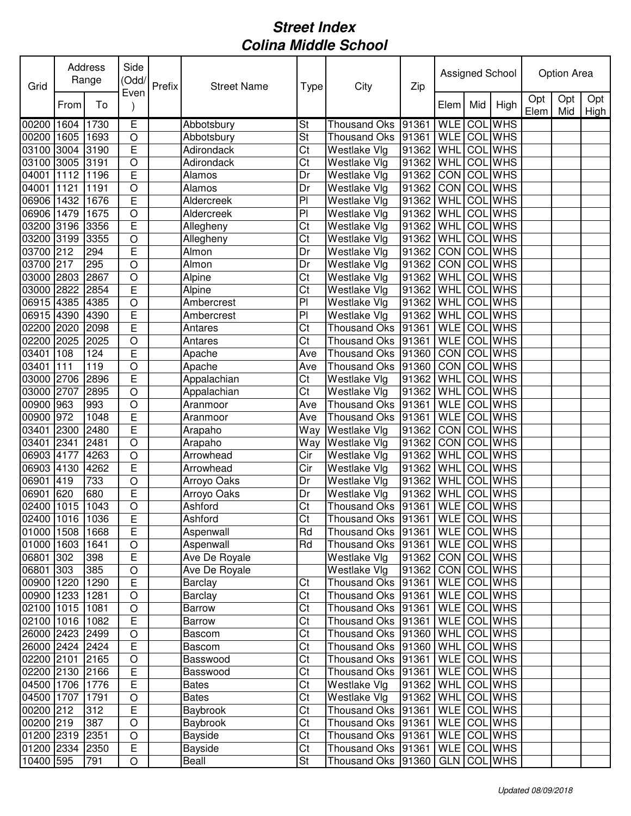| Grid            |      | Address<br>Range | Side<br>(Odd/<br>Even | Prefix | <b>Street Name</b> | Type                     | City                                 | Zip                   |                    |     | Assigned School |             | Option Area |             |
|-----------------|------|------------------|-----------------------|--------|--------------------|--------------------------|--------------------------------------|-----------------------|--------------------|-----|-----------------|-------------|-------------|-------------|
|                 | From | To               |                       |        |                    |                          |                                      |                       | Elem               | Mid | High            | Opt<br>Elem | Opt<br>Mid  | Opt<br>High |
| 00200 1604      |      | 1730             | Ē                     |        | Abbotsbury         | St                       | <b>Thousand Oks</b>                  | 91361                 | <b>WLE</b>         |     | <b>COL WHS</b>  |             |             |             |
| 00200 1605      |      | 1693             | $\bigcirc$            |        | Abbotsbury         | St                       | Thousand Oks                         | 91361                 | <b>WLE</b> COL WHS |     |                 |             |             |             |
| 03100 3004      |      | 3190             | E                     |        | Adirondack         | $\overline{\text{C}t}$   | Westlake Vlg                         | 91362                 | WHL                |     | <b>COL</b> WHS  |             |             |             |
| 03100           | 3005 | 3191             | $\circ$               |        | Adirondack         | Ct                       | Westlake Vlg                         | 91362                 | WHL                |     | COL WHS         |             |             |             |
| 04001           | 1112 | 1196             | E                     |        | Alamos             | Dr                       | Westlake Vlg                         | 91362                 | <b>CON</b>         | COL | <b>WHS</b>      |             |             |             |
| 04001           | 1121 | 1191             | $\circ$               |        | Alamos             | Dr                       | Westlake Vlg                         | 91362                 | CON                | COL | <b>WHS</b>      |             |             |             |
| 06906           | 1432 | 1676             | E                     |        | Aldercreek         | PI                       | Westlake Vlg                         | 91362                 | WHL                | COL | <b>WHS</b>      |             |             |             |
| 06906 1479      |      | 1675             | $\bigcirc$            |        | Aldercreek         | P <sub>1</sub>           | Westlake Vlg                         | 91362                 | WHL                | COL | <b>WHS</b>      |             |             |             |
| 03200 3196      |      | 3356             | E                     |        | Allegheny          | Ct                       | Westlake Vlg                         | 91362                 | <b>WHL</b>         |     | <b>COL</b> WHS  |             |             |             |
| 03200 3199      |      | 3355             | $\bigcirc$            |        | Allegheny          | Ct                       | Westlake Vlg                         | 91362                 | WHL                |     | <b>COL</b> WHS  |             |             |             |
| 03700 212       |      | 294              | E                     |        | Almon              | Dr                       | Westlake Vlg                         | 91362                 | CON                | COL | <b>WHS</b>      |             |             |             |
| 03700 217       |      | 295              | $\circ$               |        | Almon              | Dr                       | Westlake Vlg                         | 91362                 | CON                |     | <b>COL</b> WHS  |             |             |             |
| 03000 2803      |      | 2867             | $\circ$               |        | Alpine             | Ct                       | Westlake Vlg                         | 91362                 | WHL                |     | <b>COL</b> WHS  |             |             |             |
| 03000 2822      |      | 2854             | $\overline{E}$        |        | Alpine             | Ct                       | Westlake Vlg                         | 91362                 | WHL                | COL | <b>WHS</b>      |             |             |             |
| 06915 4385      |      | 4385             | $\circ$               |        | Ambercrest         | PI                       | Westlake Vlg                         | 91362                 | WHL                | COL | <b>WHS</b>      |             |             |             |
| 06915 4390      |      | 4390             | E                     |        | Ambercrest         | P <sub>1</sub>           | Westlake Vlg                         | 91362                 | WHL                | COL | <b>WHS</b>      |             |             |             |
| 02200 2020      |      | 2098             | $\overline{E}$        |        | Antares            | Ct                       | Thousand Oks 91361                   |                       | <b>WLE</b>         |     | <b>COL WHS</b>  |             |             |             |
| 02200 2025      |      | 2025             | $\bigcirc$            |        | Antares            | C <sub>t</sub>           | Thousand Oks 91361                   |                       | <b>WLE</b>         |     | <b>COL</b> WHS  |             |             |             |
| 03401           | 108  | 124              | E                     |        | Apache             | Ave                      | Thousand Oks                         | 91360                 | CON COL WHS        |     |                 |             |             |             |
| 03401           | 111  | 119              | $\overline{O}$        |        | Apache             | Ave                      | Thousand Oks                         | 91360                 | <b>CON</b>         |     | <b>COL</b> WHS  |             |             |             |
| 03000           | 2706 | 2896             | E                     |        | Appalachian        | Ct                       | Westlake Vlg                         | 91362                 | WHL                |     | <b>COL</b> WHS  |             |             |             |
| 03000           | 2707 | 2895             | $\overline{O}$        |        | Appalachian        | $\overline{\text{C}t}$   | Westlake Vlg                         | 91362                 | WHL                |     | <b>COL</b> WHS  |             |             |             |
| 00900           | 963  | 993              | $\overline{O}$        |        | Aranmoor           | Ave                      | Thousand Oks                         | 91361                 | <b>WLE</b>         |     | <b>COL</b> WHS  |             |             |             |
| 00900           | 972  | 1048             | E                     |        | Aranmoor           | Ave                      | Thousand Oks 91361                   |                       | <b>WLE</b>         |     | <b>COL</b> WHS  |             |             |             |
| 03401           | 2300 | 2480             | $\overline{E}$        |        | Arapaho            | Way                      | Westlake Vlg                         | 91362                 | <b>CON</b>         |     | <b>COL</b> WHS  |             |             |             |
| 03401           | 2341 | 2481             | $\circ$               |        | Arapaho            | Way                      | <b>Westlake Vlg</b>                  | 91362                 | CON COL WHS        |     |                 |             |             |             |
| 06903 4177      |      | 4263             | $\bigcirc$            |        | Arrowhead          | Cir                      | Westlake Vlg                         | 91362                 | WHL                |     | <b>COL</b> WHS  |             |             |             |
| 06903 4130      |      | 4262             | E                     |        | Arrowhead          | Cir                      | Westlake Vlg                         | 91362                 | WHL                |     | <b>COL</b> WHS  |             |             |             |
| 06901           | 419  | 733              | $\circ$               |        | Arroyo Oaks        | Dr                       | Westlake Vlg                         | 91362                 | WHL                |     | <b>COL</b> WHS  |             |             |             |
| 06901           | 620  | 680              | $\mathsf E$           |        | Arroyo Oaks        | Dr                       | Westlake Vlg                         | 91362                 | WHL                |     | <b>COL</b> WHS  |             |             |             |
| 02400 1015      |      | 1043             | $\circ$               |        | Ashford            | Ct                       | Thousand Oks 91361                   |                       | <b>WLE</b>         |     | <b>COL</b> WHS  |             |             |             |
| 02400 1016 1036 |      |                  | $\overline{E}$        |        | Ashford            | $\overline{\text{Ct}}$   | Thousand Oks 91361 WLE COL WHS       |                       |                    |     |                 |             |             |             |
| 01000 1508      |      | 1668             | E                     |        | Aspenwall          | Rd                       | Thousand Oks   91361   WLE   COL WHS |                       |                    |     |                 |             |             |             |
| 01000 1603 1641 |      |                  | $\mathsf O$           |        | Aspenwall          | Rd                       | Thousand Oks   91361   WLE   COL WHS |                       |                    |     |                 |             |             |             |
| 06801 302       |      | 398              | $\mathsf E$           |        | Ave De Royale      |                          | Westlake Vlg                         | 91362 CON COL WHS     |                    |     |                 |             |             |             |
| 06801 303       |      | 385              | $\mathsf O$           |        | Ave De Royale      |                          | Westlake Vlg                         | $ 91362 $ CON COL WHS |                    |     |                 |             |             |             |
| 00900 1220      |      | 1290             | $\overline{E}$        |        | Barclay            | Ct                       | Thousand Oks 91361                   |                       | WLE COL WHS        |     |                 |             |             |             |
| 00900 1233      |      | 1281             | $\bigcirc$            |        | Barclay            | Ct                       | Thousand Oks 91361                   |                       | WLE COL WHS        |     |                 |             |             |             |
| 02100 1015 1081 |      |                  | $\bigcirc$            |        | <b>Barrow</b>      | Ct                       | Thousand Oks 91361                   |                       | WLE COL WHS        |     |                 |             |             |             |
| 02100 1016 1082 |      |                  | $\overline{E}$        |        | <b>Barrow</b>      | Ct                       | Thousand Oks 91361                   |                       | WLE COL WHS        |     |                 |             |             |             |
| 26000 2423 2499 |      |                  | $\bigcirc$            |        | Bascom             | Ct                       | Thousand Oks   91360   WHL COL WHS   |                       |                    |     |                 |             |             |             |
| 26000 2424 2424 |      |                  | $\mathsf E$           |        | Bascom             | Ct                       | Thousand Oks   91360   WHL COL WHS   |                       |                    |     |                 |             |             |             |
| 02200 2101      |      | 2165             | $\bigcirc$            |        | Basswood           | Ct                       | Thousand Oks   91361                 |                       | WLE COL WHS        |     |                 |             |             |             |
| 02200 2130 2166 |      |                  | $\mathsf E$           |        | Basswood           | Ct                       | Thousand Oks  91361   WLE   COL WHS  |                       |                    |     |                 |             |             |             |
| 04500 1706 1776 |      |                  | $\mathsf E$           |        | <b>Bates</b>       | Ct                       | Westlake Vlg                         | 91362   WHL COL WHS   |                    |     |                 |             |             |             |
| 04500 1707      |      | 1791             | $\bigcirc$            |        | <b>Bates</b>       | Ct                       | Westlake Vlg                         | 91362   WHL COL WHS   |                    |     |                 |             |             |             |
| 00200 212       |      | 312              | $\overline{E}$        |        | Baybrook           | $\overline{\text{C}t}$   | Thousand Oks   91361   WLE   COL WHS |                       |                    |     |                 |             |             |             |
| 00200 219       |      | 387              | $\bigcirc$            |        | Baybrook           | $\overline{\text{C}t}$   | Thousand Oks  91361   WLE   COL WHS  |                       |                    |     |                 |             |             |             |
| 01200 2319 2351 |      |                  | $\bigcirc$            |        | Bayside            | $\overline{\text{C}t}$   | Thousand Oks   91361   WLE   COL WHS |                       |                    |     |                 |             |             |             |
| 01200 2334 2350 |      |                  | $\mathsf E$           |        | <b>Bayside</b>     | $\overline{\text{C}t}$   | Thousand Oks   91361   WLE   COL WHS |                       |                    |     |                 |             |             |             |
| 10400 595       |      | 791              | $\bigcirc$            |        | Beall              | $\overline{\mathsf{St}}$ | Thousand Oks   91360   GLN   COL WHS |                       |                    |     |                 |             |             |             |
|                 |      |                  |                       |        |                    |                          |                                      |                       |                    |     |                 |             |             |             |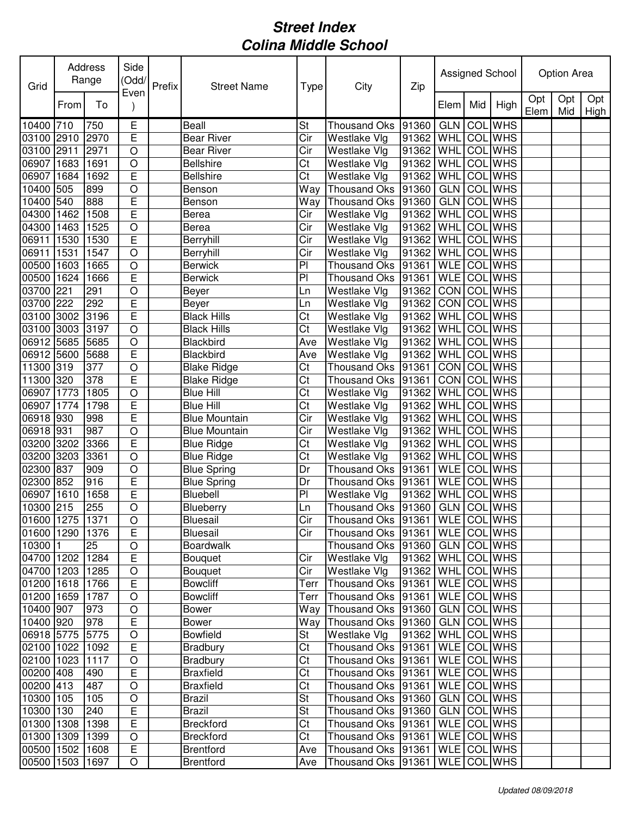| Grid            |      | Address<br>Range | Side<br>(Odd/<br>Even | Prefix | <b>Street Name</b>   | Type      | City                              | Zip   |             |     | Assigned School |             | Option Area |             |
|-----------------|------|------------------|-----------------------|--------|----------------------|-----------|-----------------------------------|-------|-------------|-----|-----------------|-------------|-------------|-------------|
|                 | From | To               |                       |        |                      |           |                                   |       | Elem        | Mid | High            | Opt<br>Elem | Opt<br>Mid  | Opt<br>High |
| 10400 710       |      | 750              | Ε                     |        | Beall                | <b>St</b> | <b>Thousand Oks</b>               | 91360 | <b>GLN</b>  |     | <b>COL</b> WHS  |             |             |             |
| 03100 2910      |      | 2970             | E                     |        | Bear River           | Cir       | Westlake Vlg                      | 91362 | WHL         |     | <b>COL</b> WHS  |             |             |             |
| 03100 2911      |      | 2971             | $\circ$               |        | Bear River           | Cir       | Westlake Vlg                      | 91362 | WHL         | COL | <b>WHS</b>      |             |             |             |
| 06907           | 1683 | 1691             | $\circ$               |        | <b>Bellshire</b>     | Ct        | Westlake Vlg                      | 91362 | WHL         | COL | <b>WHS</b>      |             |             |             |
| 06907           | 1684 | 1692             | E                     |        | <b>Bellshire</b>     | Ct        | Westlake Vlg                      | 91362 | WHL         | COL | <b>WHS</b>      |             |             |             |
| 10400 505       |      | 899              | $\circ$               |        | Benson               | Way       | Thousand Oks 91360                |       | <b>GLN</b>  |     | <b>COL</b> WHS  |             |             |             |
| 10400 540       |      | 888              | E                     |        | Benson               | Way       | <b>Thousand Oks</b>               | 91360 | <b>GLN</b>  |     | <b>COL</b> WHS  |             |             |             |
| 04300 1462      |      | 1508             | E                     |        | Berea                | Cir       | Westlake Vlg                      | 91362 | WHL         |     | <b>COL WHS</b>  |             |             |             |
| 04300 1463      |      | 1525             | $\circ$               |        | Berea                | Cir       | Westlake Vlg                      | 91362 | WHL         |     | <b>COL</b> WHS  |             |             |             |
| 06911           | 1530 | 1530             | E                     |        | Berryhill            | Cir       | Westlake Vlg                      | 91362 | WHL         | COL | <b>WHS</b>      |             |             |             |
| 06911 1531      |      | 1547             | $\circ$               |        | Berryhill            | Cir       | Westlake Vlg                      | 91362 | <b>WHL</b>  | COL | <b>WHS</b>      |             |             |             |
| 00500 1603      |      | 1665             | $\circ$               |        | <b>Berwick</b>       | PI        | Thousand Oks                      | 91361 | <b>WLE</b>  | COL | <b>WHS</b>      |             |             |             |
| 00500 1624      |      | 1666             | E                     |        | <b>Berwick</b>       | PI        | Thousand Oks 91361                |       | <b>WLE</b>  |     | <b>COL WHS</b>  |             |             |             |
| 03700 221       |      | 291              | $\circ$               |        | Beyer                | Ln        | Westlake Vlg                      | 91362 | <b>CON</b>  | COL | <b>WHS</b>      |             |             |             |
| 03700 222       |      | 292              | E                     |        | Beyer                | Ln        | Westlake VIg                      | 91362 | <b>CON</b>  |     | <b>COL WHS</b>  |             |             |             |
| 03100 3002      |      | 3196             | E                     |        | <b>Black Hills</b>   | Ct        | Westlake Vlg                      | 91362 | <b>WHL</b>  | COL | <b>WHS</b>      |             |             |             |
| 03100 3003      |      | 3197             | $\overline{O}$        |        | <b>Black Hills</b>   | Ct        | Westlake Vlg                      | 91362 | WHL         | COL | <b>WHS</b>      |             |             |             |
| 06912 5685      |      | 5685             | $\circ$               |        | Blackbird            | Ave       | Westlake Vlg                      | 91362 | WHL         | COL | <b>WHS</b>      |             |             |             |
| 06912 5600      |      | 5688             | E                     |        | Blackbird            | Ave       | Westlake Vlg                      | 91362 | WHL         | COL | <b>WHS</b>      |             |             |             |
| 11300 319       |      | 377              | $\circ$               |        | <b>Blake Ridge</b>   | Ct        | <b>Thousand Oks</b>               | 91361 | CON         | COL | <b>WHS</b>      |             |             |             |
| 11300 320       |      | 378              | E                     |        | <b>Blake Ridge</b>   | Ct        | Thousand Oks 91361                |       | CON         | COL | <b>WHS</b>      |             |             |             |
| 06907 1773      |      | 1805             | $\circ$               |        | <b>Blue Hill</b>     | Ct        | Westlake Vlg                      | 91362 | <b>WHL</b>  | COL | <b>WHS</b>      |             |             |             |
| 06907 1774      |      | 1798             | E                     |        | <b>Blue Hill</b>     | Ct        | Westlake Vlg                      | 91362 | WHL         |     | COL WHS         |             |             |             |
| 06918 930       |      | 998              | E                     |        | <b>Blue Mountain</b> | Cir       | Westlake Vlg                      | 91362 | WHL         | COL | <b>WHS</b>      |             |             |             |
| 06918 931       |      | 987              | $\circ$               |        | <b>Blue Mountain</b> | Cir       | Westlake VIg                      | 91362 | WHL         | COL | <b>WHS</b>      |             |             |             |
| 03200 3202      |      | 3366             | E                     |        | <b>Blue Ridge</b>    | Ct        | Westlake Vlg                      | 91362 | <b>WHL</b>  | COL | <b>WHS</b>      |             |             |             |
| 03200 3203      |      | 3361             | $\circ$               |        | <b>Blue Ridge</b>    | Ct        | Westlake Vlg                      | 91362 | WHL         | COL | <b>WHS</b>      |             |             |             |
| 02300 837       |      | 909              | $\circ$               |        | <b>Blue Spring</b>   | Dr        | <b>Thousand Oks</b>               | 91361 | <b>WLE</b>  | COL | <b>WHS</b>      |             |             |             |
| 02300 852       |      | 916              | E                     |        | <b>Blue Spring</b>   | Dr        | Thousand Oks 91361                |       | <b>WLE</b>  | COL | <b>WHS</b>      |             |             |             |
| 06907 1610      |      | 1658             | E                     |        | Bluebell             | PI        | Westlake Vlg                      | 91362 | <b>WHL</b>  |     | <b>COL</b> WHS  |             |             |             |
| 10300 215       |      | 255              | $\circ$               |        | Blueberry            | Ln        | Thousand Oks 91360                |       | GLN COL WHS |     |                 |             |             |             |
| 01600 1275 1371 |      |                  | $\overline{O}$        |        | <b>Bluesail</b>      | Cir       | Thousand Oks 91361 WLE COL WHS    |       |             |     |                 |             |             |             |
| 01600 1290      |      | 1376             | $\mathsf E$           |        | <b>Bluesail</b>      | Cir       | Thousand Oks  91361   WLE COL WHS |       |             |     |                 |             |             |             |
| 10300 1         |      | 25               | $\circ$               |        | <b>Boardwalk</b>     |           | Thousand Oks 91360                |       |             |     | GLN COL WHS     |             |             |             |
| 04700 1202      |      | 1284             | E                     |        | <b>Bouquet</b>       | Cir       | Westlake Vlg                      | 91362 |             |     | WHL COL WHS     |             |             |             |
| 04700 1203      |      | 1285             | $\circ$               |        | <b>Bouquet</b>       | Cir       | Westlake Vlg                      | 91362 | <b>WHL</b>  |     | <b>COL</b> WHS  |             |             |             |
| 01200 1618      |      | 1766             | $\mathsf E$           |        | <b>Bowcliff</b>      | Terr      | Thousand Oks 91361                |       |             |     | WLE COL WHS     |             |             |             |
| 01200 1659      |      | 1787             | $\circ$               |        | <b>Bowcliff</b>      | Terr      | Thousand Oks 91361                |       |             |     | WLE COL WHS     |             |             |             |
| 10400 907       |      | 973              | $\circ$               |        | Bower                | Way       | Thousand Oks 91360                |       | <b>GLN</b>  |     | COL WHS         |             |             |             |
| 10400 920       |      | 978              | $\mathsf E$           |        | Bower                | Way       | Thousand Oks 91360                |       | <b>GLN</b>  |     | COL WHS         |             |             |             |
| 06918 5775      |      | 5775             | $\circ$               |        | <b>Bowfield</b>      | St        | Westlake Vlg                      | 91362 | <b>WHL</b>  |     | <b>COL WHS</b>  |             |             |             |
| 02100 1022      |      | 1092             | $\mathsf E$           |        | Bradbury             | Ct        | Thousand Oks 91361                |       | WLE COL WHS |     |                 |             |             |             |
| 02100 1023      |      | 1117             | $\bigcirc$            |        | <b>Bradbury</b>      | Ct        | Thousand Oks 91361                |       |             |     | WLE COL WHS     |             |             |             |
| 00200 408       |      | 490              | $\mathsf E$           |        | <b>Braxfield</b>     | Ct        | Thousand Oks 91361                |       |             |     | WLE COL WHS     |             |             |             |
| 00200 413       |      | 487              | $\circ$               |        | <b>Braxfield</b>     | Ct        | Thousand Oks 91361                |       |             |     | WLE COL WHS     |             |             |             |
| 10300 105       |      | 105              | $\circ$               |        | <b>Brazil</b>        | St        | Thousand Oks 91360                |       |             |     | GLN COL WHS     |             |             |             |
| 10300 130       |      | 240              | $\mathsf E$           |        | <b>Brazil</b>        | St        | Thousand Oks 91360                |       |             |     | GLN COLWHS      |             |             |             |
| 01300 1308      |      | 1398             | $\mathsf E$           |        | <b>Breckford</b>     | Ct        | Thousand Oks 91361                |       |             |     | WLE COL WHS     |             |             |             |
| 01300 1309      |      | 1399             | $\circ$               |        | <b>Breckford</b>     | Ct        | Thousand Oks 91361                |       |             |     | WLE COL WHS     |             |             |             |
| 00500 1502      |      | 1608             | $\mathsf E$           |        | <b>Brentford</b>     | Ave       | Thousand Oks 91361                |       |             |     | WLE COL WHS     |             |             |             |
| 00500 1503      |      | 1697             | $\bigcirc$            |        | <b>Brentford</b>     | Ave       | Thousand Oks 91361                |       |             |     | WLE COL WHS     |             |             |             |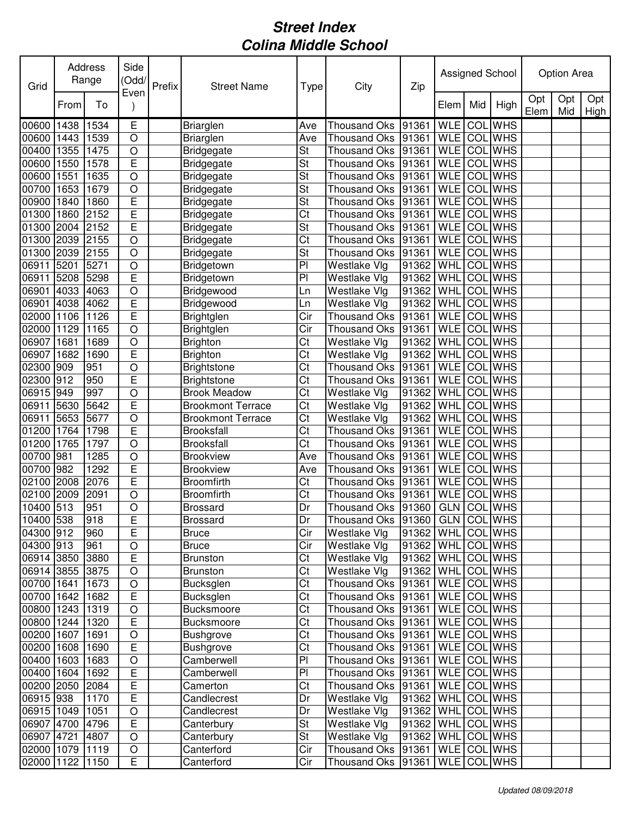| Grid            |      | Address<br>Range  | Side<br>(Odd/  | Prefix | <b>Street Name</b>       | Type                   | City                           | Zip                 |             |     | Assigned School |             | Option Area |             |
|-----------------|------|-------------------|----------------|--------|--------------------------|------------------------|--------------------------------|---------------------|-------------|-----|-----------------|-------------|-------------|-------------|
|                 | From | To                | Even           |        |                          |                        |                                |                     | Elem        | Mid | High            | Opt<br>Elem | Opt<br>Mid  | Opt<br>High |
| 00600           | 1438 | 1534              | Ε              |        | <b>Briarglen</b>         | Ave                    | <b>Thousand Oks</b>            | 91361               | <b>WLE</b>  | COL | <b>WHS</b>      |             |             |             |
| 00600           | 1443 | 1539              | $\circ$        |        | <b>Briarglen</b>         | Ave                    | <b>Thousand Oks</b>            | 91361               | <b>WLE</b>  | COL | <b>WHS</b>      |             |             |             |
| 00400           | 1355 | 1475              | $\circ$        |        | <b>Bridgegate</b>        | St                     | <b>Thousand Oks</b>            | 91361               | <b>WLE</b>  | COL | <b>WHS</b>      |             |             |             |
| 00600           | 1550 | 1578              | E              |        | <b>Bridgegate</b>        | St                     | <b>Thousand Oks</b>            | 91361               | <b>WLE</b>  | COL | <b>WHS</b>      |             |             |             |
| 00600           | 1551 | 1635              | $\circ$        |        | Bridgegate               | St                     | <b>Thousand Oks</b>            | 91361               | <b>WLE</b>  | COL | <b>WHS</b>      |             |             |             |
| 00700           | 1653 | 1679              | $\circ$        |        | Bridgegate               | St                     | <b>Thousand Oks</b>            | 91361               | <b>WLE</b>  |     | <b>COL</b> WHS  |             |             |             |
| 00900           | 1840 | 1860              | E              |        | <b>Bridgegate</b>        | St                     | <b>Thousand Oks</b>            | 91361               | <b>WLE</b>  | COL | <b>WHS</b>      |             |             |             |
| 01300           | 1860 | 2152              | E              |        | <b>Bridgegate</b>        | Ct                     | <b>Thousand Oks</b>            | 91361               | <b>WLE</b>  | COL | <b>WHS</b>      |             |             |             |
| 01300           | 2004 | 2152              | E              |        | <b>Bridgegate</b>        | St                     | <b>Thousand Oks</b>            | 91361               | <b>WLE</b>  | COL | <b>WHS</b>      |             |             |             |
| 01300           | 2039 | $21\overline{55}$ | $\circ$        |        | <b>Bridgegate</b>        | $\overline{\text{C}t}$ | <b>Thousand Oks</b>            | 91361               | <b>WLE</b>  | COL | <b>WHS</b>      |             |             |             |
| 01300           | 2039 | 2155              | $\circ$        |        | <b>Bridgegate</b>        | St                     | <b>Thousand Oks</b>            | 91361               | <b>WLE</b>  | COL | <b>WHS</b>      |             |             |             |
| 06911           | 5201 | 5271              | $\circ$        |        | Bridgetown               | $\overline{P}$         | Westlake Vlg                   | 91362               | WHL         | COL | <b>WHS</b>      |             |             |             |
| 06911           | 5208 | 5298              | E              |        | Bridgetown               | P <sub>1</sub>         | Westlake Vlg                   | 91362               | WHL         | COL | <b>WHS</b>      |             |             |             |
| 06901           | 4033 | 4063              | $\bigcirc$     |        | Bridgewood               | Ln                     | Westlake Vlg                   | 91362               | WHL         | COL | <b>WHS</b>      |             |             |             |
| 06901           | 4038 | 4062              | E              |        | Bridgewood               | Ln                     | Westlake Vlg                   | 91362               | WHL         |     | <b>COL</b> WHS  |             |             |             |
| 02000           | 1106 | 1126              | E              |        | Brightglen               | Cir                    | <b>Thousand Oks</b>            | 91361               | <b>WLE</b>  | COL | <b>WHS</b>      |             |             |             |
| 02000           | 1129 | 1165              | $\overline{O}$ |        | Brightglen               | Cir                    | <b>Thousand Oks</b>            | 91361               | <b>WLE</b>  | COL | <b>WHS</b>      |             |             |             |
| 06907           | 1681 | 1689              | $\circ$        |        | <b>Brighton</b>          | Ct                     | Westlake Vlg                   | 91362               | WHL         | COL | <b>WHS</b>      |             |             |             |
| 06907           | 1682 | 1690              | E              |        | Brighton                 | Ct                     | Westlake Vlg                   | 91362               | WHL         | COL | <b>WHS</b>      |             |             |             |
| 02300           | 909  | 951               | $\circ$        |        | <b>Brightstone</b>       | Ct                     | <b>Thousand Oks</b>            | 91361               | <b>WLE</b>  | COL | <b>WHS</b>      |             |             |             |
| 02300           | 912  | 950               | E              |        | <b>Brightstone</b>       | Ct                     | <b>Thousand Oks</b>            | 91361               | <b>WLE</b>  | COL | <b>WHS</b>      |             |             |             |
| 06915           | 949  | 997               | $\circ$        |        | <b>Brook Meadow</b>      | Ct                     | Westlake Vlg                   | 91362               | WHL         | COL | <b>WHS</b>      |             |             |             |
| 06911           | 5630 | 5642              | E              |        | <b>Brookmont Terrace</b> | Ct                     | Westlake Vlg                   | 91362               | WHL         | COL | <b>WHS</b>      |             |             |             |
| 06911           | 5653 | 5677              | $\circ$        |        | <b>Brookmont Terrace</b> | Ct                     | Westlake Vlg                   | 91362               | WHL         | COL | <b>WHS</b>      |             |             |             |
| 01200           | 1764 | 1798              | E              |        | <b>Brooksfall</b>        | Ct                     | <b>Thousand Oks</b>            | 91361               | <b>WLE</b>  | COL | <b>WHS</b>      |             |             |             |
| 01200           | 1765 | 1797              | $\circ$        |        | Brooksfall               | Ct                     | <b>Thousand Oks</b>            | 91361               | <b>WLE</b>  | COL | <b>WHS</b>      |             |             |             |
| 00700           | 981  | 1285              | $\circ$        |        | <b>Brookview</b>         | Ave                    | <b>Thousand Oks</b>            | 91361               | <b>WLE</b>  | COL | <b>WHS</b>      |             |             |             |
| 00700           | 982  | 1292              | E              |        | <b>Brookview</b>         | Ave                    | <b>Thousand Oks</b>            | 91361               | <b>WLE</b>  | COL | <b>WHS</b>      |             |             |             |
| 02100           | 2008 | 2076              | E              |        | Broomfirth               | Ct                     | <b>Thousand Oks</b>            | 91361               | <b>WLE</b>  | COL | <b>WHS</b>      |             |             |             |
| 02100           | 2009 | 2091              | $\circ$        |        | Broomfirth               | Ct                     | Thousand Oks                   | 91361               | <b>WLE</b>  | COL | <b>WHS</b>      |             |             |             |
| 10400 513       |      | 951               | $\circ$        |        | Brossard                 | Dr                     | Thousand Oks 91360             |                     | <b>GLN</b>  |     | <b>COL</b> WHS  |             |             |             |
| 10400 538       |      | 918               | E              |        | <b>Brossard</b>          | Dr                     | Thousand Oks 91360 GLN COL WHS |                     |             |     |                 |             |             |             |
| 04300 912       |      | 960               | E              |        | <b>Bruce</b>             | Cir                    | Westlake Vlg                   | $91362$ WHL COL WHS |             |     |                 |             |             |             |
| 04300 913       |      | 961               | $\mathsf O$    |        | <b>Bruce</b>             | Cir                    | Westlake Vlg                   | $91362$ WHL COL WHS |             |     |                 |             |             |             |
| 06914 3850 3880 |      |                   | $\overline{E}$ |        | <b>Brunston</b>          | Ct                     | Westlake Vlg                   | 91362 WHL COL WHS   |             |     |                 |             |             |             |
| 06914 3855 3875 |      |                   | $\circ$        |        | <b>Brunston</b>          | Ct                     | Westlake Vlg                   | 91362   WHL COL WHS |             |     |                 |             |             |             |
| 00700 1641      |      | 1673              | $\bigcirc$     |        | Bucksglen                | Ct                     | Thousand Oks 91361             |                     | WLE COL WHS |     |                 |             |             |             |
| 00700 1642      |      | 1682              | $\mathsf E$    |        | Bucksglen                | Ct                     | Thousand Oks 91361             |                     | WLE COL WHS |     |                 |             |             |             |
| 00800 1243      |      | 1319              | $\bigcirc$     |        | Bucksmoore               | $\overline{\text{C}t}$ | Thousand Oks 91361             |                     | WLE COL WHS |     |                 |             |             |             |
| 00800 1244      |      | 1320              | $\overline{E}$ |        | Bucksmoore               | Ct                     | Thousand Oks 91361             |                     | WLE COL WHS |     |                 |             |             |             |
| 00200 1607      |      | 1691              | $\bigcirc$     |        | <b>Bushgrove</b>         | Ct                     | Thousand Oks 91361             |                     | WLE COL WHS |     |                 |             |             |             |
| 00200 1608      |      | 1690              | $\overline{E}$ |        | <b>Bushgrove</b>         | Ct                     | Thousand Oks 91361             |                     | WLE COL WHS |     |                 |             |             |             |
| 00400 1603      |      | 1683              | $\bigcirc$     |        | Camberwell               | PI                     | Thousand Oks 91361             |                     | WLE COL WHS |     |                 |             |             |             |
| 00400 1604      |      | 1692              | $\mathsf E$    |        | Camberwell               | PI                     | Thousand Oks 91361             |                     | WLE COL WHS |     |                 |             |             |             |
| 00200 2050 2084 |      |                   | $\mathsf E$    |        | Camerton                 | Ct                     | Thousand Oks 91361             |                     | WLE COL WHS |     |                 |             |             |             |
| 06915 938       |      | 1170              | E              |        | Candlecrest              | Dr                     | Westlake Vlg                   | 91362   WHL COL WHS |             |     |                 |             |             |             |
| 06915 1049      |      | 1051              | $\bigcirc$     |        | Candlecrest              | Dr                     | Westlake Vlg                   | 91362   WHL COL WHS |             |     |                 |             |             |             |
| 06907 4700 4796 |      |                   | $\mathsf E$    |        | Canterbury               | St                     | Westlake Vlg                   | 91362   WHL COL WHS |             |     |                 |             |             |             |
| 06907 4721      |      | 4807              | $\mathsf O$    |        | Canterbury               | St                     | Westlake Vlg                   | 91362               | WHL COL WHS |     |                 |             |             |             |
| 02000 1079 1119 |      |                   | $\mathsf O$    |        | Canterford               | Cir                    | Thousand Oks 91361             |                     | WLE COL WHS |     |                 |             |             |             |
| 02000 1122 1150 |      |                   | E              |        | Canterford               | Cir                    | Thousand Oks 91361             |                     | WLE COL WHS |     |                 |             |             |             |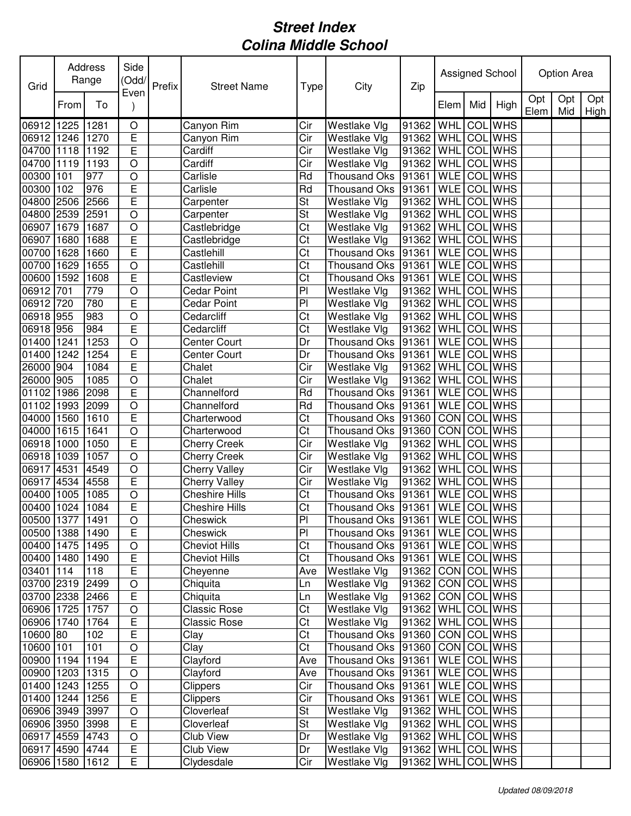| Grid            |      | Address<br>Range | Side<br>(Odd/           | Prefix | <b>Street Name</b>    | Type                   | City                                 | Zip                 |                    |     | Assigned School |             | <b>Option Area</b> |             |
|-----------------|------|------------------|-------------------------|--------|-----------------------|------------------------|--------------------------------------|---------------------|--------------------|-----|-----------------|-------------|--------------------|-------------|
|                 | From | To               | Even                    |        |                       |                        |                                      |                     | Elem               | Mid | High            | Opt<br>Elem | Opt<br>Mid         | Opt<br>High |
| 06912 1225      |      | 1281             | O                       |        | Canyon Rim            | Cir                    | Westlake Vlg                         | 91362               | WHL                | COL | <b>WHS</b>      |             |                    |             |
| 06912 1246      |      | 1270             | $\overline{E}$          |        | Canyon Rim            | Cir                    | Westlake Vlg                         | 91362               | WHL                | COL | <b>WHS</b>      |             |                    |             |
| 04700 1118      |      | 1192             | E                       |        | Cardiff               | Cir                    | Westlake Vlg                         | 91362               | WHL                | COL | <b>WHS</b>      |             |                    |             |
| 04700 1119      |      | 1193             | $\circ$                 |        | Cardiff               | Cir                    | Westlake Vlg                         | 91362               | WHL                |     | <b>COL</b> WHS  |             |                    |             |
| 00300 101       |      | 977              | $\bigcirc$              |        | Carlisle              | Rd                     | <b>Thousand Oks</b>                  | 91361               | <b>WLE</b>         |     | COL WHS         |             |                    |             |
| 00300 102       |      | 976              | E                       |        | Carlisle              | Rd                     | <b>Thousand Oks</b>                  | 91361               | <b>WLE</b>         | COL | <b>WHS</b>      |             |                    |             |
| 04800 2506      |      | 2566             | E                       |        | Carpenter             | St                     | Westlake Vlg                         | 91362               | WHL                |     | COL WHS         |             |                    |             |
| 04800           | 2539 | 2591             | $\circ$                 |        | Carpenter             | St                     | Westlake Vlg                         | 91362               | WHL                |     | <b>COL</b> WHS  |             |                    |             |
| 06907           | 1679 | 1687             | $\circ$                 |        | Castlebridge          | $\overline{\text{C}t}$ | Westlake Vlg                         | 91362               | WHL                |     | <b>COL</b> WHS  |             |                    |             |
| 06907           | 1680 | 1688             | Ε                       |        | Castlebridge          | Ct                     | Westlake Vlg                         | 91362               | WHL                |     | <b>COL</b> WHS  |             |                    |             |
| 00700           | 1628 | 1660             | E                       |        | Castlehill            | $\overline{\text{C}t}$ | Thousand Oks                         | 91361               | <b>WLE</b>         | COL | <b>WHS</b>      |             |                    |             |
| 00700 1629      |      | 1655             | $\bigcirc$              |        | Castlehill            | Ct                     | Thousand Oks                         | 91361               | <b>WLE</b>         |     | <b>COL WHS</b>  |             |                    |             |
| 00600 1592      |      | 1608             | E                       |        | Castleview            | $\overline{C}t$        | Thousand Oks 91361                   |                     | <b>WLE</b>         |     | <b>COL WHS</b>  |             |                    |             |
| 06912 701       |      | 779              | $\overline{O}$          |        | Cedar Point           | $\overline{P}$         | Westlake Vlg                         | 91362               | <b>WHL</b>         |     | <b>COL</b> WHS  |             |                    |             |
| 06912           | 720  | 780              | E                       |        | Cedar Point           | $\overline{P}$         | Westlake Vlg                         | 91362               | WHL                |     | <b>COL</b> WHS  |             |                    |             |
| 06918 955       |      | 983              | $\overline{O}$          |        | Cedarcliff            | Ct                     | Westlake Vlg                         | 91362               | WHL                |     | <b>COL</b> WHS  |             |                    |             |
| 06918 956       |      | 984              | $\overline{\mathsf{E}}$ |        | Cedarcliff            | Ct                     | Westlake Vlg                         | 91362               | WHL                |     | <b>COL</b> WHS  |             |                    |             |
| 01400           | 1241 | 1253             | $\circ$                 |        | Center Court          | Dr                     | <b>Thousand Oks</b>                  | 91361               | <b>WLE</b>         |     | <b>COL</b> WHS  |             |                    |             |
| 01400           | 1242 | 1254             | E                       |        | Center Court          | Dr                     | Thousand Oks                         | 91361               | <b>WLE</b>         | COL | <b>WHS</b>      |             |                    |             |
| 26000           | 904  | 1084             | E                       |        | Chalet                | Cir                    | Westlake Vlg                         | 91362               | WHL                | COL | <b>WHS</b>      |             |                    |             |
| 26000 905       |      | 1085             | $\circ$                 |        | Chalet                | Cir                    | Westlake Vlg                         | 91362               | WHL                | COL | <b>WHS</b>      |             |                    |             |
| 01102 1986      |      | 2098             | E                       |        | Channelford           | Rd                     | Thousand Oks                         | 91361               | <b>WLE</b>         |     | <b>COL</b> WHS  |             |                    |             |
| 01102 1993      |      | 2099             | $\circ$                 |        | Channelford           | Rd                     | <b>Thousand Oks</b>                  | 91361               | <b>WLE</b>         |     | COL WHS         |             |                    |             |
| 04000 1560      |      | 1610             | E                       |        | Charterwood           | Ct                     | <b>Thousand Oks</b>                  | 91360               | CON                |     | <b>COL</b> WHS  |             |                    |             |
| 04000           | 1615 | 1641             | $\circ$                 |        | Charterwood           | Ct                     | <b>Thousand Oks</b>                  | 91360               | CON                | COL | <b>WHS</b>      |             |                    |             |
| 06918 1000      |      | 1050             | $\overline{E}$          |        | <b>Cherry Creek</b>   | Cir                    | Westlake Vlg                         | 91362               | WHL                | COL | <b>WHS</b>      |             |                    |             |
| 06918 1039      |      | 1057             | $\circ$                 |        | <b>Cherry Creek</b>   | Cir                    | Westlake Vlg                         | 91362               | WHL                | COL | <b>WHS</b>      |             |                    |             |
| 06917 4531      |      | 4549             | $\bigcirc$              |        | <b>Cherry Valley</b>  | Cir                    | Westlake Vlg                         | 91362               | WHL                | COL | <b>WHS</b>      |             |                    |             |
| 06917 4534      |      | 4558             | E                       |        | <b>Cherry Valley</b>  | Cir                    | Westlake Vlg                         | 91362               | WHL                |     | <b>COL</b> WHS  |             |                    |             |
| 00400 1005      |      | 1085             | $\bigcirc$              |        | Cheshire Hills        | Ct                     | Thousand Oks                         | 91361               | <b>WLE</b>         |     | <b>COL</b> WHS  |             |                    |             |
| 00400 1024      |      | 1084             | E                       |        | <b>Cheshire Hills</b> | Ct                     | Thousand Oks                         | 91361               | WLE COL WHS        |     |                 |             |                    |             |
| 00500 1377 1491 |      |                  | $\overline{O}$          |        | Cheswick              | PI                     | Thousand Oks 91361 WLE COL WHS       |                     |                    |     |                 |             |                    |             |
| 00500 1388      |      | 1490             | E                       |        | Cheswick              | PI                     | Thousand Oks   91361   WLE   COL WHS |                     |                    |     |                 |             |                    |             |
| 00400 1475      |      | 1495             | $\bigcirc$              |        | <b>Cheviot Hills</b>  | Ct                     | Thousand Oks   91361   WLE   COL WHS |                     |                    |     |                 |             |                    |             |
| 00400 1480      |      | 1490             | E                       |        | <b>Cheviot Hills</b>  | Ct                     | Thousand Oks   91361                 |                     | WLE COL WHS        |     |                 |             |                    |             |
| 03401 114       |      | 118              | E                       |        | Cheyenne              | Ave                    | Westlake Vlg                         | 91362               | CON COL WHS        |     |                 |             |                    |             |
| 03700 2319 2499 |      |                  | $\bigcirc$              |        | Chiquita              | Ln                     | Westlake Vlg                         | 91362   CON COL WHS |                    |     |                 |             |                    |             |
| 03700 2338 2466 |      |                  | $\mathsf E$             |        | Chiquita              | Ln                     | Westlake Vlg                         | 91362 CON COL WHS   |                    |     |                 |             |                    |             |
| 06906 1725      |      | 1757             | $\bigcirc$              |        | <b>Classic Rose</b>   | Ct                     | Westlake Vlg                         | 91362   WHL COL WHS |                    |     |                 |             |                    |             |
| 06906 1740      |      | 1764             | E                       |        | Classic Rose          | Ct                     | Westlake Vlg                         | 91362   WHL COL WHS |                    |     |                 |             |                    |             |
| 10600 80        |      | 102              | E                       |        | Clay                  | Ct                     | Thousand Oks  91360   CON   COL WHS  |                     |                    |     |                 |             |                    |             |
| 10600 101       |      | 101              | $\bigcirc$              |        | Clay                  | $\overline{\text{C}t}$ | Thousand Oks   91360   CON   COL WHS |                     |                    |     |                 |             |                    |             |
| 00900 1194      |      | 1194             | $\mathsf E$             |        | Clayford              | Ave                    | Thousand Oks   91361                 |                     | WLE COL WHS        |     |                 |             |                    |             |
| 00900 1203      |      | 1315             | $\circ$                 |        | Clayford              | Ave                    | Thousand Oks 91361                   |                     | WLE COL WHS        |     |                 |             |                    |             |
| 01400 1243      |      | 1255             | $\bigcirc$              |        | <b>Clippers</b>       | Cir                    | Thousand Oks 91361                   |                     | WLE COL WHS        |     |                 |             |                    |             |
| 01400 1244      |      | 1256             | E                       |        | <b>Clippers</b>       | Cir                    | Thousand Oks   91361                 |                     | <b>WLE</b> COL WHS |     |                 |             |                    |             |
| 06906 3949      |      | 3997             | $\bigcirc$              |        | Cloverleaf            | St                     | Westlake Vlg                         | 91362               | WHL COL WHS        |     |                 |             |                    |             |
| 06906 3950 3998 |      |                  | $\mathsf E$             |        | Cloverleaf            | St                     | Westlake Vlg                         | 91362               | <b>WHL</b>         |     | COL WHS         |             |                    |             |
| 06917 4559 4743 |      |                  | $\bigcirc$              |        | Club View             | Dr                     | Westlake Vlg                         | 91362               | <b>WHL</b>         |     | <b>COL</b> WHS  |             |                    |             |
| 06917 4590 4744 |      |                  | E                       |        | Club View             | Dr                     | Westlake Vlg                         | 91362               | WHL COL WHS        |     |                 |             |                    |             |
| 06906 1580 1612 |      |                  | $\overline{E}$          |        | Clydesdale            | Cir                    | Westlake Vlg                         | 91362 WHL           |                    |     | COL WHS         |             |                    |             |
|                 |      |                  |                         |        |                       |                        |                                      |                     |                    |     |                 |             |                    |             |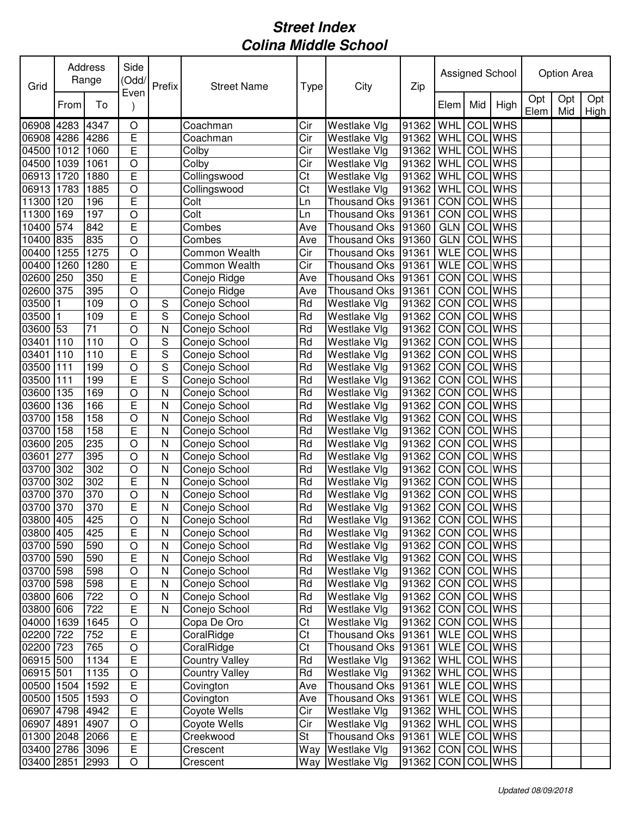| Opt<br>Opt<br>Opt<br>To<br>Mid<br>High<br>From<br>Elem<br>Mid<br>High<br>Elem<br><b>WHS</b><br>4283<br>4347<br>91362<br>WHL<br>COL<br>O<br>Coachman<br>Cir<br>Westlake Vlg<br>$\overline{E}$<br><b>COL</b> WHS<br>06908 4286<br>WHL<br>4286<br>Coachman<br>Cir<br>91362<br>Westlake Vlg<br>E<br><b>WHS</b><br>1012<br>WHL<br>COL<br>04500<br>1060<br>Colby<br>Cir<br>Westlake Vlg<br>91362<br>$\overline{O}$<br>Cir<br><b>WHS</b><br>04500<br>1039<br>1061<br>Colby<br><b>Westlake Vlg</b><br>91362<br><b>WHL</b><br>COL<br>$\overline{E}$<br>06913 1720<br>Collingswood<br>91362<br><b>COL</b> WHS<br>1880<br>Ct<br>Westlake Vlg<br><b>WHL</b><br>$\bigcirc$<br>Ct<br>91362<br><b>COL</b> WHS<br>06913 1783<br>1885<br>Collingswood<br><b>Westlake Vlg</b><br>WHL<br>E<br><b>WHS</b><br>11300 120<br>91361<br><b>CON</b><br>COL<br>196<br>Colt<br>Thousand Oks<br>Ln<br>11300 169<br>197<br>Colt<br>CON COL WHS<br>$\bigcirc$<br>Thousand Oks<br>91361<br>Ln<br>10400<br>842<br>E<br>91360<br><b>GLN</b><br><b>COL WHS</b><br>574<br>Combes<br><b>Thousand Oks</b><br>Ave<br>835<br><b>COL WHS</b><br>10400 835<br>$\circ$<br><b>GLN</b><br>Thousand Oks<br>91360<br>Combes<br>Ave<br><b>WLE</b><br><b>COL</b> WHS<br>00400<br>1275<br>Common Wealth<br>Cir<br>1255<br>$\circ$<br>Thousand Oks<br>91361<br><b>WLE</b><br><b>WHS</b><br>00400<br>1260<br>E<br>Common Wealth<br>Cir<br>Thousand Oks 91361<br>COL<br>1280<br>350<br>E<br>CON COL<br><b>WHS</b><br>02600 250<br>Thousand Oks 91361<br>Conejo Ridge<br>Ave<br>395<br>CON COL WHS<br>02600 375<br>$\bigcirc$<br>Thousand Oks 91361<br>Conejo Ridge<br>Ave<br>CON COL WHS<br>03500 1<br>109<br>Rd<br>91362<br>$\bigcirc$<br>Conejo School<br>Westlake VIg<br>S<br>CON<br>03500<br>109<br>E<br>S<br>Rd<br><b>COL</b> WHS<br>Conejo School<br>Westlake Vlg<br>91362<br>$\mathbf{1}$<br>CON<br>71<br>$\circ$<br><b>COL</b> WHS<br>03600 53<br>N<br>Conejo School<br>Rd<br>Westlake Vlg<br>91362<br>$\mathbf S$<br><b>WHS</b><br>110<br>$\circ$<br><b>CON</b><br>COL<br>03401<br>110<br>Conejo School<br>Rd<br>Westlake Vlg<br>91362<br>E<br>S<br><b>WHS</b><br>03401<br>110<br>CON<br>COL<br>110<br>Conejo School<br>Rd<br>Westlake Vlg<br>91362<br>S<br>03500<br>199<br><b>CON</b><br><b>WHS</b><br>111<br>$\circ$<br>Conejo School<br>Rd<br>Westlake Vlg<br>91362<br>COL<br>E<br>S<br><b>CON</b><br><b>WHS</b><br>03500<br>111<br>199<br>Rd<br>Westlake Vlg<br>91362<br>COL<br>Conejo School<br>03600 135<br>169<br>91362<br>CON COL<br><b>WHS</b><br>Rd<br>Westlake Vlg<br>O<br>N<br>Conejo School<br>03600 136<br>Rd<br>91362<br>CON COL WHS<br>166<br>E<br>N<br>Conejo School<br>Westlake Vlg<br>03700 158<br>158<br>$\circ$<br>N<br>91362<br>CON COL WHS<br>Rd<br><b>Westlake Vlg</b><br>Conejo School<br>E<br><b>CON</b><br>N<br>91362<br><b>COL</b> WHS<br>158<br>158<br>Rd<br>Westlake Vlg<br>Conejo School<br>CON COL<br><b>WHS</b><br>235<br>$\circ$<br>N<br>91362<br>205<br>Rd<br>Westlake Vlg<br>Conejo School<br>395<br>CON<br><b>WHS</b><br>277<br>$\circ$<br>N<br>Rd<br>91362<br>COL<br>Conejo School<br>Westlake Vlg<br>302<br><b>CON</b><br><b>WHS</b><br>03700 302<br>$\circ$<br>N<br>Rd<br>91362<br>COL<br>Conejo School<br>Westlake Vlg<br>302<br>E<br><b>CON</b><br><b>WHS</b><br>03700 302<br>Rd<br>91362<br>COL<br>N<br>Conejo School<br>Westlake Vlg<br>370<br>CON COL WHS<br>03700 370<br>$\bigcirc$<br>Rd<br>91362<br>N<br>Conejo School<br>Westlake Vlg<br>370<br>E<br>Rd<br>91362 CON COL WHS<br>03700 370<br>N<br>Conejo School<br>Westlake Vlg<br>03800 405<br>425<br>91362 CON COL WHS<br>$\overline{O}$<br>Rd<br>$\overline{\mathsf{N}}$<br>Westlake Vlg<br>Conejo School<br>E<br>425<br>Rd<br>Westlake Vlg<br>91362   CON   COL WHS<br>03800 405<br>Conejo School<br>N<br>03700 590<br>590<br>$\circ$<br>Conejo School<br>Westlake Vlg<br>CON COL WHS<br>Rd<br>91362<br>N<br>590<br>E<br>CON COL WHS<br>03700 590<br>Conejo School<br>Rd<br>Westlake Vlg<br>91362<br>N<br>CON COL WHS<br>03700 598<br>598<br>Conejo School<br>Rd<br>Westlake Vlg<br>91362<br>O<br>N<br>CON COL WHS<br>03700 598<br>598<br>Е<br>Conejo School<br>Rd<br>Westlake Vlg<br>91362<br>N<br>03800 606<br>722<br>Conejo School<br>Rd<br>Westlake Vlg<br>91362<br>CON COL WHS<br>O<br>N<br>722<br>$\mathsf E$<br>03800 606<br>Conejo School<br>Rd<br>Westlake Vlg<br>91362<br>CON COL WHS<br>N<br>Ct<br>CON COL WHS<br>04000 1639<br>Copa De Oro<br>Westlake Vlg<br>91362<br>1645<br>$\bigcirc$<br>Ct<br>WLE COL WHS<br>02200 722<br>E<br>CoralRidge<br>Thousand Oks 91361<br>752<br>CoralRidge<br>Ct<br>WLE COL WHS<br>02200 723<br>765<br>$\bigcirc$<br>Thousand Oks 91361<br>E<br>WHL COL WHS<br>06915 500<br>1134<br><b>Country Valley</b><br>Rd<br>Westlake Vlg<br>91362<br>06915 501<br>91362   WHL COL WHS<br>1135<br>$\bigcirc$<br><b>Country Valley</b><br>Rd<br><b>Westlake Vlg</b><br>$\mathsf E$<br>WLE COL WHS<br>00500 1504<br>1592<br>Covington<br>Thousand Oks 91361<br>Ave<br>$\bigcirc$<br>WLE COL WHS<br>00500 1505<br>1593<br>Covington<br>Thousand Oks 91361<br>Ave<br>E<br>Cir<br>06907 4798<br>4942<br>Coyote Wells<br>Westlake Vlg<br>91362<br>WHL COL WHS<br>Cir<br>WHL COL WHS<br>06907 4891<br>4907<br>$\bigcirc$<br>Westlake Vlg<br>91362<br>Coyote Wells<br>$\mathsf E$<br>WLE COL WHS<br>01300 2048<br>Creekwood<br>St<br>Thousand Oks   91361<br>2066<br>$\overline{E}$<br>CON COL WHS<br>03400 2786 3096<br>Crescent<br>Westlake Vlg<br>91362<br>Way<br>$\bigcirc$<br>03400 2851<br>Westlake Vlg<br>91362<br>CON COL WHS<br>2993<br>Crescent<br>Way | Grid  | Address<br>Range | Side<br>(Odd/<br>Even | Prefix | <b>Street Name</b> | Type | City | Zip |  | Assigned School | Option Area |  |
|----------------------------------------------------------------------------------------------------------------------------------------------------------------------------------------------------------------------------------------------------------------------------------------------------------------------------------------------------------------------------------------------------------------------------------------------------------------------------------------------------------------------------------------------------------------------------------------------------------------------------------------------------------------------------------------------------------------------------------------------------------------------------------------------------------------------------------------------------------------------------------------------------------------------------------------------------------------------------------------------------------------------------------------------------------------------------------------------------------------------------------------------------------------------------------------------------------------------------------------------------------------------------------------------------------------------------------------------------------------------------------------------------------------------------------------------------------------------------------------------------------------------------------------------------------------------------------------------------------------------------------------------------------------------------------------------------------------------------------------------------------------------------------------------------------------------------------------------------------------------------------------------------------------------------------------------------------------------------------------------------------------------------------------------------------------------------------------------------------------------------------------------------------------------------------------------------------------------------------------------------------------------------------------------------------------------------------------------------------------------------------------------------------------------------------------------------------------------------------------------------------------------------------------------------------------------------------------------------------------------------------------------------------------------------------------------------------------------------------------------------------------------------------------------------------------------------------------------------------------------------------------------------------------------------------------------------------------------------------------------------------------------------------------------------------------------------------------------------------------------------------------------------------------------------------------------------------------------------------------------------------------------------------------------------------------------------------------------------------------------------------------------------------------------------------------------------------------------------------------------------------------------------------------------------------------------------------------------------------------------------------------------------------------------------------------------------------------------------------------------------------------------------------------------------------------------------------------------------------------------------------------------------------------------------------------------------------------------------------------------------------------------------------------------------------------------------------------------------------------------------------------------------------------------------------------------------------------------------------------------------------------------------------------------------------------------------------------------------------------------------------------------------------------------------------------------------------------------------------------------------------------------------------------------------------------------------------------------------------------------------------------------------------------------------------------------------------------------------------------------------------------------------------------------------------------------------------------------------------------------------------------------------------------------------------------------------------------------------------------------------------------------------------------------------------------------------------------------------------------------------------------------------------------------------------------------------------------------------------------------------------------------------------------------------------------------------------------------------------------------------------------------------------------------------------------------------------------------------------------------------------------------------------------------------|-------|------------------|-----------------------|--------|--------------------|------|------|-----|--|-----------------|-------------|--|
|                                                                                                                                                                                                                                                                                                                                                                                                                                                                                                                                                                                                                                                                                                                                                                                                                                                                                                                                                                                                                                                                                                                                                                                                                                                                                                                                                                                                                                                                                                                                                                                                                                                                                                                                                                                                                                                                                                                                                                                                                                                                                                                                                                                                                                                                                                                                                                                                                                                                                                                                                                                                                                                                                                                                                                                                                                                                                                                                                                                                                                                                                                                                                                                                                                                                                                                                                                                                                                                                                                                                                                                                                                                                                                                                                                                                                                                                                                                                                                                                                                                                                                                                                                                                                                                                                                                                                                                                                                                                                                                                                                                                                                                                                                                                                                                                                                                                                                                                                                                                                                                                                                                                                                                                                                                                                                                                                                                                                                                                                                                                                    |       |                  |                       |        |                    |      |      |     |  |                 |             |  |
|                                                                                                                                                                                                                                                                                                                                                                                                                                                                                                                                                                                                                                                                                                                                                                                                                                                                                                                                                                                                                                                                                                                                                                                                                                                                                                                                                                                                                                                                                                                                                                                                                                                                                                                                                                                                                                                                                                                                                                                                                                                                                                                                                                                                                                                                                                                                                                                                                                                                                                                                                                                                                                                                                                                                                                                                                                                                                                                                                                                                                                                                                                                                                                                                                                                                                                                                                                                                                                                                                                                                                                                                                                                                                                                                                                                                                                                                                                                                                                                                                                                                                                                                                                                                                                                                                                                                                                                                                                                                                                                                                                                                                                                                                                                                                                                                                                                                                                                                                                                                                                                                                                                                                                                                                                                                                                                                                                                                                                                                                                                                                    | 06908 |                  |                       |        |                    |      |      |     |  |                 |             |  |
|                                                                                                                                                                                                                                                                                                                                                                                                                                                                                                                                                                                                                                                                                                                                                                                                                                                                                                                                                                                                                                                                                                                                                                                                                                                                                                                                                                                                                                                                                                                                                                                                                                                                                                                                                                                                                                                                                                                                                                                                                                                                                                                                                                                                                                                                                                                                                                                                                                                                                                                                                                                                                                                                                                                                                                                                                                                                                                                                                                                                                                                                                                                                                                                                                                                                                                                                                                                                                                                                                                                                                                                                                                                                                                                                                                                                                                                                                                                                                                                                                                                                                                                                                                                                                                                                                                                                                                                                                                                                                                                                                                                                                                                                                                                                                                                                                                                                                                                                                                                                                                                                                                                                                                                                                                                                                                                                                                                                                                                                                                                                                    |       |                  |                       |        |                    |      |      |     |  |                 |             |  |
|                                                                                                                                                                                                                                                                                                                                                                                                                                                                                                                                                                                                                                                                                                                                                                                                                                                                                                                                                                                                                                                                                                                                                                                                                                                                                                                                                                                                                                                                                                                                                                                                                                                                                                                                                                                                                                                                                                                                                                                                                                                                                                                                                                                                                                                                                                                                                                                                                                                                                                                                                                                                                                                                                                                                                                                                                                                                                                                                                                                                                                                                                                                                                                                                                                                                                                                                                                                                                                                                                                                                                                                                                                                                                                                                                                                                                                                                                                                                                                                                                                                                                                                                                                                                                                                                                                                                                                                                                                                                                                                                                                                                                                                                                                                                                                                                                                                                                                                                                                                                                                                                                                                                                                                                                                                                                                                                                                                                                                                                                                                                                    |       |                  |                       |        |                    |      |      |     |  |                 |             |  |
|                                                                                                                                                                                                                                                                                                                                                                                                                                                                                                                                                                                                                                                                                                                                                                                                                                                                                                                                                                                                                                                                                                                                                                                                                                                                                                                                                                                                                                                                                                                                                                                                                                                                                                                                                                                                                                                                                                                                                                                                                                                                                                                                                                                                                                                                                                                                                                                                                                                                                                                                                                                                                                                                                                                                                                                                                                                                                                                                                                                                                                                                                                                                                                                                                                                                                                                                                                                                                                                                                                                                                                                                                                                                                                                                                                                                                                                                                                                                                                                                                                                                                                                                                                                                                                                                                                                                                                                                                                                                                                                                                                                                                                                                                                                                                                                                                                                                                                                                                                                                                                                                                                                                                                                                                                                                                                                                                                                                                                                                                                                                                    |       |                  |                       |        |                    |      |      |     |  |                 |             |  |
|                                                                                                                                                                                                                                                                                                                                                                                                                                                                                                                                                                                                                                                                                                                                                                                                                                                                                                                                                                                                                                                                                                                                                                                                                                                                                                                                                                                                                                                                                                                                                                                                                                                                                                                                                                                                                                                                                                                                                                                                                                                                                                                                                                                                                                                                                                                                                                                                                                                                                                                                                                                                                                                                                                                                                                                                                                                                                                                                                                                                                                                                                                                                                                                                                                                                                                                                                                                                                                                                                                                                                                                                                                                                                                                                                                                                                                                                                                                                                                                                                                                                                                                                                                                                                                                                                                                                                                                                                                                                                                                                                                                                                                                                                                                                                                                                                                                                                                                                                                                                                                                                                                                                                                                                                                                                                                                                                                                                                                                                                                                                                    |       |                  |                       |        |                    |      |      |     |  |                 |             |  |
|                                                                                                                                                                                                                                                                                                                                                                                                                                                                                                                                                                                                                                                                                                                                                                                                                                                                                                                                                                                                                                                                                                                                                                                                                                                                                                                                                                                                                                                                                                                                                                                                                                                                                                                                                                                                                                                                                                                                                                                                                                                                                                                                                                                                                                                                                                                                                                                                                                                                                                                                                                                                                                                                                                                                                                                                                                                                                                                                                                                                                                                                                                                                                                                                                                                                                                                                                                                                                                                                                                                                                                                                                                                                                                                                                                                                                                                                                                                                                                                                                                                                                                                                                                                                                                                                                                                                                                                                                                                                                                                                                                                                                                                                                                                                                                                                                                                                                                                                                                                                                                                                                                                                                                                                                                                                                                                                                                                                                                                                                                                                                    |       |                  |                       |        |                    |      |      |     |  |                 |             |  |
|                                                                                                                                                                                                                                                                                                                                                                                                                                                                                                                                                                                                                                                                                                                                                                                                                                                                                                                                                                                                                                                                                                                                                                                                                                                                                                                                                                                                                                                                                                                                                                                                                                                                                                                                                                                                                                                                                                                                                                                                                                                                                                                                                                                                                                                                                                                                                                                                                                                                                                                                                                                                                                                                                                                                                                                                                                                                                                                                                                                                                                                                                                                                                                                                                                                                                                                                                                                                                                                                                                                                                                                                                                                                                                                                                                                                                                                                                                                                                                                                                                                                                                                                                                                                                                                                                                                                                                                                                                                                                                                                                                                                                                                                                                                                                                                                                                                                                                                                                                                                                                                                                                                                                                                                                                                                                                                                                                                                                                                                                                                                                    |       |                  |                       |        |                    |      |      |     |  |                 |             |  |
|                                                                                                                                                                                                                                                                                                                                                                                                                                                                                                                                                                                                                                                                                                                                                                                                                                                                                                                                                                                                                                                                                                                                                                                                                                                                                                                                                                                                                                                                                                                                                                                                                                                                                                                                                                                                                                                                                                                                                                                                                                                                                                                                                                                                                                                                                                                                                                                                                                                                                                                                                                                                                                                                                                                                                                                                                                                                                                                                                                                                                                                                                                                                                                                                                                                                                                                                                                                                                                                                                                                                                                                                                                                                                                                                                                                                                                                                                                                                                                                                                                                                                                                                                                                                                                                                                                                                                                                                                                                                                                                                                                                                                                                                                                                                                                                                                                                                                                                                                                                                                                                                                                                                                                                                                                                                                                                                                                                                                                                                                                                                                    |       |                  |                       |        |                    |      |      |     |  |                 |             |  |
|                                                                                                                                                                                                                                                                                                                                                                                                                                                                                                                                                                                                                                                                                                                                                                                                                                                                                                                                                                                                                                                                                                                                                                                                                                                                                                                                                                                                                                                                                                                                                                                                                                                                                                                                                                                                                                                                                                                                                                                                                                                                                                                                                                                                                                                                                                                                                                                                                                                                                                                                                                                                                                                                                                                                                                                                                                                                                                                                                                                                                                                                                                                                                                                                                                                                                                                                                                                                                                                                                                                                                                                                                                                                                                                                                                                                                                                                                                                                                                                                                                                                                                                                                                                                                                                                                                                                                                                                                                                                                                                                                                                                                                                                                                                                                                                                                                                                                                                                                                                                                                                                                                                                                                                                                                                                                                                                                                                                                                                                                                                                                    |       |                  |                       |        |                    |      |      |     |  |                 |             |  |
|                                                                                                                                                                                                                                                                                                                                                                                                                                                                                                                                                                                                                                                                                                                                                                                                                                                                                                                                                                                                                                                                                                                                                                                                                                                                                                                                                                                                                                                                                                                                                                                                                                                                                                                                                                                                                                                                                                                                                                                                                                                                                                                                                                                                                                                                                                                                                                                                                                                                                                                                                                                                                                                                                                                                                                                                                                                                                                                                                                                                                                                                                                                                                                                                                                                                                                                                                                                                                                                                                                                                                                                                                                                                                                                                                                                                                                                                                                                                                                                                                                                                                                                                                                                                                                                                                                                                                                                                                                                                                                                                                                                                                                                                                                                                                                                                                                                                                                                                                                                                                                                                                                                                                                                                                                                                                                                                                                                                                                                                                                                                                    |       |                  |                       |        |                    |      |      |     |  |                 |             |  |
|                                                                                                                                                                                                                                                                                                                                                                                                                                                                                                                                                                                                                                                                                                                                                                                                                                                                                                                                                                                                                                                                                                                                                                                                                                                                                                                                                                                                                                                                                                                                                                                                                                                                                                                                                                                                                                                                                                                                                                                                                                                                                                                                                                                                                                                                                                                                                                                                                                                                                                                                                                                                                                                                                                                                                                                                                                                                                                                                                                                                                                                                                                                                                                                                                                                                                                                                                                                                                                                                                                                                                                                                                                                                                                                                                                                                                                                                                                                                                                                                                                                                                                                                                                                                                                                                                                                                                                                                                                                                                                                                                                                                                                                                                                                                                                                                                                                                                                                                                                                                                                                                                                                                                                                                                                                                                                                                                                                                                                                                                                                                                    |       |                  |                       |        |                    |      |      |     |  |                 |             |  |
|                                                                                                                                                                                                                                                                                                                                                                                                                                                                                                                                                                                                                                                                                                                                                                                                                                                                                                                                                                                                                                                                                                                                                                                                                                                                                                                                                                                                                                                                                                                                                                                                                                                                                                                                                                                                                                                                                                                                                                                                                                                                                                                                                                                                                                                                                                                                                                                                                                                                                                                                                                                                                                                                                                                                                                                                                                                                                                                                                                                                                                                                                                                                                                                                                                                                                                                                                                                                                                                                                                                                                                                                                                                                                                                                                                                                                                                                                                                                                                                                                                                                                                                                                                                                                                                                                                                                                                                                                                                                                                                                                                                                                                                                                                                                                                                                                                                                                                                                                                                                                                                                                                                                                                                                                                                                                                                                                                                                                                                                                                                                                    |       |                  |                       |        |                    |      |      |     |  |                 |             |  |
|                                                                                                                                                                                                                                                                                                                                                                                                                                                                                                                                                                                                                                                                                                                                                                                                                                                                                                                                                                                                                                                                                                                                                                                                                                                                                                                                                                                                                                                                                                                                                                                                                                                                                                                                                                                                                                                                                                                                                                                                                                                                                                                                                                                                                                                                                                                                                                                                                                                                                                                                                                                                                                                                                                                                                                                                                                                                                                                                                                                                                                                                                                                                                                                                                                                                                                                                                                                                                                                                                                                                                                                                                                                                                                                                                                                                                                                                                                                                                                                                                                                                                                                                                                                                                                                                                                                                                                                                                                                                                                                                                                                                                                                                                                                                                                                                                                                                                                                                                                                                                                                                                                                                                                                                                                                                                                                                                                                                                                                                                                                                                    |       |                  |                       |        |                    |      |      |     |  |                 |             |  |
|                                                                                                                                                                                                                                                                                                                                                                                                                                                                                                                                                                                                                                                                                                                                                                                                                                                                                                                                                                                                                                                                                                                                                                                                                                                                                                                                                                                                                                                                                                                                                                                                                                                                                                                                                                                                                                                                                                                                                                                                                                                                                                                                                                                                                                                                                                                                                                                                                                                                                                                                                                                                                                                                                                                                                                                                                                                                                                                                                                                                                                                                                                                                                                                                                                                                                                                                                                                                                                                                                                                                                                                                                                                                                                                                                                                                                                                                                                                                                                                                                                                                                                                                                                                                                                                                                                                                                                                                                                                                                                                                                                                                                                                                                                                                                                                                                                                                                                                                                                                                                                                                                                                                                                                                                                                                                                                                                                                                                                                                                                                                                    |       |                  |                       |        |                    |      |      |     |  |                 |             |  |
|                                                                                                                                                                                                                                                                                                                                                                                                                                                                                                                                                                                                                                                                                                                                                                                                                                                                                                                                                                                                                                                                                                                                                                                                                                                                                                                                                                                                                                                                                                                                                                                                                                                                                                                                                                                                                                                                                                                                                                                                                                                                                                                                                                                                                                                                                                                                                                                                                                                                                                                                                                                                                                                                                                                                                                                                                                                                                                                                                                                                                                                                                                                                                                                                                                                                                                                                                                                                                                                                                                                                                                                                                                                                                                                                                                                                                                                                                                                                                                                                                                                                                                                                                                                                                                                                                                                                                                                                                                                                                                                                                                                                                                                                                                                                                                                                                                                                                                                                                                                                                                                                                                                                                                                                                                                                                                                                                                                                                                                                                                                                                    |       |                  |                       |        |                    |      |      |     |  |                 |             |  |
|                                                                                                                                                                                                                                                                                                                                                                                                                                                                                                                                                                                                                                                                                                                                                                                                                                                                                                                                                                                                                                                                                                                                                                                                                                                                                                                                                                                                                                                                                                                                                                                                                                                                                                                                                                                                                                                                                                                                                                                                                                                                                                                                                                                                                                                                                                                                                                                                                                                                                                                                                                                                                                                                                                                                                                                                                                                                                                                                                                                                                                                                                                                                                                                                                                                                                                                                                                                                                                                                                                                                                                                                                                                                                                                                                                                                                                                                                                                                                                                                                                                                                                                                                                                                                                                                                                                                                                                                                                                                                                                                                                                                                                                                                                                                                                                                                                                                                                                                                                                                                                                                                                                                                                                                                                                                                                                                                                                                                                                                                                                                                    |       |                  |                       |        |                    |      |      |     |  |                 |             |  |
|                                                                                                                                                                                                                                                                                                                                                                                                                                                                                                                                                                                                                                                                                                                                                                                                                                                                                                                                                                                                                                                                                                                                                                                                                                                                                                                                                                                                                                                                                                                                                                                                                                                                                                                                                                                                                                                                                                                                                                                                                                                                                                                                                                                                                                                                                                                                                                                                                                                                                                                                                                                                                                                                                                                                                                                                                                                                                                                                                                                                                                                                                                                                                                                                                                                                                                                                                                                                                                                                                                                                                                                                                                                                                                                                                                                                                                                                                                                                                                                                                                                                                                                                                                                                                                                                                                                                                                                                                                                                                                                                                                                                                                                                                                                                                                                                                                                                                                                                                                                                                                                                                                                                                                                                                                                                                                                                                                                                                                                                                                                                                    |       |                  |                       |        |                    |      |      |     |  |                 |             |  |
|                                                                                                                                                                                                                                                                                                                                                                                                                                                                                                                                                                                                                                                                                                                                                                                                                                                                                                                                                                                                                                                                                                                                                                                                                                                                                                                                                                                                                                                                                                                                                                                                                                                                                                                                                                                                                                                                                                                                                                                                                                                                                                                                                                                                                                                                                                                                                                                                                                                                                                                                                                                                                                                                                                                                                                                                                                                                                                                                                                                                                                                                                                                                                                                                                                                                                                                                                                                                                                                                                                                                                                                                                                                                                                                                                                                                                                                                                                                                                                                                                                                                                                                                                                                                                                                                                                                                                                                                                                                                                                                                                                                                                                                                                                                                                                                                                                                                                                                                                                                                                                                                                                                                                                                                                                                                                                                                                                                                                                                                                                                                                    |       |                  |                       |        |                    |      |      |     |  |                 |             |  |
|                                                                                                                                                                                                                                                                                                                                                                                                                                                                                                                                                                                                                                                                                                                                                                                                                                                                                                                                                                                                                                                                                                                                                                                                                                                                                                                                                                                                                                                                                                                                                                                                                                                                                                                                                                                                                                                                                                                                                                                                                                                                                                                                                                                                                                                                                                                                                                                                                                                                                                                                                                                                                                                                                                                                                                                                                                                                                                                                                                                                                                                                                                                                                                                                                                                                                                                                                                                                                                                                                                                                                                                                                                                                                                                                                                                                                                                                                                                                                                                                                                                                                                                                                                                                                                                                                                                                                                                                                                                                                                                                                                                                                                                                                                                                                                                                                                                                                                                                                                                                                                                                                                                                                                                                                                                                                                                                                                                                                                                                                                                                                    |       |                  |                       |        |                    |      |      |     |  |                 |             |  |
|                                                                                                                                                                                                                                                                                                                                                                                                                                                                                                                                                                                                                                                                                                                                                                                                                                                                                                                                                                                                                                                                                                                                                                                                                                                                                                                                                                                                                                                                                                                                                                                                                                                                                                                                                                                                                                                                                                                                                                                                                                                                                                                                                                                                                                                                                                                                                                                                                                                                                                                                                                                                                                                                                                                                                                                                                                                                                                                                                                                                                                                                                                                                                                                                                                                                                                                                                                                                                                                                                                                                                                                                                                                                                                                                                                                                                                                                                                                                                                                                                                                                                                                                                                                                                                                                                                                                                                                                                                                                                                                                                                                                                                                                                                                                                                                                                                                                                                                                                                                                                                                                                                                                                                                                                                                                                                                                                                                                                                                                                                                                                    |       |                  |                       |        |                    |      |      |     |  |                 |             |  |
|                                                                                                                                                                                                                                                                                                                                                                                                                                                                                                                                                                                                                                                                                                                                                                                                                                                                                                                                                                                                                                                                                                                                                                                                                                                                                                                                                                                                                                                                                                                                                                                                                                                                                                                                                                                                                                                                                                                                                                                                                                                                                                                                                                                                                                                                                                                                                                                                                                                                                                                                                                                                                                                                                                                                                                                                                                                                                                                                                                                                                                                                                                                                                                                                                                                                                                                                                                                                                                                                                                                                                                                                                                                                                                                                                                                                                                                                                                                                                                                                                                                                                                                                                                                                                                                                                                                                                                                                                                                                                                                                                                                                                                                                                                                                                                                                                                                                                                                                                                                                                                                                                                                                                                                                                                                                                                                                                                                                                                                                                                                                                    |       |                  |                       |        |                    |      |      |     |  |                 |             |  |
|                                                                                                                                                                                                                                                                                                                                                                                                                                                                                                                                                                                                                                                                                                                                                                                                                                                                                                                                                                                                                                                                                                                                                                                                                                                                                                                                                                                                                                                                                                                                                                                                                                                                                                                                                                                                                                                                                                                                                                                                                                                                                                                                                                                                                                                                                                                                                                                                                                                                                                                                                                                                                                                                                                                                                                                                                                                                                                                                                                                                                                                                                                                                                                                                                                                                                                                                                                                                                                                                                                                                                                                                                                                                                                                                                                                                                                                                                                                                                                                                                                                                                                                                                                                                                                                                                                                                                                                                                                                                                                                                                                                                                                                                                                                                                                                                                                                                                                                                                                                                                                                                                                                                                                                                                                                                                                                                                                                                                                                                                                                                                    |       |                  |                       |        |                    |      |      |     |  |                 |             |  |
|                                                                                                                                                                                                                                                                                                                                                                                                                                                                                                                                                                                                                                                                                                                                                                                                                                                                                                                                                                                                                                                                                                                                                                                                                                                                                                                                                                                                                                                                                                                                                                                                                                                                                                                                                                                                                                                                                                                                                                                                                                                                                                                                                                                                                                                                                                                                                                                                                                                                                                                                                                                                                                                                                                                                                                                                                                                                                                                                                                                                                                                                                                                                                                                                                                                                                                                                                                                                                                                                                                                                                                                                                                                                                                                                                                                                                                                                                                                                                                                                                                                                                                                                                                                                                                                                                                                                                                                                                                                                                                                                                                                                                                                                                                                                                                                                                                                                                                                                                                                                                                                                                                                                                                                                                                                                                                                                                                                                                                                                                                                                                    |       |                  |                       |        |                    |      |      |     |  |                 |             |  |
|                                                                                                                                                                                                                                                                                                                                                                                                                                                                                                                                                                                                                                                                                                                                                                                                                                                                                                                                                                                                                                                                                                                                                                                                                                                                                                                                                                                                                                                                                                                                                                                                                                                                                                                                                                                                                                                                                                                                                                                                                                                                                                                                                                                                                                                                                                                                                                                                                                                                                                                                                                                                                                                                                                                                                                                                                                                                                                                                                                                                                                                                                                                                                                                                                                                                                                                                                                                                                                                                                                                                                                                                                                                                                                                                                                                                                                                                                                                                                                                                                                                                                                                                                                                                                                                                                                                                                                                                                                                                                                                                                                                                                                                                                                                                                                                                                                                                                                                                                                                                                                                                                                                                                                                                                                                                                                                                                                                                                                                                                                                                                    |       |                  |                       |        |                    |      |      |     |  |                 |             |  |
|                                                                                                                                                                                                                                                                                                                                                                                                                                                                                                                                                                                                                                                                                                                                                                                                                                                                                                                                                                                                                                                                                                                                                                                                                                                                                                                                                                                                                                                                                                                                                                                                                                                                                                                                                                                                                                                                                                                                                                                                                                                                                                                                                                                                                                                                                                                                                                                                                                                                                                                                                                                                                                                                                                                                                                                                                                                                                                                                                                                                                                                                                                                                                                                                                                                                                                                                                                                                                                                                                                                                                                                                                                                                                                                                                                                                                                                                                                                                                                                                                                                                                                                                                                                                                                                                                                                                                                                                                                                                                                                                                                                                                                                                                                                                                                                                                                                                                                                                                                                                                                                                                                                                                                                                                                                                                                                                                                                                                                                                                                                                                    | 03700 |                  |                       |        |                    |      |      |     |  |                 |             |  |
|                                                                                                                                                                                                                                                                                                                                                                                                                                                                                                                                                                                                                                                                                                                                                                                                                                                                                                                                                                                                                                                                                                                                                                                                                                                                                                                                                                                                                                                                                                                                                                                                                                                                                                                                                                                                                                                                                                                                                                                                                                                                                                                                                                                                                                                                                                                                                                                                                                                                                                                                                                                                                                                                                                                                                                                                                                                                                                                                                                                                                                                                                                                                                                                                                                                                                                                                                                                                                                                                                                                                                                                                                                                                                                                                                                                                                                                                                                                                                                                                                                                                                                                                                                                                                                                                                                                                                                                                                                                                                                                                                                                                                                                                                                                                                                                                                                                                                                                                                                                                                                                                                                                                                                                                                                                                                                                                                                                                                                                                                                                                                    | 03600 |                  |                       |        |                    |      |      |     |  |                 |             |  |
|                                                                                                                                                                                                                                                                                                                                                                                                                                                                                                                                                                                                                                                                                                                                                                                                                                                                                                                                                                                                                                                                                                                                                                                                                                                                                                                                                                                                                                                                                                                                                                                                                                                                                                                                                                                                                                                                                                                                                                                                                                                                                                                                                                                                                                                                                                                                                                                                                                                                                                                                                                                                                                                                                                                                                                                                                                                                                                                                                                                                                                                                                                                                                                                                                                                                                                                                                                                                                                                                                                                                                                                                                                                                                                                                                                                                                                                                                                                                                                                                                                                                                                                                                                                                                                                                                                                                                                                                                                                                                                                                                                                                                                                                                                                                                                                                                                                                                                                                                                                                                                                                                                                                                                                                                                                                                                                                                                                                                                                                                                                                                    | 03601 |                  |                       |        |                    |      |      |     |  |                 |             |  |
|                                                                                                                                                                                                                                                                                                                                                                                                                                                                                                                                                                                                                                                                                                                                                                                                                                                                                                                                                                                                                                                                                                                                                                                                                                                                                                                                                                                                                                                                                                                                                                                                                                                                                                                                                                                                                                                                                                                                                                                                                                                                                                                                                                                                                                                                                                                                                                                                                                                                                                                                                                                                                                                                                                                                                                                                                                                                                                                                                                                                                                                                                                                                                                                                                                                                                                                                                                                                                                                                                                                                                                                                                                                                                                                                                                                                                                                                                                                                                                                                                                                                                                                                                                                                                                                                                                                                                                                                                                                                                                                                                                                                                                                                                                                                                                                                                                                                                                                                                                                                                                                                                                                                                                                                                                                                                                                                                                                                                                                                                                                                                    |       |                  |                       |        |                    |      |      |     |  |                 |             |  |
|                                                                                                                                                                                                                                                                                                                                                                                                                                                                                                                                                                                                                                                                                                                                                                                                                                                                                                                                                                                                                                                                                                                                                                                                                                                                                                                                                                                                                                                                                                                                                                                                                                                                                                                                                                                                                                                                                                                                                                                                                                                                                                                                                                                                                                                                                                                                                                                                                                                                                                                                                                                                                                                                                                                                                                                                                                                                                                                                                                                                                                                                                                                                                                                                                                                                                                                                                                                                                                                                                                                                                                                                                                                                                                                                                                                                                                                                                                                                                                                                                                                                                                                                                                                                                                                                                                                                                                                                                                                                                                                                                                                                                                                                                                                                                                                                                                                                                                                                                                                                                                                                                                                                                                                                                                                                                                                                                                                                                                                                                                                                                    |       |                  |                       |        |                    |      |      |     |  |                 |             |  |
|                                                                                                                                                                                                                                                                                                                                                                                                                                                                                                                                                                                                                                                                                                                                                                                                                                                                                                                                                                                                                                                                                                                                                                                                                                                                                                                                                                                                                                                                                                                                                                                                                                                                                                                                                                                                                                                                                                                                                                                                                                                                                                                                                                                                                                                                                                                                                                                                                                                                                                                                                                                                                                                                                                                                                                                                                                                                                                                                                                                                                                                                                                                                                                                                                                                                                                                                                                                                                                                                                                                                                                                                                                                                                                                                                                                                                                                                                                                                                                                                                                                                                                                                                                                                                                                                                                                                                                                                                                                                                                                                                                                                                                                                                                                                                                                                                                                                                                                                                                                                                                                                                                                                                                                                                                                                                                                                                                                                                                                                                                                                                    |       |                  |                       |        |                    |      |      |     |  |                 |             |  |
|                                                                                                                                                                                                                                                                                                                                                                                                                                                                                                                                                                                                                                                                                                                                                                                                                                                                                                                                                                                                                                                                                                                                                                                                                                                                                                                                                                                                                                                                                                                                                                                                                                                                                                                                                                                                                                                                                                                                                                                                                                                                                                                                                                                                                                                                                                                                                                                                                                                                                                                                                                                                                                                                                                                                                                                                                                                                                                                                                                                                                                                                                                                                                                                                                                                                                                                                                                                                                                                                                                                                                                                                                                                                                                                                                                                                                                                                                                                                                                                                                                                                                                                                                                                                                                                                                                                                                                                                                                                                                                                                                                                                                                                                                                                                                                                                                                                                                                                                                                                                                                                                                                                                                                                                                                                                                                                                                                                                                                                                                                                                                    |       |                  |                       |        |                    |      |      |     |  |                 |             |  |
|                                                                                                                                                                                                                                                                                                                                                                                                                                                                                                                                                                                                                                                                                                                                                                                                                                                                                                                                                                                                                                                                                                                                                                                                                                                                                                                                                                                                                                                                                                                                                                                                                                                                                                                                                                                                                                                                                                                                                                                                                                                                                                                                                                                                                                                                                                                                                                                                                                                                                                                                                                                                                                                                                                                                                                                                                                                                                                                                                                                                                                                                                                                                                                                                                                                                                                                                                                                                                                                                                                                                                                                                                                                                                                                                                                                                                                                                                                                                                                                                                                                                                                                                                                                                                                                                                                                                                                                                                                                                                                                                                                                                                                                                                                                                                                                                                                                                                                                                                                                                                                                                                                                                                                                                                                                                                                                                                                                                                                                                                                                                                    |       |                  |                       |        |                    |      |      |     |  |                 |             |  |
|                                                                                                                                                                                                                                                                                                                                                                                                                                                                                                                                                                                                                                                                                                                                                                                                                                                                                                                                                                                                                                                                                                                                                                                                                                                                                                                                                                                                                                                                                                                                                                                                                                                                                                                                                                                                                                                                                                                                                                                                                                                                                                                                                                                                                                                                                                                                                                                                                                                                                                                                                                                                                                                                                                                                                                                                                                                                                                                                                                                                                                                                                                                                                                                                                                                                                                                                                                                                                                                                                                                                                                                                                                                                                                                                                                                                                                                                                                                                                                                                                                                                                                                                                                                                                                                                                                                                                                                                                                                                                                                                                                                                                                                                                                                                                                                                                                                                                                                                                                                                                                                                                                                                                                                                                                                                                                                                                                                                                                                                                                                                                    |       |                  |                       |        |                    |      |      |     |  |                 |             |  |
|                                                                                                                                                                                                                                                                                                                                                                                                                                                                                                                                                                                                                                                                                                                                                                                                                                                                                                                                                                                                                                                                                                                                                                                                                                                                                                                                                                                                                                                                                                                                                                                                                                                                                                                                                                                                                                                                                                                                                                                                                                                                                                                                                                                                                                                                                                                                                                                                                                                                                                                                                                                                                                                                                                                                                                                                                                                                                                                                                                                                                                                                                                                                                                                                                                                                                                                                                                                                                                                                                                                                                                                                                                                                                                                                                                                                                                                                                                                                                                                                                                                                                                                                                                                                                                                                                                                                                                                                                                                                                                                                                                                                                                                                                                                                                                                                                                                                                                                                                                                                                                                                                                                                                                                                                                                                                                                                                                                                                                                                                                                                                    |       |                  |                       |        |                    |      |      |     |  |                 |             |  |
|                                                                                                                                                                                                                                                                                                                                                                                                                                                                                                                                                                                                                                                                                                                                                                                                                                                                                                                                                                                                                                                                                                                                                                                                                                                                                                                                                                                                                                                                                                                                                                                                                                                                                                                                                                                                                                                                                                                                                                                                                                                                                                                                                                                                                                                                                                                                                                                                                                                                                                                                                                                                                                                                                                                                                                                                                                                                                                                                                                                                                                                                                                                                                                                                                                                                                                                                                                                                                                                                                                                                                                                                                                                                                                                                                                                                                                                                                                                                                                                                                                                                                                                                                                                                                                                                                                                                                                                                                                                                                                                                                                                                                                                                                                                                                                                                                                                                                                                                                                                                                                                                                                                                                                                                                                                                                                                                                                                                                                                                                                                                                    |       |                  |                       |        |                    |      |      |     |  |                 |             |  |
|                                                                                                                                                                                                                                                                                                                                                                                                                                                                                                                                                                                                                                                                                                                                                                                                                                                                                                                                                                                                                                                                                                                                                                                                                                                                                                                                                                                                                                                                                                                                                                                                                                                                                                                                                                                                                                                                                                                                                                                                                                                                                                                                                                                                                                                                                                                                                                                                                                                                                                                                                                                                                                                                                                                                                                                                                                                                                                                                                                                                                                                                                                                                                                                                                                                                                                                                                                                                                                                                                                                                                                                                                                                                                                                                                                                                                                                                                                                                                                                                                                                                                                                                                                                                                                                                                                                                                                                                                                                                                                                                                                                                                                                                                                                                                                                                                                                                                                                                                                                                                                                                                                                                                                                                                                                                                                                                                                                                                                                                                                                                                    |       |                  |                       |        |                    |      |      |     |  |                 |             |  |
|                                                                                                                                                                                                                                                                                                                                                                                                                                                                                                                                                                                                                                                                                                                                                                                                                                                                                                                                                                                                                                                                                                                                                                                                                                                                                                                                                                                                                                                                                                                                                                                                                                                                                                                                                                                                                                                                                                                                                                                                                                                                                                                                                                                                                                                                                                                                                                                                                                                                                                                                                                                                                                                                                                                                                                                                                                                                                                                                                                                                                                                                                                                                                                                                                                                                                                                                                                                                                                                                                                                                                                                                                                                                                                                                                                                                                                                                                                                                                                                                                                                                                                                                                                                                                                                                                                                                                                                                                                                                                                                                                                                                                                                                                                                                                                                                                                                                                                                                                                                                                                                                                                                                                                                                                                                                                                                                                                                                                                                                                                                                                    |       |                  |                       |        |                    |      |      |     |  |                 |             |  |
|                                                                                                                                                                                                                                                                                                                                                                                                                                                                                                                                                                                                                                                                                                                                                                                                                                                                                                                                                                                                                                                                                                                                                                                                                                                                                                                                                                                                                                                                                                                                                                                                                                                                                                                                                                                                                                                                                                                                                                                                                                                                                                                                                                                                                                                                                                                                                                                                                                                                                                                                                                                                                                                                                                                                                                                                                                                                                                                                                                                                                                                                                                                                                                                                                                                                                                                                                                                                                                                                                                                                                                                                                                                                                                                                                                                                                                                                                                                                                                                                                                                                                                                                                                                                                                                                                                                                                                                                                                                                                                                                                                                                                                                                                                                                                                                                                                                                                                                                                                                                                                                                                                                                                                                                                                                                                                                                                                                                                                                                                                                                                    |       |                  |                       |        |                    |      |      |     |  |                 |             |  |
|                                                                                                                                                                                                                                                                                                                                                                                                                                                                                                                                                                                                                                                                                                                                                                                                                                                                                                                                                                                                                                                                                                                                                                                                                                                                                                                                                                                                                                                                                                                                                                                                                                                                                                                                                                                                                                                                                                                                                                                                                                                                                                                                                                                                                                                                                                                                                                                                                                                                                                                                                                                                                                                                                                                                                                                                                                                                                                                                                                                                                                                                                                                                                                                                                                                                                                                                                                                                                                                                                                                                                                                                                                                                                                                                                                                                                                                                                                                                                                                                                                                                                                                                                                                                                                                                                                                                                                                                                                                                                                                                                                                                                                                                                                                                                                                                                                                                                                                                                                                                                                                                                                                                                                                                                                                                                                                                                                                                                                                                                                                                                    |       |                  |                       |        |                    |      |      |     |  |                 |             |  |
|                                                                                                                                                                                                                                                                                                                                                                                                                                                                                                                                                                                                                                                                                                                                                                                                                                                                                                                                                                                                                                                                                                                                                                                                                                                                                                                                                                                                                                                                                                                                                                                                                                                                                                                                                                                                                                                                                                                                                                                                                                                                                                                                                                                                                                                                                                                                                                                                                                                                                                                                                                                                                                                                                                                                                                                                                                                                                                                                                                                                                                                                                                                                                                                                                                                                                                                                                                                                                                                                                                                                                                                                                                                                                                                                                                                                                                                                                                                                                                                                                                                                                                                                                                                                                                                                                                                                                                                                                                                                                                                                                                                                                                                                                                                                                                                                                                                                                                                                                                                                                                                                                                                                                                                                                                                                                                                                                                                                                                                                                                                                                    |       |                  |                       |        |                    |      |      |     |  |                 |             |  |
|                                                                                                                                                                                                                                                                                                                                                                                                                                                                                                                                                                                                                                                                                                                                                                                                                                                                                                                                                                                                                                                                                                                                                                                                                                                                                                                                                                                                                                                                                                                                                                                                                                                                                                                                                                                                                                                                                                                                                                                                                                                                                                                                                                                                                                                                                                                                                                                                                                                                                                                                                                                                                                                                                                                                                                                                                                                                                                                                                                                                                                                                                                                                                                                                                                                                                                                                                                                                                                                                                                                                                                                                                                                                                                                                                                                                                                                                                                                                                                                                                                                                                                                                                                                                                                                                                                                                                                                                                                                                                                                                                                                                                                                                                                                                                                                                                                                                                                                                                                                                                                                                                                                                                                                                                                                                                                                                                                                                                                                                                                                                                    |       |                  |                       |        |                    |      |      |     |  |                 |             |  |
|                                                                                                                                                                                                                                                                                                                                                                                                                                                                                                                                                                                                                                                                                                                                                                                                                                                                                                                                                                                                                                                                                                                                                                                                                                                                                                                                                                                                                                                                                                                                                                                                                                                                                                                                                                                                                                                                                                                                                                                                                                                                                                                                                                                                                                                                                                                                                                                                                                                                                                                                                                                                                                                                                                                                                                                                                                                                                                                                                                                                                                                                                                                                                                                                                                                                                                                                                                                                                                                                                                                                                                                                                                                                                                                                                                                                                                                                                                                                                                                                                                                                                                                                                                                                                                                                                                                                                                                                                                                                                                                                                                                                                                                                                                                                                                                                                                                                                                                                                                                                                                                                                                                                                                                                                                                                                                                                                                                                                                                                                                                                                    |       |                  |                       |        |                    |      |      |     |  |                 |             |  |
|                                                                                                                                                                                                                                                                                                                                                                                                                                                                                                                                                                                                                                                                                                                                                                                                                                                                                                                                                                                                                                                                                                                                                                                                                                                                                                                                                                                                                                                                                                                                                                                                                                                                                                                                                                                                                                                                                                                                                                                                                                                                                                                                                                                                                                                                                                                                                                                                                                                                                                                                                                                                                                                                                                                                                                                                                                                                                                                                                                                                                                                                                                                                                                                                                                                                                                                                                                                                                                                                                                                                                                                                                                                                                                                                                                                                                                                                                                                                                                                                                                                                                                                                                                                                                                                                                                                                                                                                                                                                                                                                                                                                                                                                                                                                                                                                                                                                                                                                                                                                                                                                                                                                                                                                                                                                                                                                                                                                                                                                                                                                                    |       |                  |                       |        |                    |      |      |     |  |                 |             |  |
|                                                                                                                                                                                                                                                                                                                                                                                                                                                                                                                                                                                                                                                                                                                                                                                                                                                                                                                                                                                                                                                                                                                                                                                                                                                                                                                                                                                                                                                                                                                                                                                                                                                                                                                                                                                                                                                                                                                                                                                                                                                                                                                                                                                                                                                                                                                                                                                                                                                                                                                                                                                                                                                                                                                                                                                                                                                                                                                                                                                                                                                                                                                                                                                                                                                                                                                                                                                                                                                                                                                                                                                                                                                                                                                                                                                                                                                                                                                                                                                                                                                                                                                                                                                                                                                                                                                                                                                                                                                                                                                                                                                                                                                                                                                                                                                                                                                                                                                                                                                                                                                                                                                                                                                                                                                                                                                                                                                                                                                                                                                                                    |       |                  |                       |        |                    |      |      |     |  |                 |             |  |
|                                                                                                                                                                                                                                                                                                                                                                                                                                                                                                                                                                                                                                                                                                                                                                                                                                                                                                                                                                                                                                                                                                                                                                                                                                                                                                                                                                                                                                                                                                                                                                                                                                                                                                                                                                                                                                                                                                                                                                                                                                                                                                                                                                                                                                                                                                                                                                                                                                                                                                                                                                                                                                                                                                                                                                                                                                                                                                                                                                                                                                                                                                                                                                                                                                                                                                                                                                                                                                                                                                                                                                                                                                                                                                                                                                                                                                                                                                                                                                                                                                                                                                                                                                                                                                                                                                                                                                                                                                                                                                                                                                                                                                                                                                                                                                                                                                                                                                                                                                                                                                                                                                                                                                                                                                                                                                                                                                                                                                                                                                                                                    |       |                  |                       |        |                    |      |      |     |  |                 |             |  |
|                                                                                                                                                                                                                                                                                                                                                                                                                                                                                                                                                                                                                                                                                                                                                                                                                                                                                                                                                                                                                                                                                                                                                                                                                                                                                                                                                                                                                                                                                                                                                                                                                                                                                                                                                                                                                                                                                                                                                                                                                                                                                                                                                                                                                                                                                                                                                                                                                                                                                                                                                                                                                                                                                                                                                                                                                                                                                                                                                                                                                                                                                                                                                                                                                                                                                                                                                                                                                                                                                                                                                                                                                                                                                                                                                                                                                                                                                                                                                                                                                                                                                                                                                                                                                                                                                                                                                                                                                                                                                                                                                                                                                                                                                                                                                                                                                                                                                                                                                                                                                                                                                                                                                                                                                                                                                                                                                                                                                                                                                                                                                    |       |                  |                       |        |                    |      |      |     |  |                 |             |  |
|                                                                                                                                                                                                                                                                                                                                                                                                                                                                                                                                                                                                                                                                                                                                                                                                                                                                                                                                                                                                                                                                                                                                                                                                                                                                                                                                                                                                                                                                                                                                                                                                                                                                                                                                                                                                                                                                                                                                                                                                                                                                                                                                                                                                                                                                                                                                                                                                                                                                                                                                                                                                                                                                                                                                                                                                                                                                                                                                                                                                                                                                                                                                                                                                                                                                                                                                                                                                                                                                                                                                                                                                                                                                                                                                                                                                                                                                                                                                                                                                                                                                                                                                                                                                                                                                                                                                                                                                                                                                                                                                                                                                                                                                                                                                                                                                                                                                                                                                                                                                                                                                                                                                                                                                                                                                                                                                                                                                                                                                                                                                                    |       |                  |                       |        |                    |      |      |     |  |                 |             |  |
|                                                                                                                                                                                                                                                                                                                                                                                                                                                                                                                                                                                                                                                                                                                                                                                                                                                                                                                                                                                                                                                                                                                                                                                                                                                                                                                                                                                                                                                                                                                                                                                                                                                                                                                                                                                                                                                                                                                                                                                                                                                                                                                                                                                                                                                                                                                                                                                                                                                                                                                                                                                                                                                                                                                                                                                                                                                                                                                                                                                                                                                                                                                                                                                                                                                                                                                                                                                                                                                                                                                                                                                                                                                                                                                                                                                                                                                                                                                                                                                                                                                                                                                                                                                                                                                                                                                                                                                                                                                                                                                                                                                                                                                                                                                                                                                                                                                                                                                                                                                                                                                                                                                                                                                                                                                                                                                                                                                                                                                                                                                                                    |       |                  |                       |        |                    |      |      |     |  |                 |             |  |
|                                                                                                                                                                                                                                                                                                                                                                                                                                                                                                                                                                                                                                                                                                                                                                                                                                                                                                                                                                                                                                                                                                                                                                                                                                                                                                                                                                                                                                                                                                                                                                                                                                                                                                                                                                                                                                                                                                                                                                                                                                                                                                                                                                                                                                                                                                                                                                                                                                                                                                                                                                                                                                                                                                                                                                                                                                                                                                                                                                                                                                                                                                                                                                                                                                                                                                                                                                                                                                                                                                                                                                                                                                                                                                                                                                                                                                                                                                                                                                                                                                                                                                                                                                                                                                                                                                                                                                                                                                                                                                                                                                                                                                                                                                                                                                                                                                                                                                                                                                                                                                                                                                                                                                                                                                                                                                                                                                                                                                                                                                                                                    |       |                  |                       |        |                    |      |      |     |  |                 |             |  |
|                                                                                                                                                                                                                                                                                                                                                                                                                                                                                                                                                                                                                                                                                                                                                                                                                                                                                                                                                                                                                                                                                                                                                                                                                                                                                                                                                                                                                                                                                                                                                                                                                                                                                                                                                                                                                                                                                                                                                                                                                                                                                                                                                                                                                                                                                                                                                                                                                                                                                                                                                                                                                                                                                                                                                                                                                                                                                                                                                                                                                                                                                                                                                                                                                                                                                                                                                                                                                                                                                                                                                                                                                                                                                                                                                                                                                                                                                                                                                                                                                                                                                                                                                                                                                                                                                                                                                                                                                                                                                                                                                                                                                                                                                                                                                                                                                                                                                                                                                                                                                                                                                                                                                                                                                                                                                                                                                                                                                                                                                                                                                    |       |                  |                       |        |                    |      |      |     |  |                 |             |  |
|                                                                                                                                                                                                                                                                                                                                                                                                                                                                                                                                                                                                                                                                                                                                                                                                                                                                                                                                                                                                                                                                                                                                                                                                                                                                                                                                                                                                                                                                                                                                                                                                                                                                                                                                                                                                                                                                                                                                                                                                                                                                                                                                                                                                                                                                                                                                                                                                                                                                                                                                                                                                                                                                                                                                                                                                                                                                                                                                                                                                                                                                                                                                                                                                                                                                                                                                                                                                                                                                                                                                                                                                                                                                                                                                                                                                                                                                                                                                                                                                                                                                                                                                                                                                                                                                                                                                                                                                                                                                                                                                                                                                                                                                                                                                                                                                                                                                                                                                                                                                                                                                                                                                                                                                                                                                                                                                                                                                                                                                                                                                                    |       |                  |                       |        |                    |      |      |     |  |                 |             |  |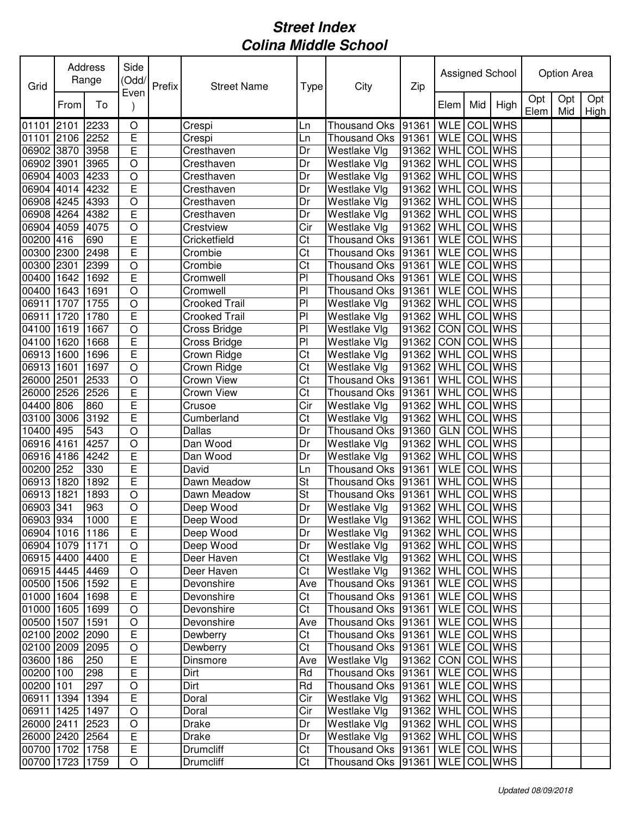| Grid            |      | Address<br>Range | Side<br>(Odd/<br>Even   | Prefix | <b>Street Name</b>   | Type                   | City                 | Zip                 |                    |     | Assigned School |             | Option Area |             |
|-----------------|------|------------------|-------------------------|--------|----------------------|------------------------|----------------------|---------------------|--------------------|-----|-----------------|-------------|-------------|-------------|
|                 | From | To               |                         |        |                      |                        |                      |                     | Elem               | Mid | High            | Opt<br>Elem | Opt<br>Mid  | Opt<br>High |
| 01101 2101      |      | 2233             | O                       |        | Crespi               | Ln                     | <b>Thousand Oks</b>  | 91361               | WLE COL WHS        |     |                 |             |             |             |
| 01101 2106      |      | 2252             | $\overline{E}$          |        | Crespi               | Ln                     | Thousand Oks 91361   |                     | WLE COL WHS        |     |                 |             |             |             |
| 06902 3870      |      | 3958             | $\overline{\mathsf{E}}$ |        | Cresthaven           | Dr                     | Westlake Vlg         | 91362               | <b>WHL</b>         |     | <b>COL</b> WHS  |             |             |             |
| 06902 3901      |      | 3965             | $\overline{O}$          |        | Cresthaven           | Dr                     | Westlake VIg         | 91362               | WHL COL WHS        |     |                 |             |             |             |
| 06904 4003 4233 |      |                  | $\bigcirc$              |        | Cresthaven           | Dr                     | Westlake VIg         | 91362               | <b>WHL</b> COL WHS |     |                 |             |             |             |
| 06904 4014      |      | 4232             | $\mathsf E$             |        | Cresthaven           | Dr                     | Westlake Vlg         | 91362               | WHL COL WHS        |     |                 |             |             |             |
| 06908 4245      |      | 4393             | $\bigcirc$              |        | Cresthaven           | Dr                     | <b>Westlake Vlg</b>  | 91362               | <b>WHL</b>         |     | <b>COL</b> WHS  |             |             |             |
| 06908 4264 4382 |      |                  | $\mathsf E$             |        | Cresthaven           | Dr                     | Westlake VIg         | 91362               | WHL COL WHS        |     |                 |             |             |             |
| 06904 4059      |      | 4075             | $\bigcirc$              |        | Crestview            | Cir                    | Westlake Vlg         | 91362               | <b>WHL</b>         |     | COL WHS         |             |             |             |
| 00200 416       |      | 690              | E                       |        | Cricketfield         | Ct                     | Thousand Oks 91361   |                     | <b>WLE</b> COL WHS |     |                 |             |             |             |
| 00300 2300      |      | 2498             | E                       |        | Crombie              | Ct                     | Thousand Oks 91361   |                     | <b>WLE</b> COL WHS |     |                 |             |             |             |
| 00300 2301      |      | 2399             | $\circ$                 |        | Crombie              | $\overline{\text{C}t}$ | Thousand Oks 91361   |                     | WLE COL WHS        |     |                 |             |             |             |
| 00400 1642      |      | 1692             | $\mathsf E$             |        | Cromwell             | P <sub>1</sub>         | Thousand Oks 91361   |                     | WLE COL WHS        |     |                 |             |             |             |
| 00400 1643      |      | 1691             | $\circ$                 |        | Cromwell             | P <sub>1</sub>         | Thousand Oks 91361   |                     | <b>WLE</b> COL WHS |     |                 |             |             |             |
| 06911 1707      |      | 1755             | $\bigcirc$              |        | <b>Crooked Trail</b> | PI                     | Westlake Vlg         | 91362 WHL COL WHS   |                    |     |                 |             |             |             |
| 06911           | 1720 | 1780             | $\overline{\mathsf{E}}$ |        | <b>Crooked Trail</b> | $\overline{P}$         | Westlake Vlg         | 91362               | WHL                |     | <b>COL</b> WHS  |             |             |             |
| 04100 1619      |      | 1667             | $\overline{O}$          |        | Cross Bridge         | PI                     | Westlake Vlg         | 91362               | CON COL WHS        |     |                 |             |             |             |
| 04100           | 1620 | 1668             | $\overline{E}$          |        | Cross Bridge         | PI                     | Westlake Vlg         | 91362               | CON COL WHS        |     |                 |             |             |             |
| 06913 1600      |      | 1696             | E                       |        | Crown Ridge          | Ct                     | Westlake Vlg         | 91362               | WHL                |     | <b>COL</b> WHS  |             |             |             |
| 06913 1601      |      | 1697             | $\circ$                 |        | Crown Ridge          | Ct                     | Westlake Vlg         | 91362               | WHL                |     | COL WHS         |             |             |             |
| 26000 2501      |      | 2533             | $\bigcirc$              |        | Crown View           | Ct                     | Thousand Oks 91361   |                     | <b>WHL</b>         |     | COL WHS         |             |             |             |
| 26000 2526      |      | 2526             | $\overline{E}$          |        | Crown View           | Ct                     | Thousand Oks 91361   |                     | WHL COL WHS        |     |                 |             |             |             |
| 04400 806       |      | 860              | $\mathsf E$             |        | Crusoe               | Cir                    | Westlake Vlg         | 91362               | <b>WHL</b>         |     | COL WHS         |             |             |             |
| 03100 3006      |      | 3192             | E                       |        | Cumberland           | Ct                     | Westlake Vlg         | 91362 WHL           |                    |     | COL WHS         |             |             |             |
| 10400 495       |      | 543              | $\bigcirc$              |        | Dallas               | Dr                     | Thousand Oks 91360   |                     | <b>GLN</b>         |     | <b>COL</b> WHS  |             |             |             |
| 06916 4161      |      | 4257             | $\circ$                 |        | Dan Wood             | Dr                     | Westlake Vlg         | 91362               | WHL                |     | <b>COL</b> WHS  |             |             |             |
| 06916 4186      |      | 4242             | $\overline{E}$          |        | Dan Wood             | Dr                     | Westlake Vlg         | 91362               | WHL                |     | <b>COL</b> WHS  |             |             |             |
| 00200 252       |      | 330              | E                       |        | David                | Ln                     | Thousand Oks 91361   |                     | WLE COL WHS        |     |                 |             |             |             |
| 06913 1820      |      | 1892             | $\overline{E}$          |        | Dawn Meadow          | St                     | Thousand Oks 91361   |                     | WHL COL WHS        |     |                 |             |             |             |
| 06913 1821      |      | 1893             | $\bigcirc$              |        | Dawn Meadow          | St                     | Thousand Oks 91361   |                     | WHL COL WHS        |     |                 |             |             |             |
| 06903 341       |      | 963              | $\circ$                 |        | Deep Wood            | Dr                     | Westlake Vlg         | 91362 WHL COL WHS   |                    |     |                 |             |             |             |
| 06903 934       |      | 1000             | $\overline{E}$          |        | Deep Wood            | Dr                     | Westlake Vlg         | 91362 WHL COL WHS   |                    |     |                 |             |             |             |
| 06904 1016 1186 |      |                  | $\mathsf E$             |        | Deep Wood            | Dr                     | Westlake Vlg         | 91362   WHL COL WHS |                    |     |                 |             |             |             |
| 06904 1079 1171 |      |                  | $\bigcirc$              |        | Deep Wood            | Dr                     | Westlake Vlg         | 91362   WHL COL WHS |                    |     |                 |             |             |             |
| 06915 4400 4400 |      |                  | $\overline{E}$          |        | Deer Haven           | Ct                     | Westlake Vlg         | 91362   WHL COL WHS |                    |     |                 |             |             |             |
| 06915 4445 4469 |      |                  | $\bigcirc$              |        | Deer Haven           | Ct                     | Westlake Vlg         | 91362 WHL COL WHS   |                    |     |                 |             |             |             |
| 00500 1506      |      | 1592             | E                       |        | Devonshire           | Ave                    | Thousand Oks   91361 |                     | WLE COL WHS        |     |                 |             |             |             |
| 01000 1604 1698 |      |                  | E                       |        | Devonshire           | Ct                     | Thousand Oks   91361 |                     | WLE COL WHS        |     |                 |             |             |             |
| 01000 1605      |      | 1699             | $\bigcirc$              |        | Devonshire           | Ct                     | Thousand Oks 91361   |                     | WLE COL WHS        |     |                 |             |             |             |
| 00500 1507      |      | 1591             | $\bigcirc$              |        | Devonshire           | Ave                    | Thousand Oks 91361   |                     | WLE COL WHS        |     |                 |             |             |             |
| 02100 2002 2090 |      |                  | E                       |        | Dewberry             | Ct                     | Thousand Oks 91361   |                     | WLE COL WHS        |     |                 |             |             |             |
| 02100 2009 2095 |      |                  | $\bigcirc$              |        | Dewberry             | Ct                     | Thousand Oks 91361   |                     | WLE COL WHS        |     |                 |             |             |             |
| 03600 186       |      | 250              | $\mathsf E$             |        | Dinsmore             | Ave                    | Westlake Vlg         | 91362 CON COL WHS   |                    |     |                 |             |             |             |
| 00200 100       |      | 298              | $\mathsf E$             |        | Dirt                 | Rd                     | Thousand Oks 91361   |                     | WLE COL WHS        |     |                 |             |             |             |
| 00200 101       |      | 297              | $\bigcirc$              |        | Dirt                 | Rd                     | Thousand Oks 91361   |                     | WLE COL WHS        |     |                 |             |             |             |
| 06911 1394      |      | 1394             | $\mathsf E$             |        | Doral                | Cir                    | Westlake Vlg         | 91362   WHL COL WHS |                    |     |                 |             |             |             |
| 06911 1425      |      | 1497             | $\circ$                 |        | Doral                | Cir                    | Westlake Vlg         | 91362   WHL COL WHS |                    |     |                 |             |             |             |
| 26000 2411      |      | 2523             | $\mathsf O$             |        | Drake                | Dr                     | Westlake Vlg         | 91362   WHL COL WHS |                    |     |                 |             |             |             |
| 26000 2420 2564 |      |                  | E                       |        | Drake                | Dr                     | Westlake Vlg         | 91362               | WHL COL WHS        |     |                 |             |             |             |
| 00700 1702      |      | 1758             | $\overline{E}$          |        | <b>Drumcliff</b>     | Ct                     | Thousand Oks 91361   |                     | WLE COL WHS        |     |                 |             |             |             |
| 00700 1723 1759 |      |                  | $\hbox{O}$              |        | <b>Drumcliff</b>     | Ct                     | Thousand Oks 91361   |                     | WLE COL WHS        |     |                 |             |             |             |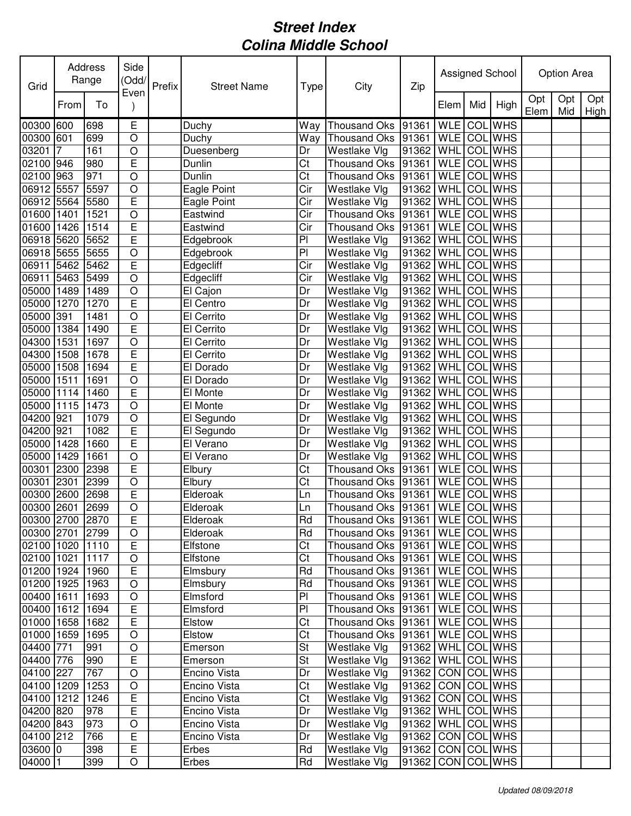| Grid            |      | Address<br>Range | Side<br>(Odd/<br>Even   | Prefix | <b>Street Name</b> | Type                   | City                                 | Zip                     |             |     | Assigned School |             | Option Area |             |
|-----------------|------|------------------|-------------------------|--------|--------------------|------------------------|--------------------------------------|-------------------------|-------------|-----|-----------------|-------------|-------------|-------------|
|                 | From | To               |                         |        |                    |                        |                                      |                         | Elem        | Mid | High            | Opt<br>Elem | Opt<br>Mid  | Opt<br>High |
| 00300           | 600  | 698              | Е                       |        | Duchy              | Way                    | Thousand Oks                         | 91361                   | <b>WLE</b>  | COL | <b>WHS</b>      |             |             |             |
| 00300           | 601  | 699              | $\circ$                 |        | Duchy              | Way                    | <b>Thousand Oks</b>                  | 91361                   | <b>WLE</b>  |     | <b>COL</b> WHS  |             |             |             |
| 03201           | 7    | 161              | $\circ$                 |        | Duesenberg         | Dr                     | Westlake Vlg                         | 91362                   | WHL         | COL | <b>WHS</b>      |             |             |             |
| 02100           | 946  | 980              | E                       |        | Dunlin             | Ct                     | Thousand Oks 91361                   |                         | <b>WLE</b>  | COL | <b>WHS</b>      |             |             |             |
| 02100           | 963  | 971              | $\bigcirc$              |        | Dunlin             | Ct                     | Thousand Oks 91361                   |                         | <b>WLE</b>  |     | COL WHS         |             |             |             |
| 06912 5557      |      | 5597             | $\circ$                 |        | Eagle Point        | Cir                    | Westlake Vlg                         | 91362                   | WHL         |     | <b>COL</b> WHS  |             |             |             |
| 06912 5564      |      | 5580             | E                       |        | Eagle Point        | Cir                    | <b>Westlake Vlg</b>                  | 91362                   | WHL         | COL | <b>WHS</b>      |             |             |             |
| 01600 1401      |      | 1521             | $\bigcirc$              |        | Eastwind           | Cir                    | Thousand Oks                         | 91361                   | <b>WLE</b>  |     | <b>COL</b> WHS  |             |             |             |
| 01600 1426      |      | 1514             | E                       |        | Eastwind           | Cir                    | <b>Thousand Oks</b>                  | 91361                   | <b>WLE</b>  |     | <b>COL</b> WHS  |             |             |             |
| 06918 5620      |      | 5652             | E                       |        | Edgebrook          | PI                     | Westlake Vlg                         | 91362                   | WHL         |     | <b>COL</b> WHS  |             |             |             |
| 06918 5655      |      | 5655             | $\circ$                 |        | Edgebrook          | PI                     | Westlake Vlg                         | 91362                   | WHL         |     | <b>COL</b> WHS  |             |             |             |
| 06911           | 5462 | 5462             | E                       |        | Edgecliff          | $\overline{C}$ ir      | Westlake Vlg                         | 91362                   | WHL         | COL | <b>WHS</b>      |             |             |             |
| 06911           | 5463 | 5499             | $\circ$                 |        | Edgecliff          | Cir                    | Westlake Vlg                         | 91362                   | WHL         | COL | <b>WHS</b>      |             |             |             |
| 05000 1489      |      | 1489             | $\bigcirc$              |        | El Cajon           | Dr                     | Westlake Vlg                         | 91362                   | WHL         |     | <b>COL</b> WHS  |             |             |             |
| 05000 1270      |      | 1270             | E                       |        | El Centro          | Dr                     | Westlake Vlg                         | 91362                   | WHL         |     | <b>COL</b> WHS  |             |             |             |
| 05000           | 391  | 1481             | $\overline{O}$          |        | El Cerrito         | Dr                     | Westlake Vlg                         | 91362                   | WHL         |     | <b>COL</b> WHS  |             |             |             |
| 05000           | 1384 | 1490             | E                       |        | El Cerrito         | Dr                     | Westlake Vlg                         | 91362                   | WHL         |     | <b>COL</b> WHS  |             |             |             |
| 04300           | 1531 | 1697             | $\circ$                 |        | El Cerrito         | Dr                     | Westlake Vlg                         | 91362                   | WHL         | COL | <b>WHS</b>      |             |             |             |
| 04300           | 1508 | 1678             | E                       |        | El Cerrito         | Dr                     | Westlake Vlg                         | 91362                   | WHL         | COL | <b>WHS</b>      |             |             |             |
| 05000           | 1508 | 1694             | E                       |        | El Dorado          | Dr                     | Westlake Vlg                         | 91362                   | WHL         | COL | <b>WHS</b>      |             |             |             |
| 05000           | 1511 | 1691             | $\circ$                 |        | El Dorado          | Dr                     | Westlake Vlg                         | 91362                   | WHL         | COL | <b>WHS</b>      |             |             |             |
| 05000 1114      |      | 1460             | E                       |        | El Monte           | Dr                     | Westlake Vlg                         | 91362                   | WHL         | COL | <b>WHS</b>      |             |             |             |
| 05000 1115      |      | 1473             | $\circ$                 |        | El Monte           | Dr                     | Westlake Vlg                         | 91362                   | WHL         |     | <b>COL</b> WHS  |             |             |             |
| 04200 921       |      | 1079             | $\circ$                 |        | El Segundo         | Dr                     | Westlake Vlg                         | 91362                   | WHL         |     | COL WHS         |             |             |             |
| 04200           | 921  | 1082             | E                       |        | El Segundo         | Dr                     | Westlake Vlg                         | 91362                   | WHL         |     | COL WHS         |             |             |             |
| 05000           | 1428 | 1660             | E                       |        | El Verano          | Dr                     | Westlake Vlg                         | 91362                   | WHL         | COL | <b>WHS</b>      |             |             |             |
| 05000           | 1429 | 1661             | $\overline{O}$          |        | El Verano          | Dr                     | Westlake Vlg                         | 91362                   | WHL         | COL | <b>WHS</b>      |             |             |             |
| 00301           | 2300 | 2398             | E                       |        | Elbury             | Ct                     | <b>Thousand Oks</b>                  | 91361                   | <b>WLE</b>  | COL | <b>WHS</b>      |             |             |             |
| 00301           | 2301 | 2399             | $\overline{O}$          |        | Elbury             | Ct                     | Thousand Oks 91361                   |                         | <b>WLE</b>  | COL | <b>WHS</b>      |             |             |             |
| 00300 2600      |      | 2698             | E                       |        | Elderoak           | Ln                     | Thousand Oks 91361                   |                         | <b>WLE</b>  |     | <b>COL WHS</b>  |             |             |             |
| 00300 2601      |      | 2699             | $\circ$                 |        | Elderoak           | Ln                     | Thousand Oks  91361   WLE   COL WHS  |                         |             |     |                 |             |             |             |
| 00300 2700 2870 |      |                  | $\overline{\mathsf{E}}$ |        | Elderoak           | Rd                     | Thousand Oks 91361 WLE COL WHS       |                         |             |     |                 |             |             |             |
| 00300 2701 2799 |      |                  | $\bigcirc$              |        | Elderoak           | Rd                     | Thousand Oks  91361   WLE COL WHS    |                         |             |     |                 |             |             |             |
| 02100 1020 1110 |      |                  | E                       |        | Elfstone           | Ct                     | Thousand Oks   91361   WLE   COL WHS |                         |             |     |                 |             |             |             |
| 02100 1021      |      | 1117             | $\bigcirc$              |        | Elfstone           | $\overline{\text{C}t}$ | Thousand Oks  91361   WLE   COL WHS  |                         |             |     |                 |             |             |             |
| 01200 1924 1960 |      |                  | $\mathsf E$             |        | Elmsbury           | Rd                     | Thousand Oks 91361                   |                         | WLE COL WHS |     |                 |             |             |             |
| 01200 1925 1963 |      |                  | $\bigcirc$              |        | Elmsbury           | Rd                     | Thousand Oks 91361                   |                         | WLE COL WHS |     |                 |             |             |             |
| 00400 1611 1693 |      |                  | O                       |        | Elmsford           | PI                     | Thousand Oks 91361                   |                         | WLE COLWHS  |     |                 |             |             |             |
| 00400 1612 1694 |      |                  | E                       |        | Elmsford           | PI                     | Thousand Oks 91361                   |                         | WLE COL WHS |     |                 |             |             |             |
| 01000 1658      |      | 1682             | E                       |        | Elstow             | Ct                     | Thousand Oks  91361   WLE   COL WHS  |                         |             |     |                 |             |             |             |
| 01000 1659      |      | 1695             | O                       |        | Elstow             | Ct                     | Thousand Oks 91361                   |                         | WLE COL WHS |     |                 |             |             |             |
| 04400 771       |      | 991              | $\bigcirc$              |        | Emerson            | St                     | Westlake Vlg                         | 91362   WHL COL WHS     |             |     |                 |             |             |             |
| 04400 776       |      | 990              | $\mathsf E$             |        | Emerson            | St                     | Westlake Vlg                         | 91362   WHL COL WHS     |             |     |                 |             |             |             |
| 04100 227       |      | 767              | $\bigcirc$              |        | Encino Vista       | Dr                     | Westlake Vlg                         | 91362 CON COL WHS       |             |     |                 |             |             |             |
| 04100 1209      |      | 1253             | $\bigcirc$              |        | Encino Vista       | Ct                     | Westlake Vlg                         | 91362   CON   COL WHS   |             |     |                 |             |             |             |
| 04100 1212      |      | 1246             | $\mathsf E$             |        | Encino Vista       | Ct                     | Westlake Vlg                         | 91362 CON COL WHS       |             |     |                 |             |             |             |
| 04200 820       |      | 978              | E                       |        | Encino Vista       | Dr                     | <b>Westlake Vlg</b>                  | 91362   WHL COL WHS     |             |     |                 |             |             |             |
| 04200 843       |      | 973              | $\mathsf O$             |        | Encino Vista       | Dr                     | Westlake Vlg                         | 91362   WHL COL WHS     |             |     |                 |             |             |             |
| 04100 212       |      | 766              | E                       |        | Encino Vista       | Dr                     | Westlake Vlg                         | 91362                   | CON COL WHS |     |                 |             |             |             |
| 03600 0         |      | 398              | $\overline{E}$          |        | Erbes              | Rd                     | Westlake Vlg                         | 91362   CON   COL   WHS |             |     |                 |             |             |             |
| 04000 1         |      | 399              | $\bigcirc$              |        | Erbes              | Rd                     | Westlake Vlg                         | 91362   CON   COL   WHS |             |     |                 |             |             |             |
|                 |      |                  |                         |        |                    |                        |                                      |                         |             |     |                 |             |             |             |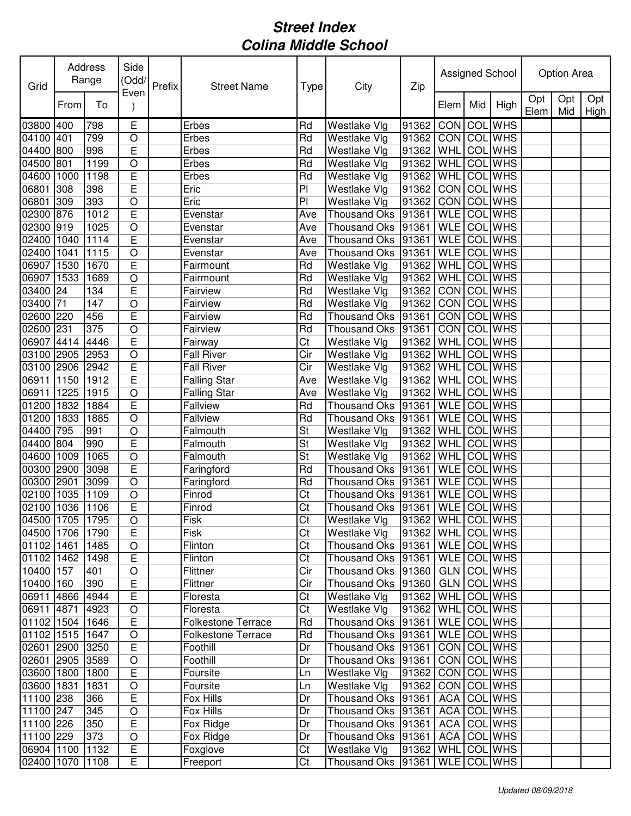| Grid            |      | Address<br>Range | Side<br>(Odd/          | Prefix | <b>Street Name</b>        | Type                   | City                                | Zip                   |            |     | Assigned School |             | Option Area |             |
|-----------------|------|------------------|------------------------|--------|---------------------------|------------------------|-------------------------------------|-----------------------|------------|-----|-----------------|-------------|-------------|-------------|
|                 | From | To               | Even                   |        |                           |                        |                                     |                       | Elem       | Mid | High            | Opt<br>Elem | Opt<br>Mid  | Opt<br>High |
| 03800 400       |      | 798              | E                      |        | Erbes                     | Rd                     | Westlake Vlg                        | 91362                 | CON        |     | <b>COL</b> WHS  |             |             |             |
| 04100 401       |      | 799              | $\bigcirc$             |        | Erbes                     | Rd                     | Westlake Vlg                        | 91362                 | <b>CON</b> |     | <b>COL</b> WHS  |             |             |             |
| 04400 800       |      | 998              | E                      |        | Erbes                     | Rd                     | Westlake Vlg                        | 91362                 | WHL        |     | COL WHS         |             |             |             |
| 04500 801       |      | 1199             | $\circ$                |        | Erbes                     | Rd                     | Westlake Vlg                        | 91362                 | WHL        | COL | <b>WHS</b>      |             |             |             |
| 04600 1000      |      | 1198             | E                      |        | Erbes                     | Rd                     | Westlake Vlg                        | 91362                 | WHL        | COL | <b>WHS</b>      |             |             |             |
| 06801           | 308  | 398              | E                      |        | Eric                      | PI                     | Westlake Vlg                        | 91362                 | <b>CON</b> |     | <b>COL</b> WHS  |             |             |             |
| 06801           | 309  | 393              | $\bigcirc$             |        | Eric                      | PI                     | Westlake Vlg                        | 91362                 | CON        |     | <b>COL</b> WHS  |             |             |             |
| 02300 876       |      | 1012             | E                      |        | Evenstar                  | Ave                    | Thousand Oks 91361                  |                       | <b>WLE</b> |     | <b>COL</b> WHS  |             |             |             |
| 02300 919       |      | 1025             | $\circ$                |        | Evenstar                  | Ave                    | Thousand Oks                        | 91361                 | <b>WLE</b> |     | <b>COL</b> WHS  |             |             |             |
| 02400 1040      |      | 1114             | E                      |        | Evenstar                  | Ave                    | <b>Thousand Oks</b>                 | 91361                 | <b>WLE</b> |     | <b>COL</b> WHS  |             |             |             |
| 02400 1041      |      | 1115             | $\circ$                |        | Evenstar                  | Ave                    | <b>Thousand Oks</b>                 | 91361                 | <b>WLE</b> |     | <b>COL</b> WHS  |             |             |             |
| 06907 1530      |      | 1670             | E                      |        | Fairmount                 | Rd                     | Westlake Vlg                        | 91362                 | <b>WHL</b> | COL | <b>WHS</b>      |             |             |             |
| 06907 1533      |      | 1689             | $\circ$                |        | Fairmount                 | Rd                     | Westlake Vlg                        | 91362                 | <b>WHL</b> |     | <b>COL</b> WHS  |             |             |             |
| 03400 24        |      | 134              | E                      |        | Fairview                  | Rd                     | Westlake Vlg                        | 91362                 | <b>CON</b> |     | <b>COL WHS</b>  |             |             |             |
| 03400 71        |      | 147              | $\circ$                |        | Fairview                  | Rd                     | Westlake Vlg                        | 91362                 | <b>CON</b> |     | <b>COL WHS</b>  |             |             |             |
| 02600 220       |      | 456              | E                      |        | Fairview                  | Rd                     | Thousand Oks                        | 91361                 | <b>CON</b> |     | <b>COL WHS</b>  |             |             |             |
| 02600 231       |      | 375              | $\overline{O}$         |        | Fairview                  | Rd                     | Thousand Oks                        | 91361                 | <b>CON</b> |     | <b>COL</b> WHS  |             |             |             |
| 06907 4414      |      | 4446             | E                      |        | Fairway                   | Ct                     | Westlake Vlg                        | 91362                 | <b>WHL</b> |     | COL WHS         |             |             |             |
| 03100 2905      |      | 2953             | $\circ$                |        | <b>Fall River</b>         | Cir                    | Westlake Vlg                        | 91362                 | <b>WHL</b> | COL | <b>WHS</b>      |             |             |             |
| 03100 2906      |      | 2942             | E                      |        | <b>Fall River</b>         | Cir                    | Westlake Vlg                        | 91362                 | WHL        | COL | <b>WHS</b>      |             |             |             |
| 06911           | 1150 | 1912             | E                      |        | <b>Falling Star</b>       | Ave                    | Westlake Vlg                        | 91362                 | <b>WHL</b> | COL | <b>WHS</b>      |             |             |             |
| 06911           | 1225 | 1915             | $\circ$                |        | <b>Falling Star</b>       | Ave                    | Westlake Vlg                        | 91362                 | WHL        | COL | <b>WHS</b>      |             |             |             |
| 01200 1832      |      | 1884             | E                      |        | <b>Fallview</b>           | Rd                     | Thousand Oks                        | 91361                 | <b>WLE</b> |     | <b>COL</b> WHS  |             |             |             |
| 01200 1833      |      | 1885             | $\circ$                |        | Fallview                  | Rd                     | Thousand Oks 91361                  |                       | <b>WLE</b> |     | <b>COL</b> WHS  |             |             |             |
| 04400 795       |      | 991              | $\circ$                |        | Falmouth                  | St                     | Westlake Vlg                        | 91362                 | WHL        | COL | <b>WHS</b>      |             |             |             |
| 04400 804       |      | 990              | E                      |        | Falmouth                  | St                     | Westlake Vlg                        | 91362                 | WHL        |     | COL WHS         |             |             |             |
| 04600 1009      |      | 1065             | $\circ$                |        | Falmouth                  | St                     | Westlake Vlg                        | 91362                 | WHL        | COL | <b>WHS</b>      |             |             |             |
| 00300 2900      |      | 3098             | E                      |        | Faringford                | Rd                     | Thousand Oks                        | 91361                 | <b>WLE</b> | COL | <b>WHS</b>      |             |             |             |
| 00300 2901      |      | 3099             | $\circ$                |        | Faringford                | Rd                     | Thousand Oks 91361                  |                       | <b>WLE</b> | COL | <b>WHS</b>      |             |             |             |
| 02100 1035      |      | 1109             | $\circ$                |        | Finrod                    | Ct                     | Thousand Oks 91361                  |                       | <b>WLE</b> | COL | <b>WHS</b>      |             |             |             |
| 02100 1036      |      | 1106             | E                      |        | Finrod                    | Ct                     | Thousand Oks  91361   WLE   COL WHS |                       |            |     |                 |             |             |             |
| 04500 1705 1795 |      |                  | $\overline{O}$         |        | Fisk                      | $\overline{\text{Ct}}$ | Westlake Vlg                        | 91362 WHL COL WHS     |            |     |                 |             |             |             |
| 04500 1706      |      | 1790             | $\mathsf E$            |        | Fisk                      | Ct                     | Westlake Vlg                        | 91362   WHL COL WHS   |            |     |                 |             |             |             |
| 01102 1461      |      | 1485             | $\bigcirc$             |        | Flinton                   | Ct                     | Thousand Oks   91361                |                       |            |     | WLE COL WHS     |             |             |             |
| 01102 1462      |      | 1498             | $\overline{E}$         |        | Flinton                   | Ct                     | Thousand Oks 91361                  |                       |            |     | WLE COL WHS     |             |             |             |
| 10400 157       |      | 401              | $\bigcirc$             |        | Flittner                  | Cir                    | Thousand Oks 91360                  |                       |            |     | GLN COL WHS     |             |             |             |
| 10400 160       |      | 390              | E                      |        | Flittner                  | Cir                    | Thousand Oks 91360                  |                       |            |     | GLN COL WHS     |             |             |             |
| 06911 4866      |      | 4944             | E                      |        | Floresta                  | Ct                     | Westlake Vlg                        | 91362                 |            |     | WHL COL WHS     |             |             |             |
| 06911 4871      |      | 4923             | $\circ$                |        | Floresta                  | Ct                     | Westlake Vlg                        | $ 91362 $ WHL COL WHS |            |     |                 |             |             |             |
| 01102 1504      |      | 1646             | $\mathsf E$            |        | <b>Folkestone Terrace</b> | Rd                     | Thousand Oks 91361                  |                       |            |     | WLE COL WHS     |             |             |             |
| 01102 1515      |      | 1647             | $\circ$                |        | <b>Folkestone Terrace</b> | Rd                     | Thousand Oks 91361                  |                       |            |     | WLE COL WHS     |             |             |             |
| 02601 2900      |      | 3250             | $\mathsf E$            |        | Foothill                  | Dr                     | Thousand Oks 91361                  |                       |            |     | CON COL WHS     |             |             |             |
| 02601 2905      |      |                  |                        |        | Foothill                  | Dr                     | Thousand Oks 91361                  |                       |            |     | CON COL WHS     |             |             |             |
| 03600 1800      |      | 3589<br>1800     | $\circ$<br>$\mathsf E$ |        | Foursite                  | Ln                     | Westlake Vlg                        | 91362                 |            |     | CON COL WHS     |             |             |             |
|                 |      |                  |                        |        | Foursite                  |                        |                                     | 91362                 |            |     | CON COL WHS     |             |             |             |
| 03600 1831      |      | 1831             | $\circ$                |        |                           | Ln                     | Westlake Vlg                        |                       |            |     | <b>COL WHS</b>  |             |             |             |
| 11100 238       |      | 366              | $\mathsf E$            |        | Fox Hills                 | Dr                     | Thousand Oks 91361                  |                       | ACA        |     |                 |             |             |             |
| 11100 247       |      | 345              | $\bigcirc$             |        | Fox Hills                 | Dr                     | Thousand Oks 91361                  |                       | <b>ACA</b> |     | COL WHS         |             |             |             |
| 11100 226       |      | 350              | $\mathsf E$            |        | Fox Ridge                 | Dr                     | Thousand Oks 91361                  |                       | ACA        |     | <b>COL WHS</b>  |             |             |             |
| 11100 229       |      | 373              | $\bigcirc$             |        | Fox Ridge                 | Dr                     | Thousand Oks 91361                  |                       | ACA        |     | COL WHS         |             |             |             |
| 06904 1100      |      | 1132             | $\overline{E}$         |        | Foxglove                  | Ct                     | Westlake Vlg                        | 91362                 |            |     | WHL COL WHS     |             |             |             |
| 02400 1070      |      | 1108             | E                      |        | Freeport                  | Ct                     | Thousand Oks 91361                  |                       |            |     | WLE COL WHS     |             |             |             |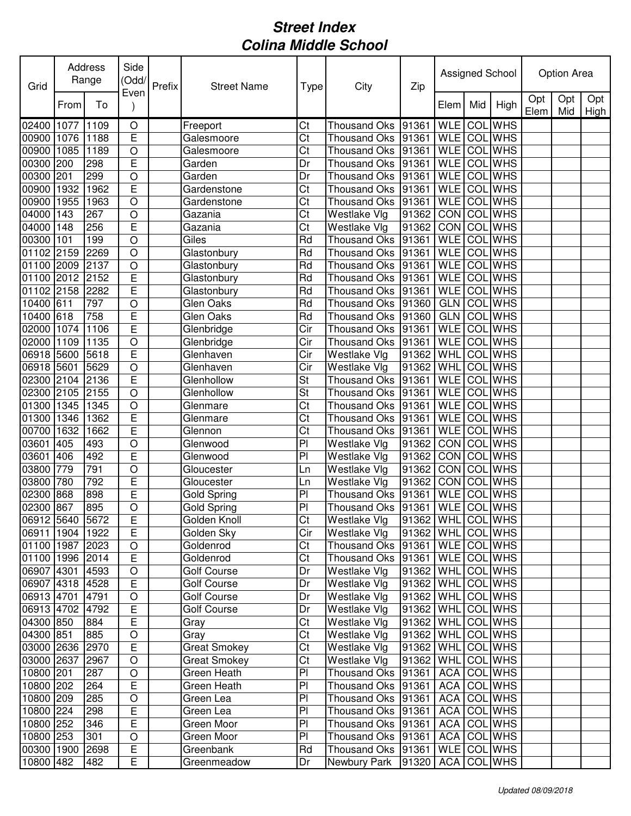| Grid            |      | Address<br>Range | Side<br>(Odd/<br>Even | Prefix | <b>Street Name</b>  | Type                   | City                              | Zip                 |            |     | Assigned School |             | Option Area |             |
|-----------------|------|------------------|-----------------------|--------|---------------------|------------------------|-----------------------------------|---------------------|------------|-----|-----------------|-------------|-------------|-------------|
|                 | From | To               |                       |        |                     |                        |                                   |                     | Elem       | Mid | High            | Opt<br>Elem | Opt<br>Mid  | Opt<br>High |
| 02400 1077      |      | 1109             | $\bigcirc$            |        | Freeport            | Ct                     | Thousand Oks                      | 91361               | <b>WLE</b> |     | <b>COL</b> WHS  |             |             |             |
| 00900 1076      |      | 1188             | E                     |        | Galesmoore          | Ct                     | Thousand Oks                      | 91361               | <b>WLE</b> |     | <b>COL</b> WHS  |             |             |             |
| 00900 1085      |      | 1189             | $\circ$               |        | Galesmoore          | Ct                     | Thousand Oks 91361                |                     | <b>WLE</b> |     | <b>COL</b> WHS  |             |             |             |
| 00300 200       |      | 298              | E                     |        | Garden              | Dr                     | Thousand Oks 91361                |                     | <b>WLE</b> | COL | <b>WHS</b>      |             |             |             |
| 00300 201       |      | 299              | $\circ$               |        | Garden              | Dr                     | Thousand Oks 91361                |                     | <b>WLE</b> |     | <b>COL WHS</b>  |             |             |             |
| 00900 1932      |      | 1962             | E                     |        | Gardenstone         | Ct                     | Thousand Oks 91361                |                     | <b>WLE</b> |     | <b>COL WHS</b>  |             |             |             |
| 00900 1955      |      | 1963             | $\circ$               |        | Gardenstone         | Ct                     | Thousand Oks                      | 91361               | <b>WLE</b> |     | <b>COL</b> WHS  |             |             |             |
| 04000 143       |      | 267              | $\circ$               |        | Gazania             | Ct                     | Westlake Vlg                      | 91362               | <b>CON</b> |     | <b>COL WHS</b>  |             |             |             |
| 04000 148       |      | 256              | E                     |        | Gazania             | Ct                     | Westlake Vlg                      | 91362               | <b>CON</b> |     | <b>COL WHS</b>  |             |             |             |
| 00300 101       |      | 199              | $\circ$               |        | Giles               | Rd                     | Thousand Oks                      | 91361               | <b>WLE</b> | COL | <b>WHS</b>      |             |             |             |
| 01102 2159      |      | 2269             | $\circ$               |        | Glastonbury         | Rd                     | Thousand Oks                      | 91361               | <b>WLE</b> | COL | <b>WHS</b>      |             |             |             |
| 01100 2009      |      | 2137             | $\circ$               |        | Glastonbury         | Rd                     | Thousand Oks 91361                |                     | <b>WLE</b> | COL | <b>WHS</b>      |             |             |             |
| 01100 2012      |      | 2152             | E                     |        | Glastonbury         | Rd                     | Thousand Oks 91361                |                     | <b>WLE</b> |     | <b>COL WHS</b>  |             |             |             |
| 01102 2158      |      | 2282             | Ē                     |        | Glastonbury         | Rd                     | <b>Thousand Oks</b>               | 91361               | <b>WLE</b> |     | <b>COL WHS</b>  |             |             |             |
| 10400 611       |      | 797              | $\overline{O}$        |        | Glen Oaks           | Rd                     | <b>Thousand Oks</b>               | 91360               | <b>GLN</b> |     | <b>COL WHS</b>  |             |             |             |
| 10400 618       |      | 758              | E                     |        | Glen Oaks           | Rd                     | <b>Thousand Oks</b>               | 91360               | <b>GLN</b> |     | <b>COL WHS</b>  |             |             |             |
| 02000 1074      |      | 1106             | E                     |        | Glenbridge          | Cir                    | <b>Thousand Oks</b>               | 91361               | <b>WLE</b> |     | <b>COL</b> WHS  |             |             |             |
| 02000 1109      |      | 1135             | $\circ$               |        | Glenbridge          | Cir                    | Thousand Oks 91361                |                     | <b>WLE</b> | COL | <b>WHS</b>      |             |             |             |
| 06918 5600      |      | 5618             | E                     |        | Glenhaven           | Cir                    | Westlake Vlg                      | 91362               | WHL        | COL | <b>WHS</b>      |             |             |             |
| 06918 5601      |      | 5629             | $\circ$               |        | Glenhaven           | Cir                    | Westlake Vlg                      | 91362               | <b>WHL</b> | COL | <b>WHS</b>      |             |             |             |
| 02300 2104      |      | 2136             | E                     |        | Glenhollow          | St                     | Thousand Oks 91361                |                     | <b>WLE</b> | COL | <b>WHS</b>      |             |             |             |
| 02300 2105      |      | 2155             | $\circ$               |        | Glenhollow          | St                     | Thousand Oks 91361                |                     | <b>WLE</b> |     | <b>COL WHS</b>  |             |             |             |
| 01300 1345      |      | 1345             | $\circ$               |        | Glenmare            | Ct                     | Thousand Oks                      | 91361               | <b>WLE</b> |     | <b>COL WHS</b>  |             |             |             |
| 01300 1346      |      | 1362             | E                     |        | Glenmare            | Ct                     | <b>Thousand Oks</b>               | 91361               | <b>WLE</b> | COL | <b>WHS</b>      |             |             |             |
| 00700 1632      |      | 1662             | E                     |        | Glennon             | Ct                     | Thousand Oks                      | 91361               | <b>WLE</b> |     | <b>COL WHS</b>  |             |             |             |
| 03601           | 405  | 493              | $\circ$               |        | Glenwood            | P <sub>1</sub>         | Westlake Vlg                      | 91362               | <b>CON</b> | COL | <b>WHS</b>      |             |             |             |
| 03601           | 406  | 492              | E                     |        | Glenwood            | P <sub>1</sub>         | Westlake Vlg                      | 91362               | <b>CON</b> | COL | <b>WHS</b>      |             |             |             |
| 03800 779       |      | 791              | $\circ$               |        | Gloucester          | Ln                     | Westlake Vlg                      | 91362               | <b>CON</b> | COL | <b>WHS</b>      |             |             |             |
| 03800 780       |      | 792              | E                     |        | Gloucester          | Ln                     | Westlake Vlg                      | 91362               | CON        | COL | <b>WHS</b>      |             |             |             |
| 02300 868       |      | 898              | E                     |        | Gold Spring         | PI                     | Thousand Oks                      | 91361               | <b>WLE</b> |     | <b>COL</b> WHS  |             |             |             |
| 02300 867       |      | 895              | $\circ$               |        | Gold Spring         | PI                     | Thousand Oks  91361   WLE COL WHS |                     |            |     |                 |             |             |             |
| 06912 5640 5672 |      |                  | E                     |        | Golden Knoll        | $\overline{\text{Ct}}$ | Westlake Vlg                      | 91362 WHL COL WHS   |            |     |                 |             |             |             |
| 06911 1904 1922 |      |                  | E                     |        | Golden Sky          | Cir                    | Westlake Vlg                      | 91362   WHL COL WHS |            |     |                 |             |             |             |
| 01100 1987 2023 |      |                  | $\circ$               |        | Goldenrod           | Ct                     | Thousand Oks 91361                |                     |            |     | WLE COL WHS     |             |             |             |
| 01100 1996 2014 |      |                  | E                     |        | Goldenrod           | Ct                     | Thousand Oks 91361                |                     |            |     | WLE COL WHS     |             |             |             |
| 06907 4301      |      | 4593             | $\circ$               |        | Golf Course         | Dr                     | Westlake Vlg                      | 91362               |            |     | WHL COL WHS     |             |             |             |
| 06907 4318      |      | 4528             | $\mathsf E$           |        | Golf Course         | Dr                     | Westlake Vlg                      | 91362               |            |     | WHL COL WHS     |             |             |             |
| 06913 4701      |      | 4791             | $\circ$               |        | <b>Golf Course</b>  | Dr                     | Westlake Vlg                      | 91362               |            |     | WHL COL WHS     |             |             |             |
| 06913 4702 4792 |      |                  | $\mathsf E$           |        | <b>Golf Course</b>  | Dr                     | Westlake Vlg                      | 91362   WHL COL WHS |            |     |                 |             |             |             |
| 04300 850       |      | 884              | E                     |        | Gray                | Ct                     | Westlake Vlg                      | 91362               | <b>WHL</b> |     | COL WHS         |             |             |             |
| 04300 851       |      | 885              | $\circ$               |        | Gray                | Ct                     | Westlake Vlg                      | 91362               | <b>WHL</b> |     | <b>COL</b> WHS  |             |             |             |
| 03000 2636      |      | 2970             | $\mathsf E$           |        | <b>Great Smokey</b> | Ct                     | Westlake Vlg                      | 91362               | WHL        |     | COL WHS         |             |             |             |
| 03000 2637      |      | 2967             | $\circ$               |        | <b>Great Smokey</b> | Ct                     | Westlake Vlg                      | 91362               | <b>WHL</b> |     | COL WHS         |             |             |             |
| 10800 201       |      | 287              | $\circ$               |        | Green Heath         | PI                     | Thousand Oks 91361                |                     | ACA        |     | COL WHS         |             |             |             |
| 10800 202       |      | 264              | $\mathsf E$           |        | Green Heath         | PI                     | Thousand Oks 91361                |                     | <b>ACA</b> |     | <b>COL WHS</b>  |             |             |             |
| 10800 209       |      | 285              | $\circ$               |        | Green Lea           | PI                     | Thousand Oks 91361                |                     | <b>ACA</b> |     | <b>COL WHS</b>  |             |             |             |
| 10800 224       |      | 298              | $\mathsf E$           |        | Green Lea           | PI                     | Thousand Oks 91361                |                     | ACA        |     | <b>COL WHS</b>  |             |             |             |
| 10800 252       |      | 346              | $\overline{E}$        |        | Green Moor          | PI                     | Thousand Oks 91361                |                     | <b>ACA</b> |     | <b>COL WHS</b>  |             |             |             |
| 10800 253       |      | 301              | $\bigcirc$            |        | Green Moor          | PI                     | Thousand Oks 91361                |                     | <b>ACA</b> |     | COL WHS         |             |             |             |
| 00300 1900      |      | 2698             | $\mathsf E$           |        | Greenbank           | Rd                     | Thousand Oks 91361                |                     |            |     | WLE COL WHS     |             |             |             |
| 10800 482       |      | 482              | E                     |        | Greenmeadow         | Dr                     | Newbury Park                      | 91320               |            |     | ACA COL WHS     |             |             |             |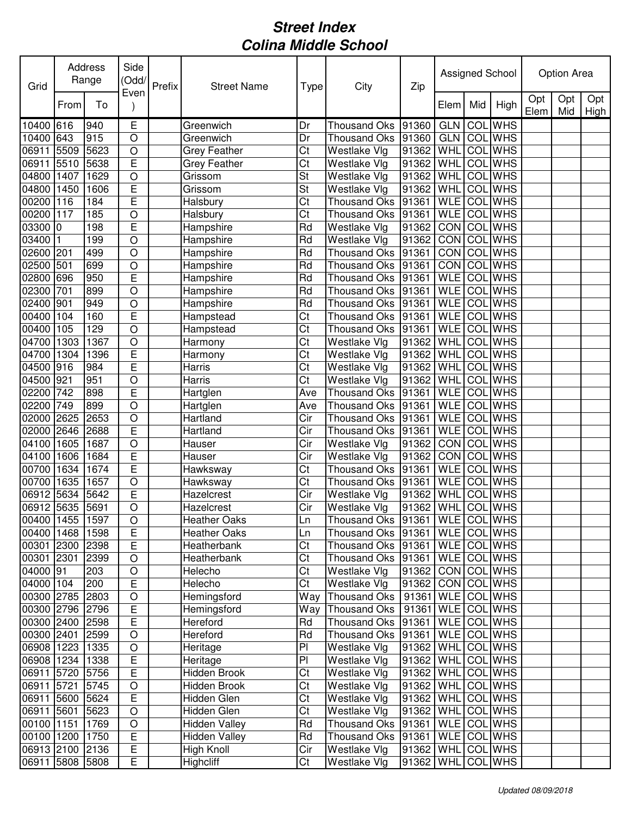| Grid            |      | Address<br>Range | Side<br>(Odd/  | Prefix | <b>Street Name</b>   | Type                   | City                                 | Zip                 |             |     | Assigned School |             | Option Area |             |
|-----------------|------|------------------|----------------|--------|----------------------|------------------------|--------------------------------------|---------------------|-------------|-----|-----------------|-------------|-------------|-------------|
|                 | From | To               | Even           |        |                      |                        |                                      |                     | Elem        | Mid | High            | Opt<br>Elem | Opt<br>Mid  | Opt<br>High |
| 10400           | 616  | 940              | E              |        | Greenwich            | Dr                     | <b>Thousand Oks</b>                  | 91360               | <b>GLN</b>  | COL | <b>WHS</b>      |             |             |             |
| 10400           | 643  | 915              | $\circ$        |        | Greenwich            | Dr                     | <b>Thousand Oks</b>                  | 91360               | GLN         | COL | <b>WHS</b>      |             |             |             |
| 06911           | 5509 | 5623             | $\circ$        |        | <b>Grey Feather</b>  | Ct                     | Westlake Vlg                         | 91362               | WHL         | COL | <b>WHS</b>      |             |             |             |
| 06911           | 5510 | 5638             | E              |        | <b>Grey Feather</b>  | Ct                     | Westlake Vlg                         | 91362               | <b>WHL</b>  | COL | <b>WHS</b>      |             |             |             |
| 04800 1407      |      | 1629             | $\bigcirc$     |        | Grissom              | St                     | Westlake Vlg                         | 91362               | WHL         |     | <b>COL</b> WHS  |             |             |             |
| 04800           | 1450 | 1606             | E              |        | Grissom              | St                     | <b>Westlake Vlg</b>                  | 91362               | WHL         | COL | <b>WHS</b>      |             |             |             |
| 00200           | 116  | 184              | E              |        | Halsbury             | Ct                     | <b>Thousand Oks</b>                  | 91361               | <b>WLE</b>  |     | <b>COL</b> WHS  |             |             |             |
| 00200           | 117  | 185              | $\circ$        |        | Halsbury             | Ct                     | Thousand Oks                         | 91361               | <b>WLE</b>  |     | <b>COL WHS</b>  |             |             |             |
| 03300 0         |      | 198              | E              |        | Hampshire            | Rd                     | Westlake Vlg                         | 91362               | CON COL WHS |     |                 |             |             |             |
| 03400           | 11   | 199              | $\circ$        |        | Hampshire            | Rd                     | Westlake Vlg                         | 91362               | CON         | COL | <b>WHS</b>      |             |             |             |
| 02600 201       |      | 499              | $\circ$        |        | Hampshire            | Rd                     | <b>Thousand Oks</b>                  | 91361               | CON         | COL | <b>WHS</b>      |             |             |             |
| 02500           | 501  | 699              | $\bigcirc$     |        | Hampshire            | Rd                     | Thousand Oks 91361                   |                     | CON         | COL | <b>WHS</b>      |             |             |             |
| 02800 696       |      | 950              | E              |        | Hampshire            | Rd                     | Thousand Oks 91361                   |                     | <b>WLE</b>  |     | <b>COL</b> WHS  |             |             |             |
| 02300           | 701  | 899              | $\overline{O}$ |        | Hampshire            | Rd                     | <b>Thousand Oks</b>                  | 91361               | <b>WLE</b>  |     | <b>COL WHS</b>  |             |             |             |
| 02400           | 901  | 949              | $\bigcirc$     |        | Hampshire            | Rd                     | <b>Thousand Oks</b>                  | 91361               | <b>WLE</b>  |     | <b>COL</b> WHS  |             |             |             |
| 00400           | 104  | 160              | E              |        | Hampstead            | Ct                     | <b>Thousand Oks</b>                  | 91361               | <b>WLE</b>  |     | <b>COL</b> WHS  |             |             |             |
| 00400           | 105  | 129              | $\overline{O}$ |        | Hampstead            | $\overline{\text{C}t}$ | Thousand Oks                         | 91361               | <b>WLE</b>  |     | <b>COL</b> WHS  |             |             |             |
| 04700           | 1303 | 1367             | $\circ$        |        | Harmony              | Ct                     | Westlake Vlg                         | 91362               | WHL         | COL | <b>WHS</b>      |             |             |             |
| 04700           | 1304 | 1396             | E              |        | Harmony              | Ct                     | Westlake Vlg                         | 91362               | WHL         | COL | <b>WHS</b>      |             |             |             |
| 04500           | 916  | 984              | E              |        | Harris               | Ct                     | Westlake Vlg                         | 91362               | WHL         | COL | <b>WHS</b>      |             |             |             |
| 04500 921       |      | 951              | $\circ$        |        | Harris               | Ct                     | Westlake Vlg                         | 91362               | WHL         | COL | <b>WHS</b>      |             |             |             |
| 02200           | 742  | 898              | E              |        | Hartglen             | Ave                    | Thousand Oks                         | 91361               | <b>WLE</b>  |     | <b>COL</b> WHS  |             |             |             |
| 02200           | 749  | 899              | $\circ$        |        | Hartglen             | Ave                    | <b>Thousand Oks</b>                  | 91361               | <b>WLE</b>  |     | COL WHS         |             |             |             |
| 02000           | 2625 | 2653             | $\circ$        |        | Hartland             | Cir                    | <b>Thousand Oks</b>                  | 91361               | <b>WLE</b>  |     | <b>COL</b> WHS  |             |             |             |
| 02000           | 2646 | 2688             | E              |        | Hartland             | Cir                    | <b>Thousand Oks</b>                  | 91361               | <b>WLE</b>  | COL | <b>WHS</b>      |             |             |             |
| 04100           | 1605 | 1687             | $\circ$        |        | Hauser               | Cir                    | Westlake Vlg                         | 91362               | CON         | COL | <b>WHS</b>      |             |             |             |
| 04100           | 1606 | 1684             | E              |        | Hauser               | Cir                    | Westlake Vlg                         | 91362               | CON         | COL | <b>WHS</b>      |             |             |             |
| 00700           | 1634 | 1674             | E              |        | Hawksway             | Ct                     | <b>Thousand Oks</b>                  | 91361               | <b>WLE</b>  | COL | <b>WHS</b>      |             |             |             |
| 00700           | 1635 | 1657             | $\bigcirc$     |        | Hawksway             | Ct                     | Thousand Oks 91361                   |                     | <b>WLE</b>  |     | <b>COL WHS</b>  |             |             |             |
| 06912           | 5634 | 5642             | E              |        | Hazelcrest           | Cir                    | Westlake Vlg                         | 91362               | WHL         |     | <b>COL</b> WHS  |             |             |             |
| 06912 5635      |      | 5691             | $\circ$        |        | Hazelcrest           | Cir                    | Westlake Vlg                         | 91362               | WHL COL WHS |     |                 |             |             |             |
| 00400 1455 1597 |      |                  | $\overline{O}$ |        | <b>Heather Oaks</b>  | Ln                     | Thousand Oks 91361 WLE COL WHS       |                     |             |     |                 |             |             |             |
| 00400 1468      |      | 1598             | E              |        | <b>Heather Oaks</b>  | Ln                     | Thousand Oks  91361   WLE   COL WHS  |                     |             |     |                 |             |             |             |
| 00301 2300 2398 |      |                  | E              |        | Heatherbank          | Ct                     | Thousand Oks   91361   WLE   COL WHS |                     |             |     |                 |             |             |             |
| 00301 2301      |      | 2399             | $\circ$        |        | Heatherbank          | Ct                     | Thousand Oks   91361                 |                     | WLE COL WHS |     |                 |             |             |             |
| 04000 91        |      | 203              | $\bigcirc$     |        | Helecho              | Ct                     | Westlake Vlg                         | 91362               | CON COL WHS |     |                 |             |             |             |
| 04000 104       |      | 200              | $\mathsf E$    |        | Helecho              | Ct                     | Westlake Vlg                         | 91362               | CON COL WHS |     |                 |             |             |             |
| 00300 2785 2803 |      |                  | $\bigcirc$     |        | Hemingsford          | Way                    | Thousand Oks   91361                 |                     | WLE COL WHS |     |                 |             |             |             |
| 00300 2796 2796 |      |                  | $\mathsf E$    |        | Hemingsford          | Way                    | Thousand Oks   91361                 |                     | WLE COL WHS |     |                 |             |             |             |
| 00300 2400 2598 |      |                  | $\mathsf E$    |        | Hereford             | Rd                     | Thousand Oks 91361                   |                     | WLE COL WHS |     |                 |             |             |             |
| 00300 2401      |      | 2599             | $\bigcirc$     |        | Hereford             | Rd                     | Thousand Oks 91361                   |                     | WLE COLWHS  |     |                 |             |             |             |
| 06908 1223      |      | 1335             | $\bigcirc$     |        | Heritage             | PI                     | Westlake Vlg                         | 91362   WHL COL WHS |             |     |                 |             |             |             |
| 06908 1234      |      | 1338             | $\mathsf E$    |        | Heritage             | PI                     | Westlake Vlg                         | 91362   WHL COL WHS |             |     |                 |             |             |             |
| 06911 5720      |      | 5756             | $\mathsf E$    |        | Hidden Brook         | Ct                     | Westlake Vlg                         | 91362   WHL COL WHS |             |     |                 |             |             |             |
| 06911 5721      |      | 5745             | $\bigcirc$     |        | Hidden Brook         | Ct                     | Westlake Vlg                         | 91362   WHL COL WHS |             |     |                 |             |             |             |
| 06911 5600 5624 |      |                  | E              |        | Hidden Glen          | Ct                     | Westlake Vlg                         | 91362   WHL COL WHS |             |     |                 |             |             |             |
| 06911 5601      |      | 5623             | $\bigcirc$     |        | Hidden Glen          | Ct                     | Westlake Vlg                         | 91362               | WHL COL WHS |     |                 |             |             |             |
| 00100 1151      |      | 1769             | $\bigcirc$     |        | <b>Hidden Valley</b> | Rd                     | Thousand Oks 91361                   |                     | WLE COL WHS |     |                 |             |             |             |
| 00100 1200      |      | 1750             | $\mathsf E$    |        | <b>Hidden Valley</b> | Rd                     | Thousand Oks 91361                   |                     | WLE COL WHS |     |                 |             |             |             |
| 06913 2100 2136 |      |                  | E              |        | High Knoll           | Cir                    | Westlake Vlg                         | 91362               | WHL COL WHS |     |                 |             |             |             |
| 06911 5808 5808 |      |                  | E              |        | Highcliff            | Ct                     | Westlake Vlg                         | 91362 WHL           |             |     | COL WHS         |             |             |             |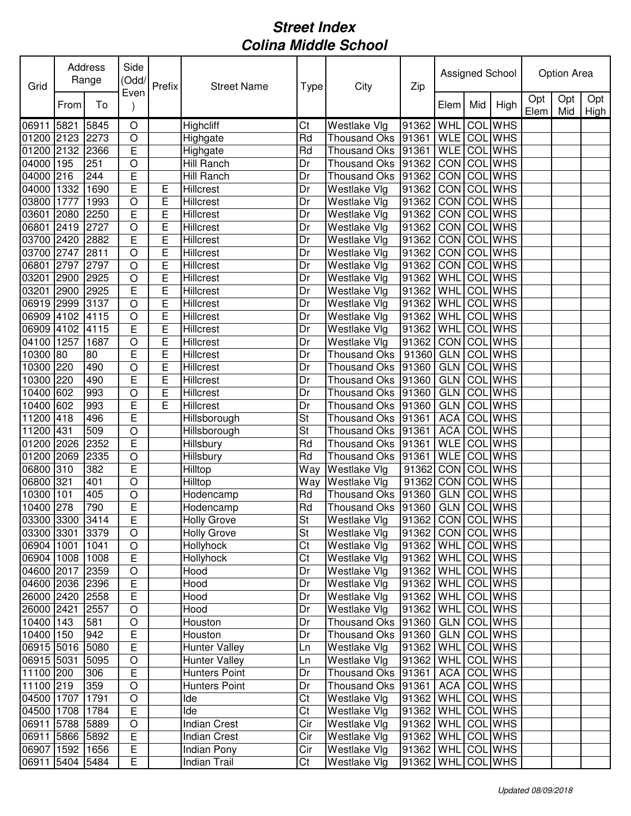| Grid            |      | Address<br>Range | Side<br>(Odd/  | Prefix | <b>Street Name</b>   | Type      | City                | Zip                 |             |     | Assigned School |             | Option Area |             |
|-----------------|------|------------------|----------------|--------|----------------------|-----------|---------------------|---------------------|-------------|-----|-----------------|-------------|-------------|-------------|
|                 | From | To               | Even           |        |                      |           |                     |                     | Elem        | Mid | High            | Opt<br>Elem | Opt<br>Mid  | Opt<br>High |
| 06911           | 5821 | 5845             | $\circ$        |        | <b>Highcliff</b>     | Ct        | Westlake Vlg        | 91362               | WHL         | COL | <b>WHS</b>      |             |             |             |
| 01200 2123      |      | 2273             | $\circ$        |        | Highgate             | Rd        | <b>Thousand Oks</b> | 91361               | <b>WLE</b>  |     | <b>COL</b> WHS  |             |             |             |
| 01200 2132      |      | 2366             | E              |        | Highgate             | Rd        | <b>Thousand Oks</b> | 91361               | <b>WLE</b>  | COL | <b>WHS</b>      |             |             |             |
| 04000 195       |      | 251              | $\circ$        |        | Hill Ranch           | Dr        | Thousand Oks 91362  |                     | CON         | COL | <b>WHS</b>      |             |             |             |
| 04000 216       |      | 244              | E              |        | Hill Ranch           | Dr        | Thousand Oks        | 91362               | CON         | COL | <b>WHS</b>      |             |             |             |
| 04000 1332      |      | 1690             | E              | Е      | Hillcrest            | Dr        | Westlake Vlg        | 91362               | CON         |     | <b>COL</b> WHS  |             |             |             |
| 03800 1777      |      | 1993             | $\circ$        | E      | Hillcrest            | Dr        | Westlake Vlg        | 91362               | CON         | COL | <b>WHS</b>      |             |             |             |
| 03601           | 2080 | 2250             | E              | E      | Hillcrest            | Dr        | Westlake Vlg        | 91362               | CON         |     | <b>COL</b> WHS  |             |             |             |
| 06801           | 2419 | 2727             | $\circ$        | E      | Hillcrest            | Dr        | Westlake Vlg        | 91362               | CON         | COL | <b>WHS</b>      |             |             |             |
| 03700 2420      |      | 2882             | E              | E      | Hillcrest            | Dr        | <b>Westlake Vlg</b> | 91362               | <b>CON</b>  | COL | <b>WHS</b>      |             |             |             |
| 03700 2747      |      | 2811             | $\circ$        | E      | Hillcrest            | Dr        | <b>Westlake Vlg</b> | 91362               | <b>CON</b>  | COL | <b>WHS</b>      |             |             |             |
| 06801           | 2797 | 2797             | $\circ$        | E      | Hillcrest            | Dr        | Westlake Vlg        | 91362               | <b>CON</b>  | COL | <b>WHS</b>      |             |             |             |
| 03201 2900      |      | 2925             | $\circ$        | E      | Hillcrest            | Dr        | Westlake Vlg        | 91362               | <b>WHL</b>  | COL | <b>WHS</b>      |             |             |             |
| 03201           | 2900 | 2925             | E              | E      | Hillcrest            | Dr        | Westlake Vlg        | 91362               | <b>WHL</b>  | COL | <b>WHS</b>      |             |             |             |
| 06919 2999      |      | 3137             | $\circ$        | E      | Hillcrest            | Dr        | Westlake Vlg        | 91362               | WHL         | COL | <b>WHS</b>      |             |             |             |
| 06909 4102      |      | 4115             | $\circ$        | E      | Hillcrest            | Dr        | Westlake Vlg        | 91362               | WHL         | COL | <b>WHS</b>      |             |             |             |
| 06909 4102      |      | 4115             | E              | E      | Hillcrest            | Dr        | Westlake Vlg        | 91362               | WHL         | COL | <b>WHS</b>      |             |             |             |
| 04100 1257      |      | 1687             | $\circ$        | E      | <b>Hillcrest</b>     | Dr        | Westlake Vlg        | 91362               | CON         | COL | <b>WHS</b>      |             |             |             |
| 10300 80        |      | 80               | E              | E      | Hillcrest            | Dr        | <b>Thousand Oks</b> | 91360               | <b>GLN</b>  | COL | <b>WHS</b>      |             |             |             |
| 10300           | 220  | 490              | $\circ$        | E      | Hillcrest            | Dr        | <b>Thousand Oks</b> | 91360               | <b>GLN</b>  | COL | <b>WHS</b>      |             |             |             |
| 10300           | 220  | 490              | E              | E      | Hillcrest            | Dr        | Thousand Oks        | 91360               | <b>GLN</b>  | COL | <b>WHS</b>      |             |             |             |
| 10400 602       |      | 993              | $\circ$        | E      | Hillcrest            | Dr        | <b>Thousand Oks</b> | 91360               | <b>GLN</b>  | COL | <b>WHS</b>      |             |             |             |
| 10400 602       |      | 993              | E              | E      | Hillcrest            | Dr        | Thousand Oks        | 91360               | <b>GLN</b>  |     | <b>COL</b> WHS  |             |             |             |
| 11200 418       |      | 496              | E              |        | Hillsborough         | St        | <b>Thousand Oks</b> | 91361               | <b>ACA</b>  | COL | <b>WHS</b>      |             |             |             |
| 11200 431       |      | 509              | $\circ$        |        | Hillsborough         | St        | <b>Thousand Oks</b> | 91361               | <b>ACA</b>  | COL | <b>WHS</b>      |             |             |             |
| 01200 2026      |      | 2352             | E              |        | Hillsbury            | Rd        | <b>Thousand Oks</b> | 91361               | <b>WLE</b>  | COL | <b>WHS</b>      |             |             |             |
| 01200 2069      |      | 2335             | $\circ$        |        | Hillsbury            | Rd        | Thousand Oks        | 91361               | <b>WLE</b>  | COL | <b>WHS</b>      |             |             |             |
| 06800 310       |      | 382              | E              |        | Hilltop              | Way       | Westlake Vlg        | 91362               | CON         | COL | <b>WHS</b>      |             |             |             |
| 06800 321       |      | 401              | $\circ$        |        | Hilltop              | Way       | Westlake Vlg        | 91362               | CON         | COL | <b>WHS</b>      |             |             |             |
| 10300 101       |      | 405              | $\bigcirc$     |        | Hodencamp            | Rd        | Thousand Oks        | 91360               | <b>GLN</b>  | COL | <b>WHS</b>      |             |             |             |
| 10400 278       |      | 790              | E              |        | Hodencamp            | Rd        | Thousand Oks 91360  |                     | GLN COL WHS |     |                 |             |             |             |
| 03300 3300 3414 |      |                  | E              |        | <b>Holly Grove</b>   | St        | Westlake Vlg        | 91362 CON COL WHS   |             |     |                 |             |             |             |
| 03300 3301 3379 |      |                  | $\circ$        |        | <b>Holly Grove</b>   | <b>St</b> | Westlake Vlg        | 91362   CON COL WHS |             |     |                 |             |             |             |
| 06904 1001      |      | 1041             | $\bigcirc$     |        | Hollyhock            | Ct        | Westlake Vlg        | 91362               |             |     | WHL COL WHS     |             |             |             |
| 06904 1008      |      | 1008             | E              |        | Hollyhock            | Ct        | Westlake Vlg        | 91362 WHL COL WHS   |             |     |                 |             |             |             |
| 04600 2017 2359 |      |                  | $\bigcirc$     |        | Hood                 | Dr        | Westlake Vlg        | 91362               | <b>WHL</b>  |     | COL WHS         |             |             |             |
| 04600 2036      |      | 2396             | $\mathsf E$    |        | Hood                 | Dr        | Westlake Vlg        | 91362               | <b>WHL</b>  |     | COL WHS         |             |             |             |
| 26000 2420 2558 |      |                  | $\mathsf E$    |        | Hood                 | Dr        | Westlake Vlg        | 91362               |             |     | WHL COL WHS     |             |             |             |
| 26000 2421      |      | 2557             | $\circ$        |        | Hood                 | Dr        | Westlake Vlg        | 91362               |             |     | WHL COL WHS     |             |             |             |
| 10400 143       |      | 581              | $\bigcirc$     |        | Houston              | Dr        | Thousand Oks 91360  |                     | <b>GLN</b>  |     | COL WHS         |             |             |             |
| 10400 150       |      | 942              | E              |        | Houston              | Dr        | Thousand Oks 91360  |                     | <b>GLN</b>  |     | COL WHS         |             |             |             |
| 06915 5016      |      | 5080             | E              |        | <b>Hunter Valley</b> | Ln        | Westlake Vlg        | 91362               | <b>WHL</b>  |     | COL WHS         |             |             |             |
| 06915 5031      |      | 5095             | $\bigcirc$     |        | Hunter Valley        | Ln        | Westlake Vlg        | 91362               | WHL         |     | COL WHS         |             |             |             |
| 11100 200       |      | 306              | E              |        | Hunters Point        | Dr        | Thousand Oks 91361  |                     | <b>ACA</b>  |     | COL WHS         |             |             |             |
| 11100 219       |      | 359              | $\circ$        |        | Hunters Point        | Dr        | Thousand Oks 91361  |                     | <b>ACA</b>  |     | COL WHS         |             |             |             |
| 04500 1707      |      | 1791             | $\circ$        |        | Ide                  | Ct        | Westlake Vlg        | 91362               | WHL         |     | COL WHS         |             |             |             |
| 04500 1708      |      | 1784             | $\mathsf E$    |        | Ide                  | Ct        | Westlake Vlg        | 91362               | <b>WHL</b>  |     | <b>COL WHS</b>  |             |             |             |
| 06911 5788      |      | 5889             | $\bigcirc$     |        | <b>Indian Crest</b>  | Cir       | Westlake Vlg        | 91362               | <b>WHL</b>  |     | COL WHS         |             |             |             |
| 06911 5866      |      | 5892             | $\mathsf E$    |        | <b>Indian Crest</b>  | Cir       | Westlake Vlg        | 91362               | WHL         |     | COL WHS         |             |             |             |
| 06907 1592      |      | 1656             | $\overline{E}$ |        | Indian Pony          | Cir       | Westlake Vlg        | 91362               | <b>WHL</b>  |     | COL WHS         |             |             |             |
| 06911 5404 5484 |      |                  | E              |        | Indian Trail         | Ct        | Westlake Vlg        | 91362               | <b>WHL</b>  |     | COL WHS         |             |             |             |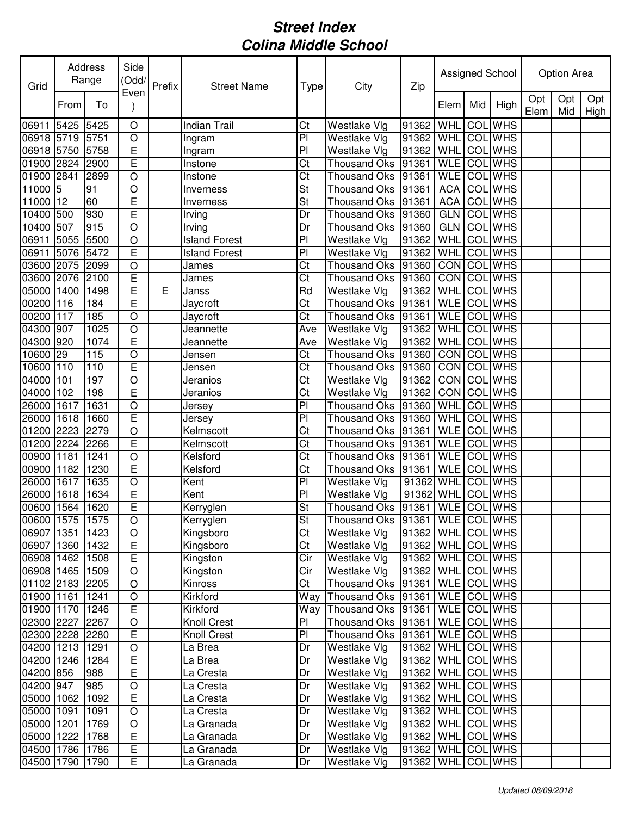| Grid            |      | Address<br>Range | Side<br>(Odd/           | Prefix | <b>Street Name</b>   | Type                   | City                                | Zip                 |                    |     | Assigned School |             | Option Area |             |
|-----------------|------|------------------|-------------------------|--------|----------------------|------------------------|-------------------------------------|---------------------|--------------------|-----|-----------------|-------------|-------------|-------------|
|                 | From | To               | Even                    |        |                      |                        |                                     |                     | Elem               | Mid | High            | Opt<br>Elem | Opt<br>Mid  | Opt<br>High |
| 06911 5425 5425 |      |                  | O                       |        | <b>Indian Trail</b>  | Ct                     | Westlake Vlg                        | 91362 WHL           |                    |     | <b>COL</b> WHS  |             |             |             |
| 06918 5719 5751 |      |                  | $\circ$                 |        | Ingram               | PI                     | Westlake Vlg                        | 91362               | WHL COL WHS        |     |                 |             |             |             |
| 06918 5750      |      | 5758             | $\overline{E}$          |        | Ingram               | PI                     | Westlake Vlg                        | 91362               | WHL                |     | COL WHS         |             |             |             |
| 01900 2824      |      | 2900             | $\overline{\mathsf{E}}$ |        | Instone              | Ct                     | Thousand Oks 91361                  |                     | <b>WLE</b>         | COL | <b>WHS</b>      |             |             |             |
| 01900 2841      |      | 2899             | $\overline{O}$          |        | Instone              | Ct                     | Thousand Oks 91361                  |                     | <b>WLE</b>         |     | COL WHS         |             |             |             |
| 11000 5         |      | 91               | $\bigcirc$              |        | Inverness            | St                     | Thousand Oks 91361                  |                     | <b>ACA</b>         |     | <b>COL</b> WHS  |             |             |             |
| 11000 12        |      | 60               | $\overline{E}$          |        | Inverness            | St                     | Thousand Oks 91361                  |                     | <b>ACA</b>         |     | COL WHS         |             |             |             |
| 10400 500       |      | 930              | E                       |        | Irving               | Dr                     | Thousand Oks 91360                  |                     | GLN                |     | COL WHS         |             |             |             |
| 10400 507       |      | 915              | $\circ$                 |        | Irving               | Dr                     | Thousand Oks 91360                  |                     | <b>GLN</b>         |     | <b>COL</b> WHS  |             |             |             |
| 06911 5055      |      | 5500             | $\bigcirc$              |        | <b>Island Forest</b> | PI                     | Westlake VIg                        | 91362               | WHL                |     | <b>COL</b> WHS  |             |             |             |
| 06911 5076      |      | 5472             | $\overline{E}$          |        | <b>Island Forest</b> | PI                     | Westlake Vlg                        | 91362 WHL           |                    |     | <b>COL</b> WHS  |             |             |             |
| 03600 2075      |      | 2099             | $\bigcirc$              |        | James                | Ct                     | Thousand Oks 91360                  |                     | <b>CON COL WHS</b> |     |                 |             |             |             |
| 03600 2076      |      | 2100             | E                       |        | James                | $\overline{\text{C}t}$ | Thousand Oks 91360                  |                     | CON COL WHS        |     |                 |             |             |             |
| 05000 1400      |      | 1498             | $\mathsf E$             | Е      | Janss                | Rd                     | Westlake VIg                        | 91362               | WHL COL WHS        |     |                 |             |             |             |
| 00200 116       |      | 184              | $\overline{E}$          |        | Jaycroft             | $\overline{\text{C}t}$ | Thousand Oks 91361                  |                     | WLE COL WHS        |     |                 |             |             |             |
| 00200 117       |      | 185              | $\bigcirc$              |        | Jaycroft             | $\overline{\text{C}t}$ | Thousand Oks 91361                  |                     | <b>WLE</b> COL WHS |     |                 |             |             |             |
| 04300 907       |      | 1025             | $\bigcirc$              |        | Jeannette            | Ave                    | Westlake Vlg                        | 91362               | WHL                |     | <b>COL WHS</b>  |             |             |             |
| 04300           | 920  | 1074             | E                       |        | Jeannette            | Ave                    | Westlake Vlg                        | 91362               | WHL                |     | COL WHS         |             |             |             |
| 10600           | 29   | 115              | $\circ$                 |        | Jensen               | Ct                     | Thousand Oks                        | 91360               | <b>CON</b>         |     | <b>COL WHS</b>  |             |             |             |
| 10600           | 110  | 110              | E                       |        | Jensen               | Ct                     | Thousand Oks 91360                  |                     | CON COL WHS        |     |                 |             |             |             |
| 04000           | 101  | 197              | $\circ$                 |        | Jeranios             | Ct                     | Westlake Vlg                        | 91362               | CON COL WHS        |     |                 |             |             |             |
| 04000           | 102  | 198              | E                       |        | Jeranios             | Ct                     | Westlake Vlg                        | 91362               | CON COL WHS        |     |                 |             |             |             |
| 26000 1617      |      | 1631             | $\bigcirc$              |        | Jersey               | P <sub>1</sub>         | Thousand Oks 91360                  |                     | WHL COL WHS        |     |                 |             |             |             |
| 26000 1618      |      | 1660             | $\overline{E}$          |        | Jersey               | PI                     | Thousand Oks 91360                  |                     | WHL                |     | <b>COL</b> WHS  |             |             |             |
| 01200 2223      |      | 2279             | $\bigcirc$              |        | Kelmscott            | Ct                     | Thousand Oks 91361                  |                     | <b>WLE</b>         |     | COL WHS         |             |             |             |
| 01200 2224      |      | 2266             | $\overline{E}$          |        | Kelmscott            | Ct                     | Thousand Oks 91361                  |                     | <b>WLE</b>         |     | <b>COL</b> WHS  |             |             |             |
| 00900 1181      |      | 1241             | $\bigcirc$              |        | Kelsford             | Ct                     | Thousand Oks 91361                  |                     | <b>WLE</b>         |     | <b>COL</b> WHS  |             |             |             |
| 00900 1182      |      | 1230             | $\overline{E}$          |        | Kelsford             | Ct                     | Thousand Oks 91361                  |                     | <b>WLE</b>         |     | <b>COL WHS</b>  |             |             |             |
| 26000 1617      |      | 1635             | $\bigcirc$              |        | Kent                 | PI                     | Westlake Vlg                        | 91362 WHL COL       |                    |     | <b>WHS</b>      |             |             |             |
| 26000 1618      |      | 1634             | $\mathsf E$             |        | Kent                 | PI                     | Westlake Vlg                        | 91362 WHL           |                    |     | <b>COL</b> WHS  |             |             |             |
| 00600 1564 1620 |      |                  | $\mathsf E$             |        | Kerryglen            | St                     | Thousand Oks  91361   WLE   COL WHS |                     |                    |     |                 |             |             |             |
| 00600 1575 1575 |      |                  | $\overline{O}$          |        | Kerryglen            | St                     | Thousand Oks 91361 WLE COL WHS      |                     |                    |     |                 |             |             |             |
| 06907 1351      |      | 1423             | $\circ$                 |        | Kingsboro            | Ct                     | Westlake Vlg                        | 91362   WHL COL WHS |                    |     |                 |             |             |             |
| 06907 1360      |      | 1432             | $\mathsf E$             |        | Kingsboro            | C <sub>t</sub>         | Westlake Vlg                        | 91362   WHL COL WHS |                    |     |                 |             |             |             |
| 06908 1462      |      | 1508             | $\overline{E}$          |        | Kingston             | Cir                    | Westlake Vlg                        | 91362 WHL COL WHS   |                    |     |                 |             |             |             |
| 06908 1465 1509 |      |                  | $\bigcirc$              |        | Kingston             | Cir                    | Westlake Vlg                        | 91362 WHL COL WHS   |                    |     |                 |             |             |             |
| 01102 2183 2205 |      |                  | $\circ$                 |        | Kinross              | Ct                     | Thousand Oks 91361                  |                     | WLE COL WHS        |     |                 |             |             |             |
| 01900 1161      |      | 1241             | $\bigcirc$              |        | Kirkford             | Way                    | Thousand Oks 91361                  |                     | WLE COL WHS        |     |                 |             |             |             |
| 01900 1170      |      | 1246             | $\mathsf E$             |        | Kirkford             | Way                    | Thousand Oks 91361                  |                     | WLE COL WHS        |     |                 |             |             |             |
| 02300 2227      |      | 2267             | $\bigcirc$              |        | <b>Knoll Crest</b>   | PI                     | Thousand Oks 91361                  |                     | WLE COL WHS        |     |                 |             |             |             |
| 02300 2228 2280 |      |                  | $\mathsf E$             |        | <b>Knoll Crest</b>   | PI                     | Thousand Oks 91361                  |                     | WLE COL WHS        |     |                 |             |             |             |
| 04200 1213      |      | 1291             | $\bigcirc$              |        | La Brea              | Dr                     | Westlake Vlg                        | 91362 WHL           |                    |     | <b>COL</b> WHS  |             |             |             |
| 04200 1246      |      | 1284             | $\mathsf E$             |        | La Brea              | Dr                     | Westlake Vlg                        | 91362 WHL           |                    |     | <b>COL</b> WHS  |             |             |             |
| 04200 856       |      | 988              | $\mathsf E$             |        | La Cresta            | Dr                     | Westlake Vlg                        | 91362               | WHL COL WHS        |     |                 |             |             |             |
| 04200 947       |      | 985              | $\bigcirc$              |        | La Cresta            | Dr                     | Westlake Vlg                        | 91362   WHL COL WHS |                    |     |                 |             |             |             |
| 05000 1062      |      | 1092             | $\mathsf E$             |        | La Cresta            | Dr                     | Westlake Vlg                        | 91362   WHL COL WHS |                    |     |                 |             |             |             |
| 05000 1091      |      | 1091             | $\bigcirc$              |        | La Cresta            | Dr                     | Westlake Vlg                        | 91362   WHL COL WHS |                    |     |                 |             |             |             |
| 05000 1201      |      | 1769             | $\bigcirc$              |        | La Granada           | Dr                     | Westlake Vlg                        | 91362   WHL COL WHS |                    |     |                 |             |             |             |
| 05000 1222      |      | 1768             | $\mathsf E$             |        | La Granada           | Dr                     | Westlake Vlg                        | 91362               | WHL COL WHS        |     |                 |             |             |             |
| 04500 1786      |      | 1786             | $\mathsf E$             |        | La Granada           | Dr                     | <b>Westlake Vlg</b>                 | 91362               | WHL COLWHS         |     |                 |             |             |             |
| 04500 1790      |      | 1790             | E                       |        |                      |                        | Westlake Vlg                        |                     | <b>WHL</b>         |     | COL WHS         |             |             |             |
|                 |      |                  |                         |        | La Granada           | Dr                     |                                     | 91362               |                    |     |                 |             |             |             |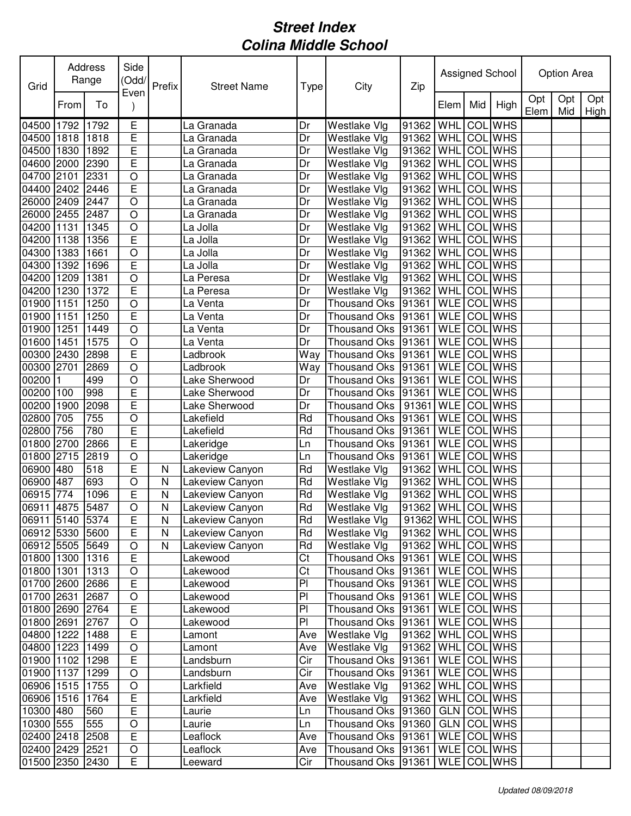| Grid            |      | Address<br>Range | Side<br>(Odd/<br>Even | Prefix                  | <b>Street Name</b> | Type | City                                | Zip                 |                    |     | Assigned School |             | Option Area |             |
|-----------------|------|------------------|-----------------------|-------------------------|--------------------|------|-------------------------------------|---------------------|--------------------|-----|-----------------|-------------|-------------|-------------|
|                 | From | To               |                       |                         |                    |      |                                     |                     | Elem               | Mid | High            | Opt<br>Elem | Opt<br>Mid  | Opt<br>High |
| 04500           | 1792 | 1792             | Е                     |                         | La Granada         | Dr   | Westlake Vlg                        | 91362               | WHL                |     | <b>COL</b> WHS  |             |             |             |
| 04500           | 1818 | 1818             | E                     |                         | La Granada         | Dr   | Westlake Vlg                        | 91362               | WHL                |     | COL WHS         |             |             |             |
| 04500           | 1830 | 1892             | E                     |                         | La Granada         | Dr   | Westlake Vlg                        | 91362               | WHL                | COL | <b>WHS</b>      |             |             |             |
| 04600 2000      |      | 2390             | E                     |                         | La Granada         | Dr   | Westlake Vlg                        | 91362               | <b>WHL</b>         |     | <b>COL</b> WHS  |             |             |             |
| 04700 2101      |      | 2331             | $\bigcirc$            |                         | La Granada         | Dr   | Westlake Vlg                        | 91362               | <b>WHL</b>         |     | <b>COL</b> WHS  |             |             |             |
| 04400 2402      |      | 2446             | $\overline{E}$        |                         | La Granada         | Dr   | Westlake Vlg                        | 91362               | WHL                |     | <b>COL</b> WHS  |             |             |             |
| 26000 2409      |      | 2447             | $\bigcirc$            |                         | La Granada         | Dr   | Westlake Vlg                        | 91362               | WHL                |     | <b>COL</b> WHS  |             |             |             |
| 26000 2455      |      | 2487             | $\circ$               |                         | La Granada         | Dr   | Westlake Vlg                        | 91362               | WHL                |     | <b>COL</b> WHS  |             |             |             |
| 04200 1131      |      | 1345             | $\bigcirc$            |                         | La Jolla           | Dr   | Westlake Vlg                        | 91362               | WHL                |     | <b>COL</b> WHS  |             |             |             |
| 04200           | 1138 | 1356             | E                     |                         | La Jolla           | Dr   | Westlake Vlg                        | 91362               | WHL                |     | <b>COL</b> WHS  |             |             |             |
| 04300 1383      |      | 1661             | $\circ$               |                         | La Jolla           | Dr   | Westlake Vlg                        | 91362               | WHL                |     | <b>COL</b> WHS  |             |             |             |
| 04300           | 1392 | 1696             | E                     |                         | La Jolla           | Dr   | Westlake Vlg                        | 91362               | WHL                | COL | <b>WHS</b>      |             |             |             |
| 04200 1209      |      | 1381             | $\circ$               |                         | La Peresa          | Dr   | Westlake Vlg                        | 91362               | WHL                |     | <b>COL</b> WHS  |             |             |             |
| 04200 1230      |      | 1372             | E                     |                         | La Peresa          | Dr   | Westlake Vlg                        | 91362               | <b>WHL</b>         |     | <b>COL</b> WHS  |             |             |             |
| 01900 1151      |      | 1250             | $\bigcirc$            |                         | La Venta           | Dr   | Thousand Oks 91361                  |                     | <b>WLE</b>         |     | <b>COL WHS</b>  |             |             |             |
| 01900           | 1151 | 1250             | E                     |                         | La Venta           | Dr   | <b>Thousand Oks</b>                 | 91361               | <b>WLE</b>         |     | <b>COL</b> WHS  |             |             |             |
| 01900           | 1251 | 1449             | $\overline{O}$        |                         | La Venta           | Dr   | <b>Thousand Oks</b>                 | 91361               | <b>WLE</b>         |     | <b>COL</b> WHS  |             |             |             |
| 01600           | 1451 | 1575             | $\circ$               |                         | La Venta           | Dr   | Thousand Oks                        | 91361               | <b>WLE</b>         |     | <b>COL</b> WHS  |             |             |             |
| 00300           | 2430 | 2898             | E                     |                         | Ladbrook           | Way  | Thousand Oks 91361                  |                     | <b>WLE</b>         |     | <b>COL</b> WHS  |             |             |             |
| 00300           | 2701 | 2869             | $\circ$               |                         | Ladbrook           | Way  | Thousand Oks 91361                  |                     | <b>WLE</b>         |     | COL WHS         |             |             |             |
| 00200           |      | 499              | $\circ$               |                         | Lake Sherwood      | Dr   | Thousand Oks 91361                  |                     | <b>WLE</b>         |     | <b>COL</b> WHS  |             |             |             |
| 00200 100       |      | 998              | $\overline{E}$        |                         | Lake Sherwood      | Dr   | Thousand Oks 91361                  |                     | <b>WLE</b>         |     | <b>COL</b> WHS  |             |             |             |
| 00200 1900      |      | 2098             | E                     |                         | Lake Sherwood      | Dr   | Thousand Oks                        | 91361               | <b>WLE</b>         |     | <b>COL</b> WHS  |             |             |             |
| 02800           | 705  | 755              | $\bigcirc$            |                         | Lakefield          | Rd   | Thousand Oks                        | 91361               | <b>WLE</b>         |     | <b>COL</b> WHS  |             |             |             |
| 02800           | 756  | 780              | E                     |                         | Lakefield          | Rd   | Thousand Oks 91361                  |                     | <b>WLE</b>         |     | COL WHS         |             |             |             |
| 01800           | 2700 | 2866             | Ε                     |                         | Lakeridge          | Ln   | Thousand Oks                        | 91361               | <b>WLE</b>         |     | <b>COL</b> WHS  |             |             |             |
| 01800           | 2715 | 2819             | $\circ$               |                         | Lakeridge          | Ln   | Thousand Oks 91361                  |                     | <b>WLE</b>         | COL | <b>WHS</b>      |             |             |             |
| 06900 480       |      | 518              | E                     | N                       | Lakeview Canyon    | Rd   | Westlake Vlg                        | 91362               | WHL                | COL | <b>WHS</b>      |             |             |             |
| 06900 487       |      | 693              | $\circ$               | N                       | Lakeview Canyon    | Rd   | Westlake Vlg                        | 91362               | WHL                | COL | <b>WHS</b>      |             |             |             |
| 06915 774       |      | 1096             | E                     | N                       | Lakeview Canyon    | Rd   | Westlake Vlg                        | 91362               | WHL                |     | <b>COL</b> WHS  |             |             |             |
| 06911 4875 5487 |      |                  | $\circ$               | N                       | Lakeview Canyon    | Rd   | Westlake Vlg                        | 91362   WHL COL WHS |                    |     |                 |             |             |             |
| 06911 5140 5374 |      |                  | E                     | $\overline{\mathsf{N}}$ | Lakeview Canyon    | Rd   | Westlake Vlg                        | 91362 WHL COL WHS   |                    |     |                 |             |             |             |
| 06912 5330 5600 |      |                  | $\mathsf E$           | N                       | Lakeview Canyon    | Rd   | Westlake Vlg                        | 91362   WHL COL WHS |                    |     |                 |             |             |             |
| 06912 5505 5649 |      |                  | $\bigcirc$            | N                       | Lakeview Canyon    | Rd   | Westlake Vlg                        | 91362   WHL COL WHS |                    |     |                 |             |             |             |
| 01800 1300 1316 |      |                  | E                     |                         | Lakewood           | Ct   | Thousand Oks  91361   WLE   COL WHS |                     |                    |     |                 |             |             |             |
| 01800 1301      |      | 1313             | O                     |                         | Lakewood           | Ct   | Thousand Oks 91361                  |                     | <b>WLE</b> COL WHS |     |                 |             |             |             |
| 01700 2600 2686 |      |                  | E                     |                         | Lakewood           | PI   | Thousand Oks 91361                  |                     | WLE COL WHS        |     |                 |             |             |             |
| 01700 2631      |      | 2687             | $\bigcirc$            |                         | Lakewood           | PI   | Thousand Oks 91361                  |                     | WLE COLWHS         |     |                 |             |             |             |
| 01800 2690 2764 |      |                  | $\mathsf E$           |                         | Lakewood           | PI   | Thousand Oks 91361                  |                     | WLE COL WHS        |     |                 |             |             |             |
| 01800 2691      |      | 2767             | $\bigcirc$            |                         | Lakewood           | PI   | Thousand Oks 91361                  |                     | WLE COL WHS        |     |                 |             |             |             |
| 04800 1222      |      | 1488             | E                     |                         | Lamont             | Ave  | Westlake Vlg                        | 91362   WHL COL WHS |                    |     |                 |             |             |             |
| 04800 1223      |      | 1499             | $\bigcirc$            |                         | Lamont             | Ave  | Westlake Vlg                        | 91362   WHL COL WHS |                    |     |                 |             |             |             |
| 01900 1102      |      | 1298             | $\mathsf E$           |                         | Landsburn          | Cir  | Thousand Oks 91361                  |                     | WLE COL WHS        |     |                 |             |             |             |
| 01900 1137      |      | 1299             | $\bigcirc$            |                         | Landsburn          | Cir  | Thousand Oks 91361                  |                     | WLE COL WHS        |     |                 |             |             |             |
| 06906 1515      |      | 1755             | $\bigcirc$            |                         | Larkfield          | Ave  | Westlake Vlg                        | 91362   WHL COL WHS |                    |     |                 |             |             |             |
| 06906 1516      |      | 1764             | E                     |                         | Larkfield          | Ave  | Westlake Vlg                        | 91362   WHL COL WHS |                    |     |                 |             |             |             |
| 10300 480       |      | 560              | E                     |                         | Laurie             | Ln   | Thousand Oks   91360                |                     |                    |     | GLN COL WHS     |             |             |             |
| 10300 555       |      | 555              | $\bigcirc$            |                         | Laurie             | Ln   | Thousand Oks 91360                  |                     |                    |     | GLN COL WHS     |             |             |             |
| 02400 2418      |      | 2508             | $\mathsf E$           |                         | Leaflock           | Ave  | Thousand Oks 91361                  |                     | WLE COL WHS        |     |                 |             |             |             |
| 02400 2429 2521 |      |                  | $\mathsf O$           |                         | Leaflock           | Ave  | Thousand Oks 91361                  |                     | WLE COL WHS        |     |                 |             |             |             |
| 01500 2350 2430 |      |                  | Ε                     |                         | Leeward            | Cir  | Thousand Oks 91361                  |                     | WLE COL WHS        |     |                 |             |             |             |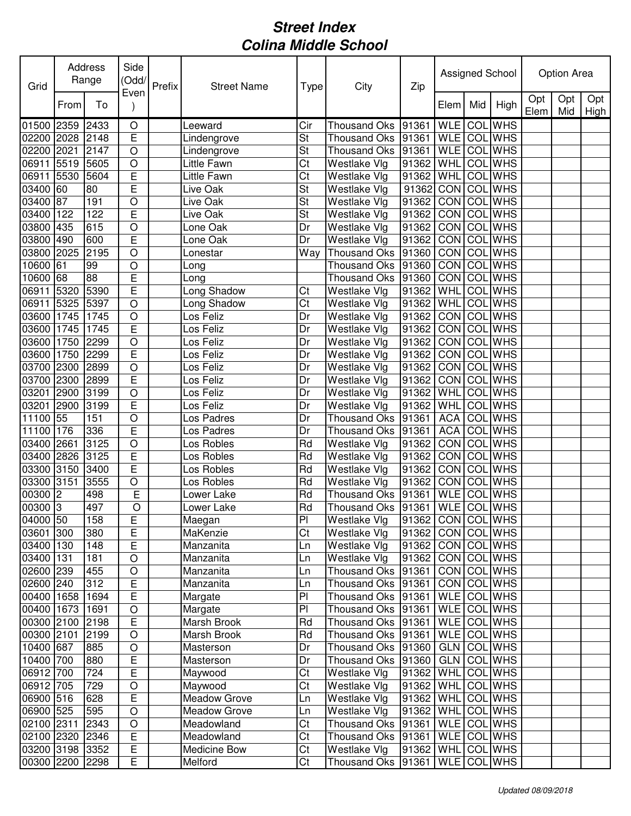| Grid                 |      | Address<br>Range | Side<br>(Odd/<br>Even   | Prefix | <b>Street Name</b> | Type            | City                                | Zip                 |                |     | Assigned School |             | Option Area |             |
|----------------------|------|------------------|-------------------------|--------|--------------------|-----------------|-------------------------------------|---------------------|----------------|-----|-----------------|-------------|-------------|-------------|
|                      | From | To               |                         |        |                    |                 |                                     |                     | Elem           | Mid | High            | Opt<br>Elem | Opt<br>Mid  | Opt<br>High |
| 01500 2359           |      | 2433             | $\bigcirc$              |        | Leeward            | Cir             | <b>Thousand Oks</b>                 | 91361               | <b>WLE</b>     |     | <b>COL</b> WHS  |             |             |             |
| 02200                | 2028 | 2148             | $\overline{E}$          |        | Lindengrove        | St              | <b>Thousand Oks</b>                 | 91361               | <b>WLE</b>     |     | <b>COL</b> WHS  |             |             |             |
| 02200                | 2021 | 2147             | $\circ$                 |        | Lindengrove        | St              | Thousand Oks                        | 91361               | <b>WLE</b>     | COL | <b>WHS</b>      |             |             |             |
| 06911                | 5519 | 5605             | $\bigcirc$              |        | Little Fawn        | Ct              | Westlake Vlg                        | 91362               | <b>WHL</b>     |     | COL WHS         |             |             |             |
| 06911                | 5530 | 5604             | $\overline{E}$          |        | Little Fawn        | Ct              | Westlake Vlg                        | 91362               | WHL COL WHS    |     |                 |             |             |             |
| 03400 60             |      | 80               | E                       |        | Live Oak           | St              | Westlake Vlg                        | 91362 CON COL WHS   |                |     |                 |             |             |             |
| 03400 87             |      | 191              | $\bigcirc$              |        | Live Oak           | St              | <b>Westlake Vlg</b>                 | 91362               | CON COL WHS    |     |                 |             |             |             |
| 03400 122            |      | 122              | $\mathsf E$             |        | Live Oak           | St              | Westlake Vlg                        | 91362               | CON COL WHS    |     |                 |             |             |             |
| 03800 435            |      | 615              | $\bigcirc$              |        | Lone Oak           | Dr              | Westlake Vlg                        | 91362               | CON COL WHS    |     |                 |             |             |             |
| 03800 490            |      | 600              | E                       |        | Lone Oak           | Dr              | Westlake Vlg                        | 91362               | CON COL WHS    |     |                 |             |             |             |
| 03800 2025           |      | 2195             | $\circ$                 |        | Lonestar           | Way             | Thousand Oks 91360                  |                     | CON COL WHS    |     |                 |             |             |             |
| 10600 61             |      | 99               | $\bigcirc$              |        | Long               |                 | Thousand Oks                        | 91360               | <b>CON COL</b> |     | <b>WHS</b>      |             |             |             |
| 10600 68             |      | $\frac{8}{2}$    | E                       |        | Long               |                 | Thousand Oks 91360                  |                     | CON COL WHS    |     |                 |             |             |             |
| 06911                | 5320 | 5390             | $\overline{\mathsf{E}}$ |        | Long Shadow        | Ct              | Westlake Vlg                        | 91362               | WHL COL WHS    |     |                 |             |             |             |
| 06911                | 5325 | 5397             | $\circ$                 |        | Long Shadow        | Ct              | Westlake VIg                        | 91362               | WHL COL WHS    |     |                 |             |             |             |
| 03600 1745           |      | 1745             | $\bigcirc$              |        | Los Feliz          | Dr              | Westlake Vlg                        | 91362               | <b>CON</b>     |     | <b>COL WHS</b>  |             |             |             |
| 03600                | 1745 | 1745             | E                       |        | Los Feliz          | Dr              | Westlake Vlg                        | 91362               | CON            |     | <b>COL</b> WHS  |             |             |             |
| 03600                | 1750 | 2299             | $\circ$                 |        | Los Feliz          | Dr              | Westlake Vlg                        | 91362               | <b>CON</b>     |     | <b>COL</b> WHS  |             |             |             |
| 03600                | 1750 | 2299             | E                       |        | Los Feliz          | Dr              | Westlake Vlg                        | 91362               | <b>CON</b>     |     | <b>COL</b> WHS  |             |             |             |
| 03700                | 2300 | 2899             | $\circ$                 |        | Los Feliz          | Dr              | Westlake Vlg                        | 91362               | CON            |     | <b>COL</b> WHS  |             |             |             |
| 03700                | 2300 | 2899             | E                       |        | Los Feliz          | Dr              | Westlake Vlg                        | 91362               | <b>CON</b>     |     | COL WHS         |             |             |             |
| 03201                | 2900 | 3199             | $\circ$                 |        | Los Feliz          | Dr              | Westlake Vlg                        | 91362               | WHL            |     | <b>COL</b> WHS  |             |             |             |
| 03201                | 2900 | 3199             | E                       |        | Los Feliz          | Dr              | Westlake Vlg                        | 91362               | WHL            |     | <b>COL</b> WHS  |             |             |             |
| 11100 55             |      | 151              | $\bigcirc$              |        | Los Padres         | Dr              | <b>Thousand Oks</b>                 | 91361               | <b>ACA</b>     |     | COL WHS         |             |             |             |
| 11100 176            |      | 336              | E                       |        | Los Padres         | Dr              | Thousand Oks                        | 91361               | <b>ACA</b>     |     | <b>COL</b> WHS  |             |             |             |
| 03400                | 2661 | 3125             | $\circ$                 |        | Los Robles         | Rd              | Westlake Vlg                        | 91362               | <b>CON</b>     |     | <b>COL</b> WHS  |             |             |             |
| 03400                | 2826 | 3125             | $\overline{E}$          |        | Los Robles         | Rd              | Westlake Vlg                        | 91362               | <b>CON</b>     | COL | <b>WHS</b>      |             |             |             |
| 03300 3150           |      | 3400             | E                       |        | Los Robles         | Rd              | Westlake Vlg                        | 91362               | CON COL        |     | <b>WHS</b>      |             |             |             |
| 03300 3151           |      | 3555             | $\bigcirc$              |        | Los Robles         | Rd              | Westlake Vlg                        | 91362               | <b>CON</b>     | COL | <b>WHS</b>      |             |             |             |
| $00300$ <sup>2</sup> |      | 498              | $\overline{E}$          |        | Lower Lake         | Rd              | Thousand Oks 91361                  |                     | <b>WLE</b>     |     | <b>COL</b> WHS  |             |             |             |
| $00300$ <sub>3</sub> |      | 497              | $\overline{O}$          |        | Lower Lake         | Rd              | Thousand Oks  91361   WLE   COL WHS |                     |                |     |                 |             |             |             |
| 04000 50             |      | 158              | E                       |        | Maegan             | $\overline{PI}$ | Westlake Vlg                        | 91362 CON COL WHS   |                |     |                 |             |             |             |
| 03601 300            |      | 380              | E                       |        | MaKenzie           | Ct              | Westlake Vlg                        | 91362   CON COL WHS |                |     |                 |             |             |             |
| 03400 130            |      | 148              | E                       |        | Manzanita          | Ln              | Westlake Vlg                        | 91362 CON COL WHS   |                |     |                 |             |             |             |
| 03400 131            |      | 181              | $\bigcirc$              |        | Manzanita          | Ln              | Westlake Vlg                        | 91362 CON COL WHS   |                |     |                 |             |             |             |
| 02600 239            |      | 455              | $\circ$                 |        | Manzanita          | Ln              | Thousand Oks 91361                  |                     | CON COL WHS    |     |                 |             |             |             |
| 02600 240            |      | 312              | E                       |        | Manzanita          | Ln              | Thousand Oks 91361                  |                     | CON COL WHS    |     |                 |             |             |             |
| 00400 1658           |      | 1694             | $\mathsf E$             |        | Margate            | PI              | Thousand Oks 91361                  |                     |                |     | WLE COL WHS     |             |             |             |
| 00400 1673           |      | 1691             | $\bigcirc$              |        | Margate            | PI              | Thousand Oks 91361                  |                     | WLE COL WHS    |     |                 |             |             |             |
| 00300 2100 2198      |      |                  | $\mathsf E$             |        | Marsh Brook        | Rd              | Thousand Oks 91361                  |                     | WLE COL WHS    |     |                 |             |             |             |
| 00300 2101           |      | 2199             | $\bigcirc$              |        | Marsh Brook        | Rd              | Thousand Oks 91361                  |                     | WLE COL WHS    |     |                 |             |             |             |
| 10400 687            |      | 885              | $\bigcirc$              |        | Masterson          | Dr              | Thousand Oks 91360                  |                     | GLN            |     | COL WHS         |             |             |             |
| 10400 700            |      | 880              | E                       |        | Masterson          | Dr              | Thousand Oks   91360                |                     | GLN COL WHS    |     |                 |             |             |             |
| 06912 700            |      | 724              | E                       |        | Maywood            | Ct              | Westlake Vlg                        | 91362   WHL COL WHS |                |     |                 |             |             |             |
| 06912 705            |      | 729              | $\bigcirc$              |        | Maywood            | Ct              | Westlake Vlg                        | 91362   WHL COL WHS |                |     |                 |             |             |             |
| 06900 516            |      | 628              | E                       |        | Meadow Grove       | Ln              | Westlake Vlg                        | 91362   WHL COL WHS |                |     |                 |             |             |             |
| 06900 525            |      | 595              | $\bigcirc$              |        | Meadow Grove       | Ln              | Westlake Vlg                        | 91362   WHL COL WHS |                |     |                 |             |             |             |
| 02100 2311           |      | 2343             | $\bigcirc$              |        | Meadowland         | Ct              | Thousand Oks 91361                  |                     | WLE COL WHS    |     |                 |             |             |             |
| 02100 2320           |      | 2346             | $\mathsf E$             |        | Meadowland         | Ct              | Thousand Oks 91361                  |                     | WLE COL WHS    |     |                 |             |             |             |
| 03200 3198 3352      |      |                  | $\overline{E}$          |        | Medicine Bow       | Ct              | Westlake Vlg                        | 91362   WHL COL WHS |                |     |                 |             |             |             |
| 00300 2200 2298      |      |                  | E                       |        | Melford            | Ct              | Thousand Oks 91361                  |                     | WLE COL WHS    |     |                 |             |             |             |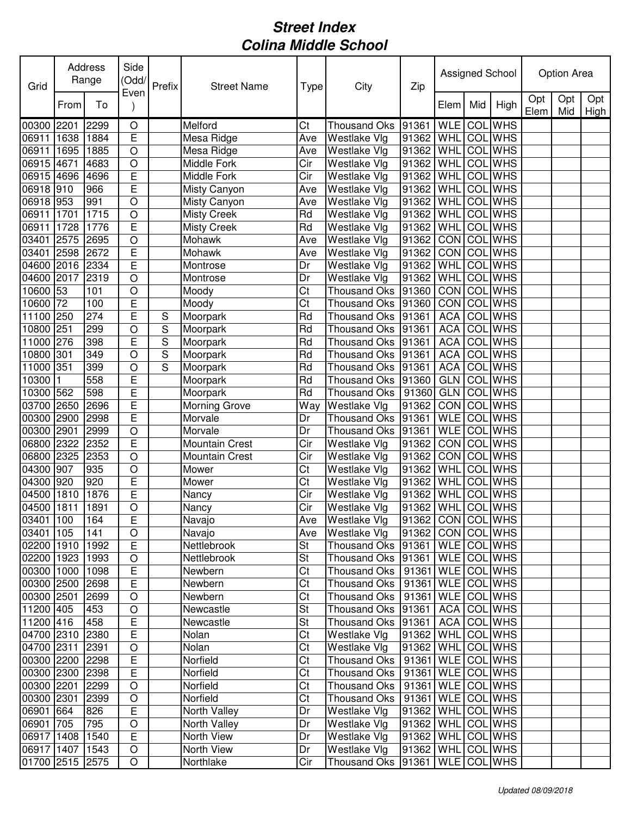| Grid            |      | <b>Address</b><br>Range | Side<br>(Odd/           | Prefix | <b>Street Name</b>    | Type                   | City                                 | Zip                   |             |     | Assigned School |             | <b>Option Area</b> |             |
|-----------------|------|-------------------------|-------------------------|--------|-----------------------|------------------------|--------------------------------------|-----------------------|-------------|-----|-----------------|-------------|--------------------|-------------|
|                 | From | To                      | Even                    |        |                       |                        |                                      |                       | Elem        | Mid | High            | Opt<br>Elem | Opt<br>Mid         | Opt<br>High |
| 00300           | 2201 | 2299                    | $\circ$                 |        | Melford               | Ct                     | <b>Thousand Oks</b>                  | 91361                 | <b>WLE</b>  | COL | <b>WHS</b>      |             |                    |             |
| 06911           | 1638 | 1884                    | $\overline{\mathsf{E}}$ |        | Mesa Ridge            | Ave                    | Westlake Vlg                         | 91362                 | WHL         | COL | <b>WHS</b>      |             |                    |             |
| 06911           | 1695 | 1885                    | $\overline{O}$          |        | Mesa Ridge            | Ave                    | Westlake Vlg                         | 91362                 | WHL         | COL | <b>WHS</b>      |             |                    |             |
| 06915           | 4671 | 4683                    | $\bigcirc$              |        | Middle Fork           | Cir                    | Westlake Vlg                         | 91362                 | <b>WHL</b>  | COL | <b>WHS</b>      |             |                    |             |
| 06915 4696      |      | 4696                    | $\overline{E}$          |        | Middle Fork           | Cir                    | Westlake Vlg                         | 91362                 | WHL         |     | <b>COL</b> WHS  |             |                    |             |
| 06918 910       |      | 966                     | E                       |        | Misty Canyon          | Ave                    | $\overline{\mathsf{W}}$ estlake Vlg  | 91362                 | WHL         | COL | <b>WHS</b>      |             |                    |             |
| 06918 953       |      | 991                     | $\bigcirc$              |        | Misty Canyon          | Ave                    | <b>Westlake Vlg</b>                  | 91362                 | WHL         | COL | <b>WHS</b>      |             |                    |             |
| 06911           | 1701 | 1715                    | $\circ$                 |        | <b>Misty Creek</b>    | Rd                     | Westlake Vlg                         | 91362                 | WHL         |     | <b>COL</b> WHS  |             |                    |             |
| 06911           | 1728 | 1776                    | $\overline{E}$          |        | <b>Misty Creek</b>    | Rd                     | Westlake Vlg                         | 91362                 | WHL         |     | <b>COL</b> WHS  |             |                    |             |
| 03401           | 2575 | 2695                    | $\circ$                 |        | Mohawk                | Ave                    | Westlake Vlg                         | 91362                 | CON         | COL | <b>WHS</b>      |             |                    |             |
| 03401           | 2598 | 2672                    | E                       |        | Mohawk                | Ave                    | Westlake Vlg                         | 91362                 | <b>CON</b>  | COL | <b>WHS</b>      |             |                    |             |
| 04600 2016      |      | 2334                    | E                       |        | Montrose              | Dr                     | <b>Westlake Vlg</b>                  | 91362                 | WHL         | COL | <b>WHS</b>      |             |                    |             |
| 04600 2017      |      | 2319                    | $\bigcirc$              |        | Montrose              | Dr                     | Westlake Vlg                         | 91362                 | WHL         | COL | <b>WHS</b>      |             |                    |             |
| 10600 53        |      | 101                     | $\bigcirc$              |        | Moody                 | $\overline{\text{C}t}$ | <b>Thousand Oks</b>                  | 91360                 | CON COL WHS |     |                 |             |                    |             |
| 10600           | 72   | 100                     | E                       |        | Moody                 | $\overline{\text{C}t}$ | <b>Thousand Oks</b>                  | 91360                 | <b>CON</b>  | COL | <b>WHS</b>      |             |                    |             |
| 11100           | 250  | 274                     | E                       | S      | Moorpark              | Rd                     | <b>Thousand Oks</b>                  | 91361                 | <b>ACA</b>  | COL | <b>WHS</b>      |             |                    |             |
| 10800           | 251  | 299                     | $\overline{O}$          | S      | Moorpark              | Rd                     | <b>Thousand Oks</b>                  | 91361                 | <b>ACA</b>  | COL | <b>WHS</b>      |             |                    |             |
| 11000           | 276  | 398                     | E                       | S      | Moorpark              | Rd                     | <b>Thousand Oks</b>                  | 91361                 | <b>ACA</b>  | COL | <b>WHS</b>      |             |                    |             |
| 10800           | 301  | 349                     | $\circ$                 | S      | Moorpark              | Rd                     | <b>Thousand Oks</b>                  | 91361                 | <b>ACA</b>  | COL | <b>WHS</b>      |             |                    |             |
| 11000           | 351  | 399                     | $\circ$                 | S      | Moorpark              | Rd                     | Thousand Oks                         | 91361                 | <b>ACA</b>  | COL | <b>WHS</b>      |             |                    |             |
| 10300           |      | 558                     | E                       |        | Moorpark              | Rd                     | Thousand Oks                         | 91360                 | <b>GLN</b>  | COL | <b>WHS</b>      |             |                    |             |
| 10300 562       |      | 598                     | E                       |        | Moorpark              | Rd                     | <b>Thousand Oks</b>                  | 91360                 | <b>GLN</b>  |     | <b>COL</b> WHS  |             |                    |             |
| 03700           | 2650 | 2696                    | E                       |        | <b>Morning Grove</b>  | Way                    | Westlake Vlg                         | 91362                 | CON         |     | COL WHS         |             |                    |             |
| 00300           | 2900 | 2998                    | E                       |        | Morvale               | Dr                     | <b>Thousand Oks</b>                  | 91361                 | <b>WLE</b>  |     | <b>COL</b> WHS  |             |                    |             |
| 00300           | 2901 | 2999                    | $\circ$                 |        | Morvale               | Dr                     | <b>Thousand Oks</b>                  | 91361                 | <b>WLE</b>  | COL | <b>WHS</b>      |             |                    |             |
| 06800           | 2322 | 2352                    | $\overline{E}$          |        | <b>Mountain Crest</b> | Cir                    | Westlake Vlg                         | 91362                 | CON         | COL | <b>WHS</b>      |             |                    |             |
| 06800           | 2325 | 2353                    | $\circ$                 |        | <b>Mountain Crest</b> | Cir                    | Westlake Vlg                         | 91362                 | <b>CON</b>  | COL | <b>WHS</b>      |             |                    |             |
| 04300           | 907  | 935                     | $\circ$                 |        | Mower                 | Ct                     | Westlake Vlg                         | 91362                 | WHL         | COL | <b>WHS</b>      |             |                    |             |
| 04300 920       |      | 920                     | E                       |        | Mower                 | Ct                     | Westlake Vlg                         | 91362                 | WHL         | COL | <b>WHS</b>      |             |                    |             |
| 04500 1810      |      | 1876                    | $\overline{E}$          |        | Nancy                 | Cir                    | Westlake Vlg                         | 91362                 | WHL         |     | COL WHS         |             |                    |             |
| 04500 1811      |      | 1891                    | $\circ$                 |        | Nancy                 | Cir                    | Westlake Vlg                         | 91362                 | WHL COL WHS |     |                 |             |                    |             |
| 03401 100       |      | 164                     | E                       |        | Navajo                | Ave                    | Westlake Vlg                         | 91362 CON COL WHS     |             |     |                 |             |                    |             |
| 03401 105       |      | 141                     | $\circ$                 |        | Navajo                | Ave                    | Westlake Vlg                         | 91362   CON   COL WHS |             |     |                 |             |                    |             |
| 02200 1910      |      | 1992                    | $\overline{E}$          |        | Nettlebrook           | St                     | Thousand Oks  91361   WLE   COL WHS  |                       |             |     |                 |             |                    |             |
| 02200 1923      |      | 1993                    | $\bigcirc$              |        | Nettlebrook           | St                     | Thousand Oks   91361   WLE   COL WHS |                       |             |     |                 |             |                    |             |
| 00300 1000      |      | 1098                    | $\mathsf E$             |        | Newbern               | Ct                     | Thousand Oks   91361   WLE COL WHS   |                       |             |     |                 |             |                    |             |
| 00300 2500      |      | 2698                    | E                       |        | Newbern               | Ct                     | Thousand Oks   91361                 |                       | WLE COL WHS |     |                 |             |                    |             |
| 00300 2501      |      | 2699                    | $\bigcirc$              |        | Newbern               | $\overline{\text{C}t}$ | Thousand Oks   91361   WLE   COL WHS |                       |             |     |                 |             |                    |             |
| 11200 405       |      | 453                     | $\bigcirc$              |        | Newcastle             | St                     | Thousand Oks   91361   ACA   COL WHS |                       |             |     |                 |             |                    |             |
| 11200 416       |      | 458                     | E                       |        | Newcastle             | St                     | Thousand Oks 91361                   |                       | ACA COL WHS |     |                 |             |                    |             |
| 04700 2310      |      | 2380                    | $\mathsf E$             |        | Nolan                 | Ct                     | Westlake Vlg                         | 91362 WHL COL WHS     |             |     |                 |             |                    |             |
| 04700 2311      |      | 2391                    | $\bigcirc$              |        | Nolan                 | $\overline{\text{C}t}$ | Westlake Vlg                         | 91362   WHL COL WHS   |             |     |                 |             |                    |             |
| 00300 2200      |      | 2298                    | $\mathsf E$             |        | Norfield              | Ct                     | Thousand Oks   91361   WLE   COL WHS |                       |             |     |                 |             |                    |             |
| 00300 2300      |      | 2398                    | $\mathsf E$             |        | Norfield              | Ct                     | Thousand Oks   91361   WLE   COL WHS |                       |             |     |                 |             |                    |             |
| 00300 2201      |      | 2299                    | $\bigcirc$              |        | Norfield              | Ct                     | Thousand Oks   91361   WLE   COL WHS |                       |             |     |                 |             |                    |             |
| 00300 2301      |      | 2399                    | $\bigcirc$              |        | Norfield              | Ct                     | Thousand Oks   91361   WLE   COL WHS |                       |             |     |                 |             |                    |             |
| 06901 664       |      | 826                     | $\mathsf E$             |        | North Valley          | Dr                     | Westlake Vlg                         | 91362   WHL COL WHS   |             |     |                 |             |                    |             |
| 06901 705       |      | 795                     | $\mathsf O$             |        | North Valley          | Dr                     | Westlake Vlg                         | 91362   WHL COL WHS   |             |     |                 |             |                    |             |
| 06917 1408      |      | 1540                    | $\overline{E}$          |        | North View            | Dr                     | Westlake Vlg                         | 91362   WHL COL WHS   |             |     |                 |             |                    |             |
| 06917 1407 1543 |      |                         | $\bigcirc$              |        | North View            | Dr                     | Westlake Vlg                         | 91362   WHL COL WHS   |             |     |                 |             |                    |             |
| 01700 2515 2575 |      |                         | $\circ$                 |        | Northlake             | Cir                    | Thousand Oks  91361   WLE COL WHS    |                       |             |     |                 |             |                    |             |
|                 |      |                         |                         |        |                       |                        |                                      |                       |             |     |                 |             |                    |             |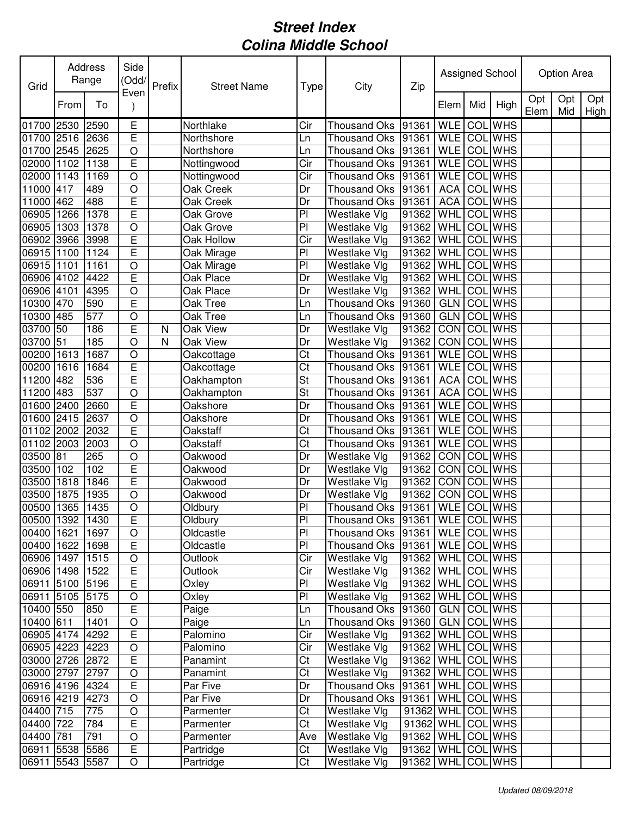| Grid            |      | Address<br>Range | Side<br>(Odd/  | Prefix | <b>Street Name</b> | Type           | City                                | Zip                 |             |            | Assigned School |             | Option Area |             |
|-----------------|------|------------------|----------------|--------|--------------------|----------------|-------------------------------------|---------------------|-------------|------------|-----------------|-------------|-------------|-------------|
|                 | From | To               | Even           |        |                    |                |                                     |                     | Elem        | Mid        | High            | Opt<br>Elem | Opt<br>Mid  | Opt<br>High |
| 01700 2530      |      | 2590             | Ε              |        | Northlake          | Cir            | <b>Thousand Oks</b>                 | 91361               | <b>WLE</b>  | COL        | <b>WHS</b>      |             |             |             |
| 01700 2516      |      | 2636             | E              |        | Northshore         | Ln             | <b>Thousand Oks</b>                 | 91361               | <b>WLE</b>  |            | <b>COL</b> WHS  |             |             |             |
| 01700 2545      |      | 2625             | $\circ$        |        | Northshore         | Ln             | <b>Thousand Oks</b>                 | 91361               | <b>WLE</b>  | COL        | <b>WHS</b>      |             |             |             |
| 02000 1102      |      | 1138             | E              |        | Nottingwood        | Cir            | Thousand Oks 91361                  |                     | <b>WLE</b>  | COL        | <b>WHS</b>      |             |             |             |
| 02000 1143      |      | 1169             | $\circ$        |        | Nottingwood        | Cir            | <b>Thousand Oks</b>                 | 91361               | <b>WLE</b>  | COL        | <b>WHS</b>      |             |             |             |
| 11000 417       |      | 489              | $\circ$        |        | Oak Creek          | Dr             | Thousand Oks                        | 91361               | <b>ACA</b>  |            | <b>COL</b> WHS  |             |             |             |
| 11000 462       |      | 488              | E              |        | Oak Creek          | Dr             | Thousand Oks                        | 91361               | <b>ACA</b>  | COL        | <b>WHS</b>      |             |             |             |
| 06905 1266      |      | 1378             | Ε              |        | Oak Grove          | P <sub>1</sub> | Westlake Vlg                        | 91362               | WHL         |            | <b>COL</b> WHS  |             |             |             |
| 06905 1303      |      | 1378             | $\circ$        |        | Oak Grove          | P <sub>1</sub> | Westlake Vlg                        | 91362               | WHL         | COL        | <b>WHS</b>      |             |             |             |
| 06902 3966      |      | 3998             | E              |        | Oak Hollow         | Cir            | Westlake Vlg                        | 91362               | WHL         | COL        | <b>WHS</b>      |             |             |             |
| 06915 1100      |      | 1124             | E              |        | Oak Mirage         | PI             | Westlake Vlg                        | 91362               | <b>WHL</b>  | COL        | <b>WHS</b>      |             |             |             |
| 06915 1101      |      | 1161             | $\overline{O}$ |        | Oak Mirage         | PI             | Westlake Vlg                        | 91362               | <b>WHL</b>  | COL        | <b>WHS</b>      |             |             |             |
| 06906 4102      |      | 4422             | E              |        | Oak Place          | Dr             | Westlake Vlg                        | 91362               | WHL         | COL        | <b>WHS</b>      |             |             |             |
| 06906 4101      |      | 4395             | $\circ$        |        | Oak Place          | Dr             | Westlake Vlg                        | 91362               | <b>WHL</b>  | COL        | <b>WHS</b>      |             |             |             |
| 10300 470       |      | 590              | E              |        | Oak Tree           | Ln             | Thousand Oks                        | 91360               | <b>GLN</b>  | <b>COL</b> | <b>WHS</b>      |             |             |             |
| 10300 485       |      | 577              | $\overline{O}$ |        | <b>Oak Tree</b>    | Ln             | <b>Thousand Oks</b>                 | 91360               | <b>GLN</b>  | COL        | <b>WHS</b>      |             |             |             |
| 03700 50        |      | 186              | E              | N      | Oak View           | Dr             | Westlake Vlg                        | 91362               | CON         | COL        | <b>WHS</b>      |             |             |             |
| 03700 51        |      | 185              | $\circ$        | N      | Oak View           | Dr             | Westlake Vlg                        | 91362               | CON         | COL        | <b>WHS</b>      |             |             |             |
| 00200           | 1613 | 1687             | $\circ$        |        | Oakcottage         | Ct             | <b>Thousand Oks</b>                 | 91361               | <b>WLE</b>  | COL        | <b>WHS</b>      |             |             |             |
| 00200           | 1616 | 1684             | E              |        | Oakcottage         | Ct             | <b>Thousand Oks</b>                 | 91361               | <b>WLE</b>  | COL        | <b>WHS</b>      |             |             |             |
| 11200 482       |      | 536              | E              |        | Oakhampton         | St             | Thousand Oks                        | 91361               | <b>ACA</b>  | COL        | <b>WHS</b>      |             |             |             |
| 11200 483       |      | 537              | $\circ$        |        | Oakhampton         | St             | <b>Thousand Oks</b>                 | 91361               | <b>ACA</b>  | COL        | <b>WHS</b>      |             |             |             |
| 01600 2400      |      | 2660             | E              |        | Oakshore           | Dr             | <b>Thousand Oks</b>                 | 91361               | <b>WLE</b>  |            | <b>COL</b> WHS  |             |             |             |
| 01600 2415      |      | 2637             | $\circ$        |        | Oakshore           | Dr             | <b>Thousand Oks</b>                 | 91361               | <b>WLE</b>  | COL        | <b>WHS</b>      |             |             |             |
| 01102 2002      |      | 2032             | E              |        | Oakstaff           | Ct             | <b>Thousand Oks</b>                 | 91361               | <b>WLE</b>  | COL        | <b>WHS</b>      |             |             |             |
| 01102 2003      |      | 2003             | $\circ$        |        | Oakstaff           | Ct             | Thousand Oks                        | 91361               | <b>WLE</b>  | COL        | <b>WHS</b>      |             |             |             |
| 03500 81        |      | 265              | $\circ$        |        | Oakwood            | Dr             | Westlake Vlg                        | 91362               | CON         | COL        | <b>WHS</b>      |             |             |             |
| 03500 102       |      | 102              | E              |        | Oakwood            | Dr             | Westlake Vlg                        | 91362               | <b>CON</b>  | COL        | <b>WHS</b>      |             |             |             |
| 03500 1818      |      | 1846             | E              |        | Oakwood            | Dr             | Westlake Vlg                        | 91362               | <b>CON</b>  | COL        | <b>WHS</b>      |             |             |             |
| 03500 1875      |      | 1935             | $\circ$        |        | Oakwood            | Dr             | Westlake Vlg                        | 91362               | <b>CON</b>  | COL        | <b>WHS</b>      |             |             |             |
| 00500 1365      |      | 1435             | $\circ$        |        | Oldbury            | P <sub>1</sub> | Thousand Oks 91361                  |                     | WLE COL WHS |            |                 |             |             |             |
| 00500 1392 1430 |      |                  | E              |        | Oldbury            | P              | Thousand Oks 91361 WLE COL WHS      |                     |             |            |                 |             |             |             |
| 00400 1621      |      | 1697             | $\circ$        |        | Oldcastle          | P <sub>1</sub> | Thousand Oks  91361   WLE   COL WHS |                     |             |            |                 |             |             |             |
| 00400 1622      |      | 1698             | $\mathsf E$    |        | Oldcastle          | P <sub>1</sub> | Thousand Oks 91361                  |                     |             |            | WLE COL WHS     |             |             |             |
| 06906 1497      |      | 1515             | $\circ$        |        | Outlook            | Cir            | Westlake Vlg                        | 91362   WHL COL WHS |             |            |                 |             |             |             |
| 06906 1498      |      | 1522             | $\mathsf E$    |        | Outlook            | Cir            | Westlake Vlg                        | 91362               | WHL COL WHS |            |                 |             |             |             |
| 06911 5100 5196 |      |                  | E              |        | Oxley              | P <sub>1</sub> | Westlake Vlg                        | 91362               |             |            | WHL COL WHS     |             |             |             |
| 06911 5105 5175 |      |                  | $\circ$        |        | Oxley              | P <sub>1</sub> | Westlake Vlg                        | 91362               |             |            | WHL COL WHS     |             |             |             |
| 10400 550       |      | 850              | $\mathsf E$    |        | Paige              | Ln             | Thousand Oks 91360                  |                     |             |            | GLN COL WHS     |             |             |             |
| 10400 611       |      | 1401             | $\circ$        |        | Paige              | Ln             | Thousand Oks 91360                  |                     | <b>GLN</b>  |            | COL WHS         |             |             |             |
| 06905 4174 4292 |      |                  | $\mathsf E$    |        | Palomino           | Cir            | Westlake VIg                        | 91362               | <b>WHL</b>  |            | <b>COL WHS</b>  |             |             |             |
| 06905 4223      |      | 4223             | $\circ$        |        | Palomino           | Cir            | Westlake Vlg                        | 91362               | WHL         |            | COL WHS         |             |             |             |
| 03000 2726 2872 |      |                  | $\mathsf E$    |        | Panamint           | Ct             | Westlake Vlg                        | 91362               | <b>WHL</b>  |            | <b>COL</b> WHS  |             |             |             |
| 03000 2797 2797 |      |                  | $\circ$        |        | Panamint           | Ct             | Westlake Vlg                        | 91362               | <b>WHL</b>  |            | COL WHS         |             |             |             |
| 06916 4196      |      | 4324             | $\mathsf E$    |        | Par Five           | Dr             | Thousand Oks 91361                  |                     |             |            | WHL COL WHS     |             |             |             |
| 06916 4219      |      | 4273             | $\circ$        |        | Par Five           | Dr             | Thousand Oks 91361                  |                     | <b>WHL</b>  |            | COL WHS         |             |             |             |
| 04400 715       |      | 775              | $\bigcirc$     |        | Parmenter          | Ct             | Westlake Vlg                        | 91362 WHL COL WHS   |             |            |                 |             |             |             |
| 04400 722       |      | 784              | $\mathsf E$    |        | Parmenter          | Ct             | Westlake Vlg                        | 91362 WHL COL WHS   |             |            |                 |             |             |             |
| 04400 781       |      | 791              | $\bigcirc$     |        | Parmenter          | Ave            | Westlake Vlg                        | 91362 WHL           |             |            | <b>COL</b> WHS  |             |             |             |
| 06911 5538      |      | 5586             | $\overline{E}$ |        | Partridge          | Ct             | Westlake Vlg                        | 91362               | <b>WHL</b>  |            | <b>COL WHS</b>  |             |             |             |
| 06911 5543 5587 |      |                  | $\bigcirc$     |        | Partridge          | Ct             | Westlake Vlg                        | 91362               |             |            | WHL COL WHS     |             |             |             |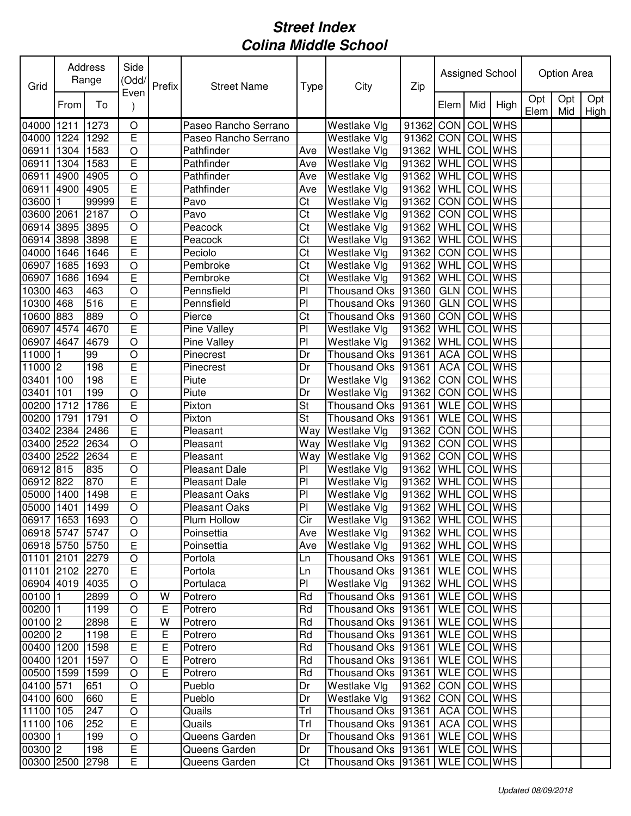| Grid            |      | Address<br>Range | Side<br>(Odd/<br>Even | Prefix | <b>Street Name</b>   | Type                    | City                                 | Zip                   |                    |     | Assigned School |             | Option Area |             |
|-----------------|------|------------------|-----------------------|--------|----------------------|-------------------------|--------------------------------------|-----------------------|--------------------|-----|-----------------|-------------|-------------|-------------|
|                 | From | To               |                       |        |                      |                         |                                      |                       | Elem               | Mid | High            | Opt<br>Elem | Opt<br>Mid  | Opt<br>High |
| 04000           | 1211 | 1273             | O                     |        | Paseo Rancho Serrano |                         | Westlake Vlg                         | 91362 CON COLWHS      |                    |     |                 |             |             |             |
| 04000 1224      |      | 1292             | $\overline{E}$        |        | Paseo Rancho Serrano |                         | Westlake Vlg                         | 91362 CON COL WHS     |                    |     |                 |             |             |             |
| 06911           | 1304 | 1583             | $\bigcirc$            |        | Pathfinder           | Ave                     | Westlake Vlg                         | 91362                 | WHL COL WHS        |     |                 |             |             |             |
| 06911           | 1304 | 1583             | E                     |        | Pathfinder           | Ave                     | Westlake Vlg                         | 91362   WHL COL WHS   |                    |     |                 |             |             |             |
| 06911           | 4900 | 4905             | $\bigcirc$            |        | Pathfinder           | Ave                     | Westlake Vlg                         | 91362   WHL COL WHS   |                    |     |                 |             |             |             |
| 06911 4900      |      | 4905             | $\mathsf E$           |        | Pathfinder           | Ave                     | Westlake Vlg                         | 91362                 | WHL COL WHS        |     |                 |             |             |             |
| 03600           | I1   | 99999            | $\mathsf E$           |        | Pavo                 | Ct                      | Westlake Vlg                         | 91362                 | CON COL WHS        |     |                 |             |             |             |
| 03600 2061      |      | 2187             | $\circ$               |        | Pavo                 | Ct                      | Westlake VIg                         | 91362                 | CON COL WHS        |     |                 |             |             |             |
| 06914 3895      |      | 3895             | $\circ$               |        | Peacock              | Ct                      | Westlake Vlg                         | 91362                 | WHL COL WHS        |     |                 |             |             |             |
| 06914 3898      |      | 3898             | $\overline{E}$        |        | Peacock              | Ct                      | Westlake Vlg                         | 91362 WHL COL WHS     |                    |     |                 |             |             |             |
| 04000 1646      |      | 1646             | E                     |        | Peciolo              | Ct                      | Westlake Vlg                         | 91362                 | <b>CON COL WHS</b> |     |                 |             |             |             |
| 06907           | 1685 | 1693             | $\circ$               |        | Pembroke             | Ct                      | Westlake VIg                         | 91362                 | WHL COL WHS        |     |                 |             |             |             |
| 06907           | 1686 | 1694             | E                     |        | Pembroke             | Ct                      | Westlake VIg                         | 91362                 | WHL COL WHS        |     |                 |             |             |             |
| 10300 463       |      | 463              | $\bigcirc$            |        | Pennsfield           | $\overline{P}$          | Thousand Oks 91360                   |                       | GLN COL WHS        |     |                 |             |             |             |
| 10300 468       |      | 516              | E                     |        | Pennsfield           | PI                      | Thousand Oks 91360                   |                       | GLN COL WHS        |     |                 |             |             |             |
| 10600 883       |      | 889              | $\overline{O}$        |        | Pierce               | Ct                      | Thousand Oks 91360                   |                       | CON COL WHS        |     |                 |             |             |             |
| 06907 4574      |      | 4670             | E                     |        | Pine Valley          | PI                      | Westlake Vlg                         | 91362                 | WHL                |     | <b>COL</b> WHS  |             |             |             |
| 06907           | 4647 | 4679             | $\circ$               |        | Pine Valley          | PI                      | Westlake Vlg                         | 91362                 | WHL                |     | <b>COL</b> WHS  |             |             |             |
| 11000           |      | 99               | $\circ$               |        | Pinecrest            | Dr                      | Thousand Oks 91361                   |                       | <b>ACA</b>         |     | <b>COL</b> WHS  |             |             |             |
| 11000 2         |      | 198              | E                     |        | Pinecrest            | Dr                      | Thousand Oks 91361                   |                       | ACA                |     | <b>COL</b> WHS  |             |             |             |
| 03401           | 100  | 198              | E                     |        | Piute                | Dr                      | Westlake VIg                         | 91362                 | CON COL WHS        |     |                 |             |             |             |
| 03401           | 101  | 199              | $\bigcirc$            |        | Piute                | Dr                      | Westlake Vlg                         | 91362                 | CON COL WHS        |     |                 |             |             |             |
| 00200 1712      |      | 1786             | E                     |        | Pixton               | St                      | Thousand Oks 91361                   |                       | <b>WLE</b>         |     | COL WHS         |             |             |             |
| 00200 1791      |      | 1791             | $\bigcirc$            |        | Pixton               | St                      | Thousand Oks 91361                   |                       | WLE COL WHS        |     |                 |             |             |             |
| 03402 2384      |      | 2486             | $\mathsf E$           |        | Pleasant             | Way                     | <b>Westlake Vlg</b>                  | 91362                 | CON COL WHS        |     |                 |             |             |             |
| 03400 2522      |      | 2634             | $\bigcirc$            |        | Pleasant             |                         | Way Westlake Vlg                     | 91362                 | CON COL WHS        |     |                 |             |             |             |
| 03400 2522      |      | 2634             | $\overline{E}$        |        | Pleasant             |                         | Way Westlake Vlg                     | 91362                 | CON COL WHS        |     |                 |             |             |             |
| 06912 815       |      | 835              | $\bigcirc$            |        | <b>Pleasant Dale</b> | PI                      | Westlake Vlg                         | 91362                 | WHL COL WHS        |     |                 |             |             |             |
| 06912 822       |      | 870              | E                     |        | Pleasant Dale        | PI                      | Westlake Vlg                         | 91362 WHL COLWHS      |                    |     |                 |             |             |             |
| 05000 1400      |      | 1498             | $\overline{E}$        |        | Pleasant Oaks        | PI                      | Westlake Vlg                         | 91362                 | WHL COL WHS        |     |                 |             |             |             |
| 05000 1401      |      | 1499             | $\circ$               |        | Pleasant Oaks        | PI                      | Westlake Vlg                         | 91362   WHL COL WHS   |                    |     |                 |             |             |             |
| 06917 1653 1693 |      |                  | $\overline{O}$        |        | Plum Hollow          | $\overline{\text{Cir}}$ | Westlake Vlg                         | 91362 WHL COL WHS     |                    |     |                 |             |             |             |
| 06918 5747 5747 |      |                  | O                     |        | Poinsettia           | Ave                     | Westlake Vlg                         | 91362   WHL COL WHS   |                    |     |                 |             |             |             |
| 06918 5750 5750 |      |                  | E                     |        | Poinsettia           | Ave                     | Westlake Vlg                         | 91362   WHL COL WHS   |                    |     |                 |             |             |             |
| 01101 2101 2279 |      |                  | $\bigcirc$            |        | Portola              | Ln                      | Thousand Oks  91361   WLE   COL WHS  |                       |                    |     |                 |             |             |             |
| 01101 2102 2270 |      |                  | $\mathsf E$           |        | Portola              | Ln                      | Thousand Oks   91361                 |                       | WLE COL WHS        |     |                 |             |             |             |
| 06904 4019 4035 |      |                  | $\circ$               |        | Portulaca            | PI                      | Westlake Vlg                         | 91362   WHL COL WHS   |                    |     |                 |             |             |             |
| 00100 1         |      | 2899             | $\circ$               | W      | Potrero              | Rd                      | Thousand Oks 91361                   |                       | WLE COLWHS         |     |                 |             |             |             |
| 00200 1         |      | 1199             | $\circ$               | Ε      | Potrero              | Rd                      | Thousand Oks 91361                   |                       | WLE COLWHS         |     |                 |             |             |             |
| $00100$ 2       |      | 2898             | E                     | W      | Potrero              | Rd                      | Thousand Oks 91361                   |                       | WLE COL WHS        |     |                 |             |             |             |
| $00200$ 2       |      | 1198             | E                     | Ε      | Potrero              | Rd                      | Thousand Oks 91361                   |                       | WLE COL WHS        |     |                 |             |             |             |
| 00400 1200      |      | 1598             | E                     | E      | Potrero              | Rd                      | Thousand Oks   91361                 |                       | WLE COL WHS        |     |                 |             |             |             |
| 00400 1201      |      | 1597             | $\circ$               | E      | Potrero              | Rd                      | Thousand Oks 91361                   |                       | WLE COL WHS        |     |                 |             |             |             |
| 00500 1599      |      | 1599             | $\circ$               | E      | Potrero              | Rd                      | Thousand Oks   91361                 |                       | WLE COL WHS        |     |                 |             |             |             |
| 04100 571       |      | 651              | $\bigcirc$            |        | Pueblo               | Dr                      | Westlake Vlg                         | 91362   CON   COL WHS |                    |     |                 |             |             |             |
| 04100 600       |      | 660              | E                     |        | Pueblo               | Dr                      | Westlake Vlg                         | 91362   CON   COL WHS |                    |     |                 |             |             |             |
| 11100 105       |      | 247              | $\circ$               |        | Quails               | Trl                     | Thousand Oks   91361   ACA   COL WHS |                       |                    |     |                 |             |             |             |
| 11100 106       |      | 252              | E                     |        | Quails               | Trl                     | Thousand Oks   91361   ACA   COL WHS |                       |                    |     |                 |             |             |             |
| 00300 1         |      | 199              | $\mathsf O$           |        | Queens Garden        | Dr                      | Thousand Oks 91361                   |                       | WLE COL WHS        |     |                 |             |             |             |
| 00300 2         |      | 198              | $\mathsf E$           |        | Queens Garden        | Dr                      | Thousand Oks 91361                   |                       | WLE COLWHS         |     |                 |             |             |             |
| 00300 2500      |      | 2798             | Е                     |        | Queens Garden        | Ct                      | Thousand Oks 91361                   |                       | WLE COL WHS        |     |                 |             |             |             |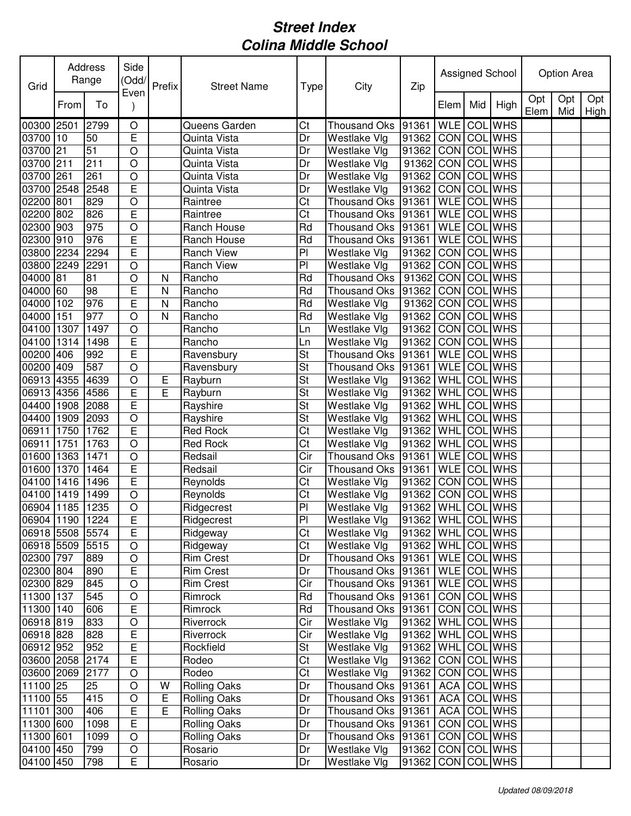| Grid            |      | Address<br>Range | Side<br>(Odd/<br>Even | Prefix | <b>Street Name</b>  | Type            | City                 | Zip                 |                  |     | Assigned School |             | Option Area |             |
|-----------------|------|------------------|-----------------------|--------|---------------------|-----------------|----------------------|---------------------|------------------|-----|-----------------|-------------|-------------|-------------|
|                 | From | To               |                       |        |                     |                 |                      |                     | Elem             | Mid | High            | Opt<br>Elem | Opt<br>Mid  | Opt<br>High |
| 00300 2501      |      | 2799             | O                     |        | Queens Garden       | Ct              | <b>Thousand Oks</b>  | 91361               | <b>WLE</b>       |     | <b>COL</b> WHS  |             |             |             |
| 03700 10        |      | 50               | E                     |        | Quinta Vista        | Dr              | Westlake Vlg         | 91362               | <b>CON</b>       |     | <b>COL</b> WHS  |             |             |             |
| 03700 21        |      | 51               | $\circ$               |        | Quinta Vista        | Dr              | Westlake Vlg         | 91362               | $\overline{CON}$ |     | <b>COL</b> WHS  |             |             |             |
| 03700 211       |      | 211              | $\circ$               |        | Quinta Vista        | Dr              | Westlake Vlg         | 91362               | <b>CON</b>       |     | <b>COL WHS</b>  |             |             |             |
| 03700 261       |      | 261              | $\circ$               |        | Quinta Vista        | Dr              | Westlake VIg         | 91362               | <b>CON</b>       | COL | <b>WHS</b>      |             |             |             |
| 03700 2548      |      | 2548             | E                     |        | Quinta Vista        | Dr              | Westlake Vlg         | 91362               | <b>CON</b>       |     | <b>COL</b> WHS  |             |             |             |
| 02200 801       |      | 829              | $\circ$               |        | Raintree            | Ct              | Thousand Oks         | 91361               | <b>WLE</b>       |     | <b>COL</b> WHS  |             |             |             |
| 02200 802       |      | 826              | E                     |        | Raintree            | Ct              | Thousand Oks         | 91361               | <b>WLE</b>       |     | <b>COL</b> WHS  |             |             |             |
| 02300 903       |      | 975              | $\circ$               |        | Ranch House         | Rd              | <b>Thousand Oks</b>  | 91361               | <b>WLE</b>       |     | <b>COL WHS</b>  |             |             |             |
| 02300 910       |      | 976              | E                     |        | Ranch House         | Rd              | <b>Thousand Oks</b>  | 91361               | <b>WLE</b>       | COL | <b>WHS</b>      |             |             |             |
| 03800 2234      |      | 2294             | E                     |        | Ranch View          | P <sub>1</sub>  | Westlake Vlg         | 91362               | <b>CON</b>       | COL | <b>WHS</b>      |             |             |             |
| 03800 2249      |      | 2291             | $\circ$               |        | <b>Ranch View</b>   | P <sub>1</sub>  | Westlake Vlg         | 91362               | <b>CON</b>       | COL | <b>WHS</b>      |             |             |             |
| 04000 81        |      | 81               | $\circ$               | N      | Rancho              | Rd              | Thousand Oks         | 91362               | CON              |     | <b>COL WHS</b>  |             |             |             |
| 04000 60        |      | 98               | E                     | N      | Rancho              | Rd              | Thousand Oks 91362   |                     | <b>CON</b>       | COL | <b>WHS</b>      |             |             |             |
| 04000 102       |      | 976              | E                     | N      | Rancho              | Rd              | Westlake Vlg         | 91362               | <b>CON</b>       |     | <b>COL WHS</b>  |             |             |             |
| 04000 151       |      | 977              | $\circ$               | N      | Rancho              | Rd              | Westlake Vlg         | 91362               | <b>CON</b>       |     | <b>COL</b> WHS  |             |             |             |
| 04100 1307      |      | 1497             | $\circ$               |        | Rancho              | Ln              | Westlake Vlg         | 91362               | CON              |     | <b>COL WHS</b>  |             |             |             |
| 04100 1314      |      | 1498             | E                     |        | Rancho              | Ln              | Westlake Vlg         | 91362               | <b>CON</b>       | COL | <b>WHS</b>      |             |             |             |
| 00200 406       |      | 992              | E                     |        | Ravensbury          | St              | <b>Thousand Oks</b>  | 91361               | <b>WLE</b>       | COL | <b>WHS</b>      |             |             |             |
| 00200 409       |      | 587              | $\circ$               |        | Ravensbury          | St              | Thousand Oks         | 91361               | <b>WLE</b>       | COL | <b>WHS</b>      |             |             |             |
| 06913 4355      |      | 4639             | $\circ$               | Е      | Rayburn             | St              | Westlake Vlg         | 91362               | <b>WHL</b>       | COL | <b>WHS</b>      |             |             |             |
| 06913 4356      |      | 4586             | E                     | E      | Rayburn             | St              | Westlake VIg         | 91362               | WHL              |     | <b>COL WHS</b>  |             |             |             |
| 04400 1908      |      | 2088             | E                     |        | Rayshire            | St              | Westlake Vlg         | 91362               | WHL              |     | <b>COL</b> WHS  |             |             |             |
| 04400 1909      |      | 2093             | $\circ$               |        | Rayshire            | St              | Westlake Vlg         | 91362               | WHL              | COL | <b>WHS</b>      |             |             |             |
| 06911           | 1750 | 1762             | E                     |        | Red Rock            | Ct              | Westlake Vlg         | 91362               | WHL              |     | COL WHS         |             |             |             |
| 06911 1751      |      | 1763             | $\circ$               |        | <b>Red Rock</b>     | Ct              | Westlake Vlg         | 91362               | WHL              | COL | <b>WHS</b>      |             |             |             |
| 01600 1363      |      | 1471             | $\circ$               |        | Redsail             | Cir             | Thousand Oks         | 91361               | <b>WLE</b>       | COL | <b>WHS</b>      |             |             |             |
| 01600 1370      |      | 1464             | E                     |        | Redsail             | Cir             | Thousand Oks         | 91361               | <b>WLE</b>       | COL | <b>WHS</b>      |             |             |             |
| 04100 1416      |      | 1496             | E                     |        | Reynolds            | Ct              | Westlake Vlg         | 91362               | <b>CON</b>       | COL | <b>WHS</b>      |             |             |             |
| 04100 1419      |      | 1499             | $\circ$               |        | Reynolds            | Ct              | Westlake Vlg         | 91362               | <b>CON</b>       |     | <b>COL</b> WHS  |             |             |             |
| 06904 1185      |      | 1235             | $\circ$               |        | Ridgecrest          | P <sub>1</sub>  | Westlake Vlg         | 91362 WHL COL WHS   |                  |     |                 |             |             |             |
| 06904 1190 1224 |      |                  | E                     |        | Ridgecrest          | $\overline{PI}$ | Westlake Vlg         | 91362 WHL COL WHS   |                  |     |                 |             |             |             |
| 06918 5508 5574 |      |                  | E                     |        | Ridgeway            | Ct              | Westlake Vlg         | 91362   WHL COL WHS |                  |     |                 |             |             |             |
| 06918 5509      |      | 5515             | $\circ$               |        | Ridgeway            | Ct              | Westlake Vlg         | 91362   WHL COL WHS |                  |     |                 |             |             |             |
| 02300 797       |      | 889              | $\circ$               |        | <b>Rim Crest</b>    | Dr              | Thousand Oks   91361 |                     | WLE COL WHS      |     |                 |             |             |             |
| 02300 804       |      | 890              | E                     |        | <b>Rim Crest</b>    | Dr              | Thousand Oks 91361   |                     |                  |     | WLE COL WHS     |             |             |             |
| 02300 829       |      | 845              | $\circ$               |        | <b>Rim Crest</b>    | Cir             | Thousand Oks 91361   |                     | <b>WLE</b>       |     | <b>COL</b> WHS  |             |             |             |
| 11300 137       |      | 545              | $\circ$               |        | Rimrock             | Rd              | Thousand Oks 91361   |                     | <b>CON</b>       |     | <b>COL</b> WHS  |             |             |             |
| 11300 140       |      | 606              | $\overline{E}$        |        | Rimrock             | Rd              | Thousand Oks 91361   |                     |                  |     | CON COL WHS     |             |             |             |
| 06918 819       |      | 833              | $\circ$               |        | Riverrock           | Cir             | Westlake Vlg         | 91362               | <b>WHL</b>       |     | COL WHS         |             |             |             |
| 06918 828       |      | 828              | E                     |        | Riverrock           | Cir             | Westlake Vlg         | 91362               | WHL              |     | COL WHS         |             |             |             |
| 06912 952       |      | 952              | E                     |        | Rockfield           | St              | Westlake Vlg         | 91362               | WHL              |     | COL WHS         |             |             |             |
| 03600 2058      |      | 2174             | E                     |        | Rodeo               | Ct              | Westlake Vlg         | 91362               | CON COL WHS      |     |                 |             |             |             |
| 03600 2069      |      | 2177             | $\circ$               |        | Rodeo               | Ct              | Westlake Vlg         | 91362               | <b>CON</b>       |     | <b>COL WHS</b>  |             |             |             |
| 11100 25        |      | 25               | $\circ$               | W      | <b>Rolling Oaks</b> | Dr              | Thousand Oks 91361   |                     | <b>ACA</b>       |     | COL WHS         |             |             |             |
| 11100 55        |      | 415              | $\circ$               | Е      | <b>Rolling Oaks</b> | Dr              | Thousand Oks 91361   |                     | <b>ACA</b>       |     | COL WHS         |             |             |             |
| 11101 300       |      | 406              | $\mathsf E$           | E      | <b>Rolling Oaks</b> | Dr              | Thousand Oks 91361   |                     | <b>ACA</b>       |     | COL WHS         |             |             |             |
| 11300 600       |      | 1098             | $\mathsf E$           |        | <b>Rolling Oaks</b> | Dr              | Thousand Oks 91361   |                     |                  |     | CON COL WHS     |             |             |             |
| 11300 601       |      | 1099             | $\circ$               |        | <b>Rolling Oaks</b> | Dr              | Thousand Oks 91361   |                     |                  |     | CON COL WHS     |             |             |             |
| 04100 450       |      | 799              | $\bigcirc$            |        | Rosario             | Dr              | Westlake Vlg         | 91362               | <b>CON</b>       |     | COL WHS         |             |             |             |
| 04100 450       |      | 798              | E                     |        | Rosario             | Dr              | Westlake Vlg         | 91362               |                  |     | CON COL WHS     |             |             |             |
|                 |      |                  |                       |        |                     |                 |                      |                     |                  |     |                 |             |             |             |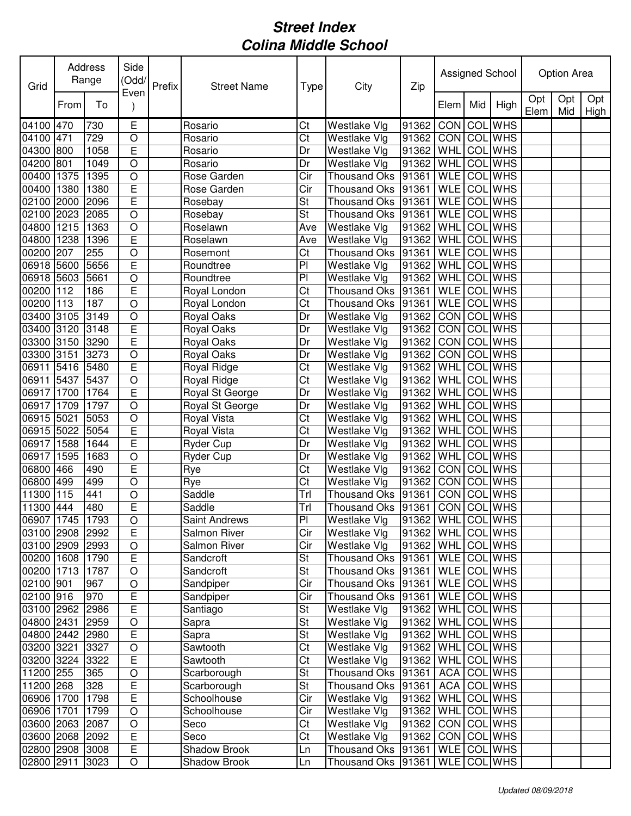| Grid            |      | Address<br>Range | Side<br>(Odd/  | Prefix | <b>Street Name</b>   | Type                     | City                                | Zip                   |                    |     | Assigned School |             | Option Area |             |
|-----------------|------|------------------|----------------|--------|----------------------|--------------------------|-------------------------------------|-----------------------|--------------------|-----|-----------------|-------------|-------------|-------------|
|                 | From | To               | Even           |        |                      |                          |                                     |                       | Elem               | Mid | High            | Opt<br>Elem | Opt<br>Mid  | Opt<br>High |
| 04100 470       |      | 730              | Е              |        | Rosario              | Ct                       | Westlake Vlg                        | 91362                 | <b>CON</b>         |     | COL WHS         |             |             |             |
| 04100 471       |      | 729              | $\circ$        |        | Rosario              | Ct                       | Westlake Vlg                        | 91362                 | CON COL WHS        |     |                 |             |             |             |
| 04300           | 800  | 1058             | $\overline{E}$ |        | Rosario              | Dr                       | Westlake Vlg                        | 91362                 | WHL                | COL | <b>WHS</b>      |             |             |             |
| 04200           | 801  | 1049             | $\circ$        |        | Rosario              | Dr                       | Westlake Vlg                        | 91362                 | WHL                | COL | <b>WHS</b>      |             |             |             |
| 00400 1375      |      | 1395             | $\bigcirc$     |        | Rose Garden          | Cir                      | Thousand Oks 91361                  |                       | <b>WLE</b>         |     | <b>COL</b> WHS  |             |             |             |
| 00400 1380      |      | 1380             | $\overline{E}$ |        | Rose Garden          | Cir                      | Thousand Oks 91361                  |                       | <b>WLE</b>         |     | <b>COL WHS</b>  |             |             |             |
| 02100 2000      |      | 2096             | $\mathsf E$    |        | Rosebay              | St                       | Thousand Oks 91361                  |                       | <b>WLE</b>         |     | <b>COL WHS</b>  |             |             |             |
| 02100 2023      |      | 2085             | $\bigcirc$     |        | Rosebay              | St                       | Thousand Oks 91361                  |                       | <b>WLE</b>         |     | COL WHS         |             |             |             |
| 04800 1215      |      | 1363             | $\circ$        |        | Roselawn             | Ave                      | Westlake Vlg                        | 91362                 | WHL                |     | COL WHS         |             |             |             |
| 04800 1238      |      | 1396             | $\mathsf E$    |        | Roselawn             | Ave                      | Westlake Vlg                        | 91362                 | WHL                |     | <b>COL</b> WHS  |             |             |             |
| 00200 207       |      | 255              | $\circ$        |        | Rosemont             | Ct                       | Thousand Oks                        | 91361                 | <b>WLE</b>         |     | <b>COL WHS</b>  |             |             |             |
| 06918 5600      |      | 5656             | E              |        | Roundtree            | PI                       | Westlake Vlg                        | 91362                 | WHL COL WHS        |     |                 |             |             |             |
| 06918 5603      |      | 5661             | $\circ$        |        | Roundtree            | PI                       | Westlake Vlg                        | 91362                 | WHL                | COL | <b>WHS</b>      |             |             |             |
| 00200 112       |      | 186              | $\mathsf E$    |        | Royal London         | Ct                       | Thousand Oks 91361                  |                       | <b>WLE</b>         |     | <b>COL WHS</b>  |             |             |             |
| 00200 113       |      | 187              | $\bigcirc$     |        | Royal London         | $\overline{\text{C}t}$   | Thousand Oks 91361                  |                       | WLE COL WHS        |     |                 |             |             |             |
| 03400 3105      |      | 3149             | $\bigcirc$     |        | Royal Oaks           | Dr                       | Westlake Vlg                        | 91362                 | <b>CON COL WHS</b> |     |                 |             |             |             |
| 03400 3120      |      | 3148             | E              |        | Royal Oaks           | Dr                       | Westlake Vlg                        | 91362                 | CON COL WHS        |     |                 |             |             |             |
| 03300 3150      |      | 3290             | E              |        | <b>Royal Oaks</b>    | Dr                       | Westlake Vlg                        | 91362                 | CON                |     | <b>COL</b> WHS  |             |             |             |
| 03300           | 3151 | 3273             | $\circ$        |        | Royal Oaks           | Dr                       | Westlake Vlg                        | 91362                 | CON COL            |     | <b>WHS</b>      |             |             |             |
| 06911           | 5416 | 5480             | E              |        | Royal Ridge          | Ct                       | Westlake Vlg                        | 91362                 | WHL                | COL | <b>WHS</b>      |             |             |             |
| 06911           | 5437 | 5437             | $\circ$        |        | Royal Ridge          | Ct                       | Westlake Vlg                        | 91362                 | WHL                | COL | <b>WHS</b>      |             |             |             |
| 06917 1700      |      | 1764             | E              |        | Royal St George      | Dr                       | Westlake Vlg                        | 91362                 | <b>WHL</b>         |     | COL WHS         |             |             |             |
| 06917 1709      |      | 1797             | $\circ$        |        | Royal St George      | Dr                       | Westlake Vlg                        | 91362                 | <b>WHL</b>         |     | COL WHS         |             |             |             |
| 06915 5021      |      | 5053             | $\circ$        |        | Royal Vista          | Ct                       | Westlake Vlg                        | 91362                 | WHL                |     | COL WHS         |             |             |             |
| 06915 5022      |      | 5054             | E              |        | Royal Vista          | Ct                       | <b>Westlake Vlg</b>                 | 91362                 | WHL                |     | COL WHS         |             |             |             |
| 06917 1588      |      | 1644             | E              |        | Ryder Cup            | Dr                       | Westlake Vlg                        | 91362                 | WHL                |     | <b>COL</b> WHS  |             |             |             |
| 06917 1595      |      | 1683             | $\circ$        |        | Ryder Cup            | Dr                       | Westlake Vlg                        | 91362                 | WHL                | COL | <b>WHS</b>      |             |             |             |
| 06800 466       |      | 490              | E              |        | Rye                  | Ct                       | Westlake Vlg                        | 91362                 | CON COL            |     | <b>WHS</b>      |             |             |             |
| 06800 499       |      | 499              | $\circ$        |        | Rye                  | Ct                       | Westlake Vlg                        | 91362                 | CON COL            |     | <b>WHS</b>      |             |             |             |
| 11300 115       |      | 441              | $\bigcirc$     |        | Saddle               | Trl                      | Thousand Oks 91361                  |                       | <b>CON</b>         | COL | <b>WHS</b>      |             |             |             |
| 11300 444       |      | 480              | E              |        | Saddle               | Trl                      | Thousand Oks  91361   CON   COL WHS |                       |                    |     |                 |             |             |             |
| 06907 1745 1793 |      |                  | $\overline{O}$ |        | <b>Saint Andrews</b> | PI                       | Westlake Vlg                        | 91362 WHL COL WHS     |                    |     |                 |             |             |             |
| 03100 2908 2992 |      |                  | $\mathsf E$    |        | Salmon River         | Cir                      | Westlake Vlg                        | 91362   WHL COL WHS   |                    |     |                 |             |             |             |
| 03100 2909 2993 |      |                  | $\bigcirc$     |        | Salmon River         | Cir                      | Westlake Vlg                        | 91362   WHL COL WHS   |                    |     |                 |             |             |             |
| 00200 1608      |      | 1790             | $\overline{E}$ |        | Sandcroft            | St                       | Thousand Oks 91361                  |                       | WLE COL WHS        |     |                 |             |             |             |
| 00200 1713 1787 |      |                  | $\bigcirc$     |        | Sandcroft            | $\overline{\mathsf{St}}$ | Thousand Oks 91361                  |                       | WLE COL WHS        |     |                 |             |             |             |
| 02100 901       |      | 967              | $\bigcirc$     |        | Sandpiper            | Cir                      | Thousand Oks 91361                  |                       | WLE COL WHS        |     |                 |             |             |             |
| 02100 916       |      | 970              | Е              |        | Sandpiper            | Cir                      | Thousand Oks 91361                  |                       | WLE COL WHS        |     |                 |             |             |             |
| 03100 2962 2986 |      |                  | $\mathsf E$    |        | Santiago             | St                       | Westlake Vlg                        | 91362   WHL COL WHS   |                    |     |                 |             |             |             |
| 04800 2431      |      | 2959             | $\bigcirc$     |        | Sapra                | $\overline{\mathsf{St}}$ | Westlake Vlg                        | 91362   WHL COL WHS   |                    |     |                 |             |             |             |
| 04800 2442 2980 |      |                  | $\mathsf E$    |        | Sapra                | St                       | Westlake Vlg                        | 91362   WHL COL WHS   |                    |     |                 |             |             |             |
| 03200 3221      |      | 3327             | $\hbox{O}$     |        | Sawtooth             | Ct                       | Westlake Vlg                        | 91362   WHL COL WHS   |                    |     |                 |             |             |             |
| 03200 3224 3322 |      |                  | $\mathsf E$    |        | Sawtooth             | Ct                       | Westlake Vlg                        | 91362 WHL             |                    |     | <b>COL</b> WHS  |             |             |             |
| 11200 255       |      | 365              | $\bigcirc$     |        | Scarborough          | St                       | Thousand Oks 91361                  |                       | ACA COL WHS        |     |                 |             |             |             |
| 11200 268       |      | 328              | $\mathsf E$    |        | Scarborough          | St                       | Thousand Oks 91361                  |                       | ACA COL WHS        |     |                 |             |             |             |
| 06906 1700      |      | 1798             | $\mathsf E$    |        | Schoolhouse          | Cir                      | Westlake Vlg                        | 91362   WHL COL WHS   |                    |     |                 |             |             |             |
| 06906 1701      |      | 1799             | $\bigcirc$     |        | Schoolhouse          | Cir                      | Westlake Vlg                        | 91362   WHL COL WHS   |                    |     |                 |             |             |             |
| 03600 2063 2087 |      |                  | $\bigcirc$     |        | Seco                 | Ct                       | Westlake Vlg                        | 91362   CON   COL WHS |                    |     |                 |             |             |             |
| 03600 2068      |      | 2092             | $\mathsf E$    |        | Seco                 | Ct                       | Westlake Vlg                        | 91362                 | CON COL WHS        |     |                 |             |             |             |
| 02800 2908 3008 |      |                  | $\mathsf E$    |        | Shadow Brook         | Ln                       | Thousand Oks 91361                  |                       | WLE COLWHS         |     |                 |             |             |             |
| 02800 2911      |      | 3023             | $\hbox{O}$     |        | Shadow Brook         | Ln                       | Thousand Oks 91361                  |                       | WLE COL WHS        |     |                 |             |             |             |
|                 |      |                  |                |        |                      |                          |                                     |                       |                    |     |                 |             |             |             |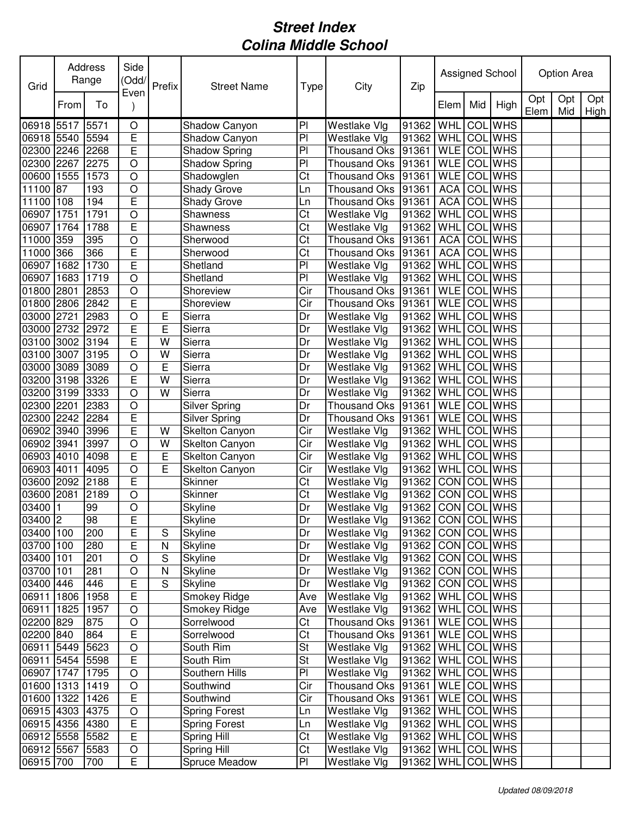| Grid            |      | Address<br>Range | Side<br>(Odd/<br>Even | Prefix         | <b>Street Name</b>   | Type                    | City                | Zip               |             |     | Assigned School |             | Option Area |             |
|-----------------|------|------------------|-----------------------|----------------|----------------------|-------------------------|---------------------|-------------------|-------------|-----|-----------------|-------------|-------------|-------------|
|                 | From | To               |                       |                |                      |                         |                     |                   | Elem        | Mid | High            | Opt<br>Elem | Opt<br>Mid  | Opt<br>High |
| 06918 5517      |      | 5571             | $\circ$               |                | Shadow Canyon        | P <sub>1</sub>          | Westlake Vlg        | 91362             | WHL         | COL | <b>WHS</b>      |             |             |             |
| 06918 5540      |      | 5594             | E                     |                | Shadow Canyon        | PI                      | Westlake Vlg        | 91362             | WHL         |     | <b>COL</b> WHS  |             |             |             |
| 02300           | 2246 | 2268             | $\overline{E}$        |                | Shadow Spring        | PI                      | Thousand Oks 91361  |                   | <b>WLE</b>  | COL | <b>WHS</b>      |             |             |             |
| 02300 2267      |      | 2275             | $\overline{O}$        |                | Shadow Spring        | PI                      | Thousand Oks 91361  |                   | <b>WLE</b>  |     | <b>COL</b> WHS  |             |             |             |
| 00600 1555      |      | 1573             | $\circ$               |                | Shadowglen           | Ct                      | Thousand Oks 91361  |                   | <b>WLE</b>  |     | <b>COL</b> WHS  |             |             |             |
| 11100 87        |      | 193              | $\circ$               |                | Shady Grove          | Ln                      | Thousand Oks 91361  |                   | <b>ACA</b>  |     | COL WHS         |             |             |             |
| 11100 108       |      | 194              | E                     |                | Shady Grove          | Ln                      | Thousand Oks        | 91361             | <b>ACA</b>  | COL | <b>WHS</b>      |             |             |             |
| 06907 1751      |      | 1791             | $\circ$               |                | Shawness             | Ct                      | Westlake Vlg        | 91362             | <b>WHL</b>  | COL | <b>WHS</b>      |             |             |             |
| 06907           | 1764 | 1788             | E                     |                | Shawness             | Ct                      | Westlake Vlg        | 91362             | <b>WHL</b>  | COL | <b>WHS</b>      |             |             |             |
| 11000 359       |      | 395              | $\circ$               |                | Sherwood             | Ct                      | Thousand Oks        | 91361             | <b>ACA</b>  | COL | <b>WHS</b>      |             |             |             |
| 11000 366       |      | 366              | E                     |                | Sherwood             | Ct                      | Thousand Oks        | 91361             | <b>ACA</b>  | COL | <b>WHS</b>      |             |             |             |
| 06907           | 1682 | 1730             | E                     |                | Shetland             | $\overline{P}$          | Westlake Vlg        | 91362             | <b>WHL</b>  | COL | <b>WHS</b>      |             |             |             |
| 06907           | 1683 | 1719             | $\circ$               |                | Shetland             | PI                      | Westlake Vlg        | 91362             | <b>WHL</b>  |     | <b>COL</b> WHS  |             |             |             |
| 01800 2801      |      | 2853             | $\circ$               |                | Shoreview            | $\overline{\text{Cir}}$ | Thousand Oks        | 91361             | <b>WLE</b>  |     | <b>COL WHS</b>  |             |             |             |
| 01800 2806      |      | 2842             | E                     |                | Shoreview            | Cir                     | Thousand Oks 91361  |                   | <b>WLE</b>  |     | <b>COL WHS</b>  |             |             |             |
| 03000           | 2721 | 2983             | $\overline{O}$        | Ε              | Sierra               | Dr                      | Westlake Vlg        | 91362             | WHL         |     | <b>COL</b> WHS  |             |             |             |
| 03000           | 2732 | 2972             | E                     | E              | Sierra               | Dr                      | Westlake Vlg        | 91362             | WHL         | COL | <b>WHS</b>      |             |             |             |
| 03100           | 3002 | 3194             | E                     | W              | Sierra               | Dr                      | Westlake Vlg        | 91362             | WHL         | COL | <b>WHS</b>      |             |             |             |
| 03100           | 3007 | 3195             | $\circ$               | W              | Sierra               | Dr                      | Westlake Vlg        | 91362             | WHL         | COL | <b>WHS</b>      |             |             |             |
| 03000           | 3089 | 3089             | $\circ$               | E              | Sierra               | Dr                      | Westlake Vlg        | 91362             | <b>WHL</b>  | COL | <b>WHS</b>      |             |             |             |
| 03200 3198      |      | 3326             | E                     | W              | Sierra               | Dr                      | Westlake Vlg        | 91362             | <b>WHL</b>  | COL | <b>WHS</b>      |             |             |             |
| 03200 3199      |      | 3333             | $\circ$               | W              | Sierra               | Dr                      | Westlake Vlg        | 91362             | WHL         | COL | <b>WHS</b>      |             |             |             |
| 02300 2201      |      | 2383             | $\circ$               |                | <b>Silver Spring</b> | Dr                      | <b>Thousand Oks</b> | 91361             | <b>WLE</b>  |     | <b>COL</b> WHS  |             |             |             |
| 02300 2242      |      | 2284             | E                     |                | <b>Silver Spring</b> | Dr                      | Thousand Oks        | 91361             | <b>WLE</b>  | COL | <b>WHS</b>      |             |             |             |
| 06902 3940      |      | 3996             | E                     | W              | Skelton Canyon       | Cir                     | Westlake Vlg        | 91362             | WHL         | COL | <b>WHS</b>      |             |             |             |
| 06902 3941      |      | 3997             | $\circ$               | W              | Skelton Canyon       | Cir                     | Westlake Vlg        | 91362             | WHL         | COL | <b>WHS</b>      |             |             |             |
| 06903 4010      |      | 4098             | E                     | $\overline{E}$ | Skelton Canyon       | Cir                     | Westlake Vlg        | 91362             | WHL         | COL | <b>WHS</b>      |             |             |             |
| 06903 4011      |      | 4095             | $\circ$               | E              | Skelton Canyon       | Cir                     | Westlake Vlg        | 91362             | <b>WHL</b>  | COL | <b>WHS</b>      |             |             |             |
| 03600 2092      |      | 2188             | E                     |                | Skinner              | Ct                      | Westlake Vlg        | 91362             | <b>CON</b>  | COL | <b>WHS</b>      |             |             |             |
| 03600 2081      |      | 2189             | $\bigcirc$            |                | <b>Skinner</b>       | Ct                      | Westlake Vlg        | 91362             | CON         |     | COL WHS         |             |             |             |
| 03400 1         |      | 99               | $\circ$               |                | Skyline              | Dr                      | Westlake Vlg        | 91362             | CON COL WHS |     |                 |             |             |             |
| 03400 2         |      | 98               | E                     |                | <b>Skyline</b>       | Dr                      | Westlake Vlg        | 91362 CON COL WHS |             |     |                 |             |             |             |
| 03400 100       |      | 200              | E                     | S              | Skyline              | Dr                      | Westlake Vlg        | 91362             | CON COL WHS |     |                 |             |             |             |
| 03700 100       |      | 280              | E                     | $\mathsf{N}$   | Skyline              | Dr                      | Westlake Vlg        | 91362             | CON COL WHS |     |                 |             |             |             |
| 03400 101       |      | 201              | $\circ$               | S              | <b>Skyline</b>       | Dr                      | Westlake Vlg        | 91362             |             |     | CON COL WHS     |             |             |             |
| 03700 101       |      | 281              | $\circ$               | N              | Skyline              | Dr                      | Westlake Vlg        | 91362             | CON         |     | <b>COL</b> WHS  |             |             |             |
| 03400 446       |      | 446              | Ε                     | S              | Skyline              | Dr                      | Westlake Vlg        | 91362             | <b>CON</b>  |     | COL WHS         |             |             |             |
| 06911 1806      |      | 1958             | E                     |                | Smokey Ridge         | Ave                     | Westlake Vlg        | 91362             |             |     | WHL COL WHS     |             |             |             |
| 06911 1825      |      | 1957             | $\circ$               |                | Smokey Ridge         | Ave                     | Westlake Vlg        | 91362             | WHL         |     | COL WHS         |             |             |             |
| 02200 829       |      | 875              | $\bigcirc$            |                | Sorrelwood           | Ct                      | Thousand Oks 91361  |                   | <b>WLE</b>  |     | COL WHS         |             |             |             |
| 02200 840       |      | 864              | E                     |                | Sorrelwood           | Ct                      | Thousand Oks 91361  |                   | <b>WLE</b>  |     | COL WHS         |             |             |             |
| 06911 5449 5623 |      |                  | $\circ$               |                | South Rim            | St                      | Westlake VIg        | 91362             | WHL         |     | COL WHS         |             |             |             |
| 06911 5454 5598 |      |                  | $\mathsf E$           |                | South Rim            | St                      | Westlake Vlg        | 91362             | <b>WHL</b>  |     | COL WHS         |             |             |             |
| 06907 1747 1795 |      |                  | $\bigcirc$            |                | Southern Hills       | PI                      | Westlake Vlg        | 91362             | <b>WHL</b>  |     | <b>COL</b> WHS  |             |             |             |
| 01600 1313      |      | 1419             | $\circ$               |                | Southwind            | Cir                     | Thousand Oks 91361  |                   | WLE COL WHS |     |                 |             |             |             |
| 01600 1322      |      | 1426             | E                     |                | Southwind            | Cir                     | Thousand Oks 91361  |                   | WLE COL WHS |     |                 |             |             |             |
| 06915 4303 4375 |      |                  | $\bigcirc$            |                | <b>Spring Forest</b> | Ln                      | Westlake Vlg        | 91362             | <b>WHL</b>  |     | <b>COL</b> WHS  |             |             |             |
| 06915 4356 4380 |      |                  | E                     |                | <b>Spring Forest</b> | Ln                      | Westlake Vlg        | 91362             | <b>WHL</b>  |     | COL WHS         |             |             |             |
| 06912 5558 5582 |      |                  | $\mathsf E$           |                | Spring Hill          | Ct                      | Westlake Vlg        | 91362             | <b>WHL</b>  |     | COL WHS         |             |             |             |
| 06912 5567 5583 |      |                  | $\mathsf O$           |                | Spring Hill          | Ct                      | Westlake Vlg        | 91362             |             |     | WHL COL WHS     |             |             |             |
| 06915 700       |      | 700              | Е                     |                | Spruce Meadow        | P <sub>1</sub>          | Westlake Vlg        | 91362             |             |     | WHL COL WHS     |             |             |             |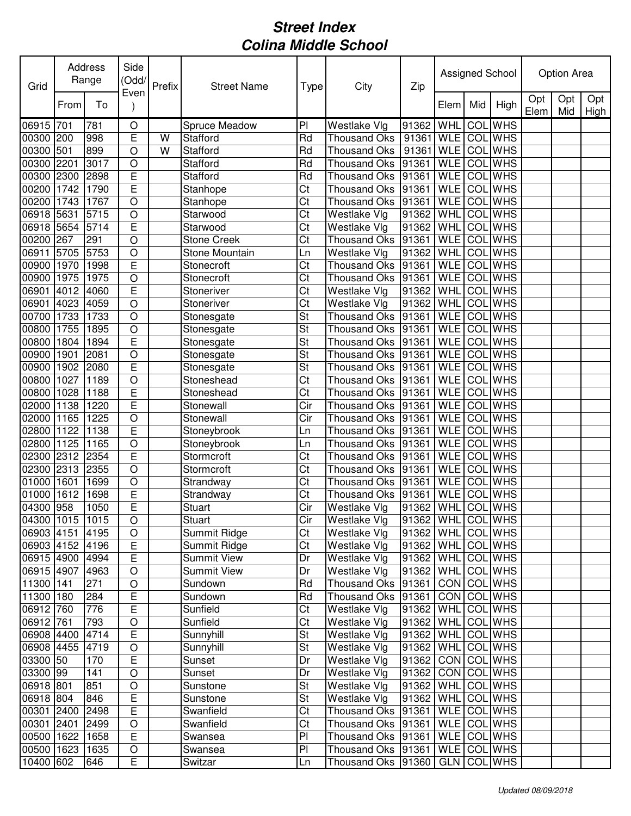| Grid            |      | Address<br>Range | Side<br>(Odd/<br>Even | Prefix | <b>Street Name</b> | Type                     | City                | Zip                 |             |     | Assigned School |             | Option Area |             |
|-----------------|------|------------------|-----------------------|--------|--------------------|--------------------------|---------------------|---------------------|-------------|-----|-----------------|-------------|-------------|-------------|
|                 | From | To               |                       |        |                    |                          |                     |                     | Elem        | Mid | High            | Opt<br>Elem | Opt<br>Mid  | Opt<br>High |
| 06915 701       |      | 781              | $\circ$               |        | Spruce Meadow      | P <sub>1</sub>           | Westlake Vlg        | 91362               | WHL         | COL | <b>WHS</b>      |             |             |             |
| 00300 200       |      | 998              | E                     | W      | Stafford           | Rd                       | <b>Thousand Oks</b> | 91361               | <b>WLE</b>  |     | <b>COL</b> WHS  |             |             |             |
| 00300           | 501  | 899              | $\circ$               | W      | Stafford           | Rd                       | <b>Thousand Oks</b> | 91361               | <b>WLE</b>  | COL | <b>WHS</b>      |             |             |             |
| 00300 2201      |      | 3017             | $\circ$               |        | Stafford           | Rd                       | Thousand Oks        | 91361               | <b>WLE</b>  | COL | <b>WHS</b>      |             |             |             |
| 00300 2300      |      | 2898             | E                     |        | Stafford           | Rd                       | <b>Thousand Oks</b> | 91361               | <b>WLE</b>  | COL | <b>WHS</b>      |             |             |             |
| 00200 1742      |      | 1790             | E                     |        | Stanhope           | Ct                       | <b>Thousand Oks</b> | 91361               | <b>WLE</b>  |     | <b>COL</b> WHS  |             |             |             |
| 00200 1743      |      | 1767             | $\circ$               |        | Stanhope           | Ct                       | <b>Thousand Oks</b> | 91361               | <b>WLE</b>  | COL | <b>WHS</b>      |             |             |             |
| 06918 5631      |      | 5715             | $\circ$               |        | Starwood           | Ct                       | <b>Westlake Vlg</b> | 91362               | WHL         |     | <b>COL</b> WHS  |             |             |             |
| 06918 5654      |      | 5714             | E                     |        | Starwood           | Ct                       | Westlake Vlg        | 91362               | WHL         | COL | <b>WHS</b>      |             |             |             |
| 00200 267       |      | 291              | $\circ$               |        | <b>Stone Creek</b> | $\overline{\text{C}t}$   | <b>Thousand Oks</b> | 91361               | <b>WLE</b>  | COL | <b>WHS</b>      |             |             |             |
| 06911           | 5705 | 5753             | $\circ$               |        | Stone Mountain     | Ln                       | Westlake Vlg        | 91362               | <b>WHL</b>  | COL | <b>WHS</b>      |             |             |             |
| 00900 1970      |      | 1998             | E                     |        | Stonecroft         | $\overline{C}$           | <b>Thousand Oks</b> | 91361               | <b>WLE</b>  | COL | <b>WHS</b>      |             |             |             |
| 00900 1975      |      | 1975             | $\circ$               |        | Stonecroft         | Ct                       | Thousand Oks        | 91361               | <b>WLE</b>  | COL | <b>WHS</b>      |             |             |             |
| 06901           | 4012 | 4060             | E                     |        | Stoneriver         | $\overline{\text{C}t}$   | <b>Westlake Vlg</b> | 91362               | <b>WHL</b>  | COL | <b>WHS</b>      |             |             |             |
| 06901 4023      |      | 4059             | $\overline{O}$        |        | Stoneriver         | Ct                       | Westlake Vlg        | 91362               | <b>WHL</b>  | COL | <b>WHS</b>      |             |             |             |
| 00700 1733      |      | 1733             | $\overline{O}$        |        | Stonesgate         | $\overline{\mathsf{St}}$ | <b>Thousand Oks</b> | 91361               | <b>WLE</b>  | COL | <b>WHS</b>      |             |             |             |
| 00800           | 1755 | 1895             | $\overline{O}$        |        | Stonesgate         | $\overline{\mathsf{St}}$ | <b>Thousand Oks</b> | 91361               | <b>WLE</b>  | COL | <b>WHS</b>      |             |             |             |
| 00800           | 1804 | 1894             | $\overline{E}$        |        | Stonesgate         | St                       | Thousand Oks        | 91361               | <b>WLE</b>  | COL | <b>WHS</b>      |             |             |             |
| 00900           | 1901 | 2081             | $\circ$               |        | Stonesgate         | St                       | <b>Thousand Oks</b> | 91361               | <b>WLE</b>  | COL | <b>WHS</b>      |             |             |             |
| 00900           | 1902 | 2080             | E                     |        | Stonesgate         | St                       | <b>Thousand Oks</b> | 91361               | <b>WLE</b>  | COL | <b>WHS</b>      |             |             |             |
| 00800 1027      |      | 1189             | $\circ$               |        | Stoneshead         | Ct                       | Thousand Oks        | 91361               | <b>WLE</b>  | COL | <b>WHS</b>      |             |             |             |
| 00800 1028      |      | 1188             | E                     |        | Stoneshead         | Ct                       | <b>Thousand Oks</b> | 91361               | <b>WLE</b>  | COL | <b>WHS</b>      |             |             |             |
| 02000 1138      |      | 1220             | E                     |        | Stonewall          | Cir                      | <b>Thousand Oks</b> | 91361               | <b>WLE</b>  |     | <b>COL</b> WHS  |             |             |             |
| 02000 1165      |      | 1225             | $\circ$               |        | Stonewall          | Cir                      | <b>Thousand Oks</b> | 91361               | <b>WLE</b>  | COL | <b>WHS</b>      |             |             |             |
| 02800 1122      |      | 1138             | E                     |        | Stoneybrook        | Ln                       | <b>Thousand Oks</b> | 91361               | <b>WLE</b>  | COL | <b>WHS</b>      |             |             |             |
| 02800 1125      |      | 1165             | $\circ$               |        | Stoneybrook        | Ln                       | <b>Thousand Oks</b> | 91361               | <b>WLE</b>  | COL | <b>WHS</b>      |             |             |             |
| 02300 2312      |      | 2354             | E                     |        | Stormcroft         | Ct                       | Thousand Oks        | 91361               | <b>WLE</b>  | COL | <b>WHS</b>      |             |             |             |
| 02300 2313      |      | 2355             | $\circ$               |        | Stormcroft         | Ct                       | <b>Thousand Oks</b> | 91361               | <b>WLE</b>  | COL | <b>WHS</b>      |             |             |             |
| 01000 1601      |      | 1699             | $\circ$               |        | Strandway          | Ct                       | Thousand Oks        | 91361               | <b>WLE</b>  | COL | <b>WHS</b>      |             |             |             |
| 01000 1612      |      | 1698             | E                     |        | Strandway          | Ct                       | Thousand Oks 91361  |                     | <b>WLE</b>  | COL | <b>WHS</b>      |             |             |             |
| 04300 958       |      | 1050             | E                     |        | Stuart             | Cir                      | Westlake Vlg        | 91362 WHL COL WHS   |             |     |                 |             |             |             |
| 04300 1015 1015 |      |                  | $\overline{O}$        |        | Stuart             | Cir                      | Westlake Vlg        | 91362 WHL COLWHS    |             |     |                 |             |             |             |
| 06903 4151 4195 |      |                  | $\circ$               |        | Summit Ridge       | Ct                       | Westlake Vlg        | 91362   WHL COL WHS |             |     |                 |             |             |             |
| 06903 4152 4196 |      |                  | E                     |        | Summit Ridge       | Ct                       | Westlake Vlg        | 91362               | WHL COL WHS |     |                 |             |             |             |
| 06915 4900      |      | 4994             | E                     |        | <b>Summit View</b> | Dr                       | Westlake Vlg        | 91362 WHL           |             |     | COL WHS         |             |             |             |
| 06915 4907      |      | 4963             | $\circ$               |        | <b>Summit View</b> | Dr                       | Westlake Vlg        | 91362               | <b>WHL</b>  |     | COL WHS         |             |             |             |
| 11300 141       |      | 271              | $\circ$               |        | Sundown            | Rd                       | Thousand Oks 91361  |                     | <b>CON</b>  |     | COL WHS         |             |             |             |
| 11300 180       |      | 284              | $\mathsf E$           |        | Sundown            | Rd                       | Thousand Oks 91361  |                     | <b>CON</b>  |     | COL WHS         |             |             |             |
| 06912 760       |      | 776              | $\mathsf E$           |        | Sunfield           | Ct                       | Westlake Vlg        | 91362   WHL COL WHS |             |     |                 |             |             |             |
| 06912 761       |      | 793              | $\circ$               |        | Sunfield           | Ct                       | Westlake Vlg        | 91362               | <b>WHL</b>  |     | COL WHS         |             |             |             |
| 06908 4400      |      | 4714             | E                     |        | Sunnyhill          | St                       | Westlake Vlg        | 91362               | WHL         |     | COL WHS         |             |             |             |
| 06908 4455      |      | 4719             | $\circ$               |        | Sunnyhill          | St                       | Westlake Vlg        | 91362               | WHL         |     | COL WHS         |             |             |             |
| 03300 50        |      | 170              | E                     |        | Sunset             | Dr                       | Westlake Vlg        | 91362               | CON COL WHS |     |                 |             |             |             |
| 03300 99        |      | 141              | $\circ$               |        | Sunset             | Dr                       | Westlake Vlg        | 91362               |             |     | CON COL WHS     |             |             |             |
| 06918 801       |      | 851              | $\circ$               |        | Sunstone           | <b>St</b>                | Westlake Vlg        | 91362               | <b>WHL</b>  |     | <b>COL</b> WHS  |             |             |             |
| 06918 804       |      | 846              | $\mathsf E$           |        | Sunstone           | St                       | Westlake Vlg        | 91362               | <b>WHL</b>  |     | COL WHS         |             |             |             |
| 00301 2400      |      | 2498             | $\overline{E}$        |        | Swanfield          | Ct                       | Thousand Oks 91361  |                     |             |     | WLE COL WHS     |             |             |             |
| 00301 2401      |      | 2499             | $\bigcirc$            |        | Swanfield          | Ct                       | Thousand Oks 91361  |                     |             |     | WLE COL WHS     |             |             |             |
| 00500 1622      |      | 1658             | $\mathsf E$           |        | Swansea            | PI                       | Thousand Oks 91361  |                     |             |     | WLE COL WHS     |             |             |             |
| 00500 1623      |      | 1635             | $\bigcirc$            |        | Swansea            | PI                       | Thousand Oks 91361  |                     |             |     | WLE COL WHS     |             |             |             |
| 10400 602       |      | 646              | E                     |        | Switzar            | Ln                       | Thousand Oks 91360  |                     |             |     | GLN COL WHS     |             |             |             |
|                 |      |                  |                       |        |                    |                          |                     |                     |             |     |                 |             |             |             |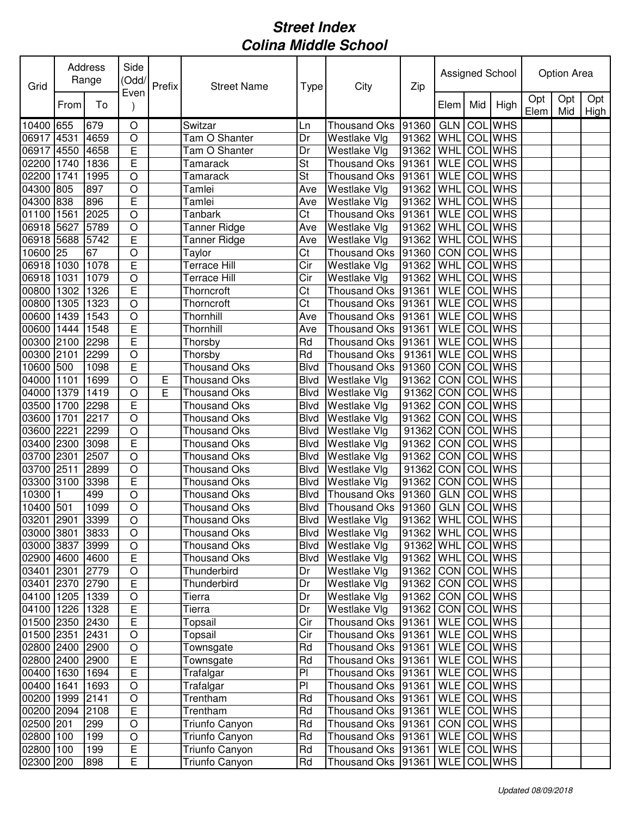| Grid            |      | Address<br>Range | Side<br>(Odd/  | Prefix | <b>Street Name</b>  | Type                    | City                 | Zip                 |                    |     | Assigned School |             | Option Area |             |
|-----------------|------|------------------|----------------|--------|---------------------|-------------------------|----------------------|---------------------|--------------------|-----|-----------------|-------------|-------------|-------------|
|                 | From | To               | Even           |        |                     |                         |                      |                     | Elem               | Mid | High            | Opt<br>Elem | Opt<br>Mid  | Opt<br>High |
| 10400 655       |      | 679              | $\bigcirc$     |        | Switzar             | Ln                      | Thousand Oks 91360   |                     | <b>GLN</b>         |     | <b>COL</b> WHS  |             |             |             |
| 06917 4531      |      | 4659             | $\circ$        |        | Tam O Shanter       | Dr                      | Westlake Vlg         | 91362               | WHL                |     | COL WHS         |             |             |             |
| 06917           | 4550 | 4658             | $\overline{E}$ |        | Tam O Shanter       | Dr                      | Westlake Vlg         | 91362               | WHL                | COL | <b>WHS</b>      |             |             |             |
| 02200 1740      |      | 1836             | E              |        | Tamarack            | St                      | Thousand Oks 91361   |                     | <b>WLE</b>         |     | COL WHS         |             |             |             |
| 02200 1741      |      | 1995             | $\bigcirc$     |        | Tamarack            | St                      | Thousand Oks 91361   |                     | <b>WLE</b>         |     | <b>COL</b> WHS  |             |             |             |
| 04300 805       |      | 897              | $\circ$        |        | Tamlei              | Ave                     | Westlake Vlg         | 91362               | WHL                |     | COL WHS         |             |             |             |
| 04300 838       |      | 896              | E              |        | Tamlei              | Ave                     | Westlake Vlg         | 91362               | WHL                |     | <b>COL</b> WHS  |             |             |             |
| 01100 1561      |      | 2025             | $\circ$        |        | Tanbark             | Ct                      | <b>Thousand Oks</b>  | 91361               | <b>WLE</b>         |     | <b>COL WHS</b>  |             |             |             |
| 06918 5627      |      | 5789             | $\circ$        |        | <b>Tanner Ridge</b> | Ave                     | Westlake Vlg         | 91362               | WHL                |     | <b>COL</b> WHS  |             |             |             |
| 06918 5688      |      | 5742             | $\overline{E}$ |        | Tanner Ridge        | Ave                     | Westlake Vlg         | 91362               | WHL                |     | <b>COL</b> WHS  |             |             |             |
| 10600 25        |      | 67               | $\bigcirc$     |        | Taylor              | Ct                      | Thousand Oks         | 91360               | CON COL WHS        |     |                 |             |             |             |
| 06918 1030      |      | 1078             | E              |        | <b>Terrace Hill</b> | $\overline{\text{Cir}}$ | Westlake Vlg         | 91362               | WHL                | COL | <b>WHS</b>      |             |             |             |
| 06918 1031      |      | 1079             | $\bigcirc$     |        | Terrace Hill        | Cir                     | Westlake Vlg         | 91362               | WHL                |     | <b>COL</b> WHS  |             |             |             |
| 00800 1302      |      | 1326             | E              |        | Thorncroft          | $\overline{\text{C}t}$  | Thousand Oks 91361   |                     | <b>WLE</b>         |     | <b>COL WHS</b>  |             |             |             |
| 00800 1305      |      | 1323             | $\circ$        |        | Thorncroft          | $\overline{\text{C}t}$  | Thousand Oks 91361   |                     | <b>WLE</b> COL WHS |     |                 |             |             |             |
| 00600           | 1439 | 1543             | $\circ$        |        | Thornhill           | Ave                     | Thousand Oks         | 91361               | <b>WLE</b>         |     | <b>COL WHS</b>  |             |             |             |
| 00600           | 1444 | 1548             | E              |        | Thornhill           | Ave                     | Thousand Oks         | 91361               | <b>WLE</b>         |     | <b>COL</b> WHS  |             |             |             |
| 00300           | 2100 | 2298             | E              |        | Thorsby             | Rd                      | <b>Thousand Oks</b>  | 91361               | <b>WLE</b>         |     | <b>COL WHS</b>  |             |             |             |
| 00300           | 2101 | 2299             | $\circ$        |        | Thorsby             | Rd                      | Thousand Oks         | 91361               | <b>WLE</b>         |     | <b>COL</b> WHS  |             |             |             |
| 10600           | 500  | 1098             | E              |        | <b>Thousand Oks</b> | <b>Blvd</b>             | Thousand Oks         | 91360               | CON COL WHS        |     |                 |             |             |             |
| 04000 1101      |      | 1699             | $\circ$        | Ε      | <b>Thousand Oks</b> | <b>Blvd</b>             | Westlake Vlg         | 91362               | CON COL WHS        |     |                 |             |             |             |
| 04000 1379      |      | 1419             | $\circ$        | E      | <b>Thousand Oks</b> | <b>Blvd</b>             | Westlake Vlg         | 91362               | CON COL WHS        |     |                 |             |             |             |
| 03500 1700      |      | 2298             | E              |        | <b>Thousand Oks</b> | <b>Blvd</b>             | Westlake Vlg         | 91362               | CON COL WHS        |     |                 |             |             |             |
| 03600 1701      |      | 2217             | $\circ$        |        | <b>Thousand Oks</b> | <b>Blvd</b>             | Westlake Vlg         | 91362               | CON COL WHS        |     |                 |             |             |             |
| 03600 2221      |      | 2299             | $\bigcirc$     |        | <b>Thousand Oks</b> | <b>Blvd</b>             | Westlake Vlg         | 91362               | CON COL WHS        |     |                 |             |             |             |
| 03400           | 2300 | 3098             | $\overline{E}$ |        | <b>Thousand Oks</b> | <b>Blvd</b>             | Westlake Vlg         | 91362               | CON COL WHS        |     |                 |             |             |             |
| 03700           | 2301 | 2507             | $\circ$        |        | <b>Thousand Oks</b> | <b>Blvd</b>             | Westlake Vlg         | 91362               | CON COL            |     | <b>WHS</b>      |             |             |             |
| 03700 2511      |      | 2899             | $\circ$        |        | <b>Thousand Oks</b> | <b>Blvd</b>             | Westlake Vlg         | 91362               | <b>CON COL</b>     |     | <b>WHS</b>      |             |             |             |
| 03300 3100      |      | 3398             | $\mathsf E$    |        | <b>Thousand Oks</b> | <b>Blvd</b>             | Westlake Vlg         | 91362               | CON COL            |     | <b>WHS</b>      |             |             |             |
| 10300 1         |      | 499              | $\circ$        |        | <b>Thousand Oks</b> | <b>Blvd</b>             | Thousand Oks 91360   |                     | GLN COLWHS         |     |                 |             |             |             |
| 10400 501       |      | 1099             | $\circ$        |        | <b>Thousand Oks</b> | <b>Blvd</b>             | Thousand Oks 91360   |                     | <b>GLN COL WHS</b> |     |                 |             |             |             |
| 03201 2901 3399 |      |                  | $\overline{O}$ |        | Thousand Oks        |                         | Blvd Westlake Vlg    | 91362 WHL COL WHS   |                    |     |                 |             |             |             |
| 03000 3801      |      | 3833             | $\bigcirc$     |        | <b>Thousand Oks</b> | Blvd                    | Westlake Vlg         | 91362   WHL COL WHS |                    |     |                 |             |             |             |
| 03000 3837      |      | 3999             | $\bigcirc$     |        | <b>Thousand Oks</b> | Blvd                    | Westlake Vlg         | 91362 WHL COLWHS    |                    |     |                 |             |             |             |
| 02900 4600 4600 |      |                  | $\overline{E}$ |        | <b>Thousand Oks</b> | Blvd                    | Westlake Vlg         | 91362   WHL COL WHS |                    |     |                 |             |             |             |
| 03401 2301      |      | 2779             | $\bigcirc$     |        | Thunderbird         | Dr                      | Westlake Vlg         | 91362               | CON COL WHS        |     |                 |             |             |             |
| 03401 2370 2790 |      |                  | $\mathsf E$    |        | Thunderbird         | Dr                      | Westlake Vlg         | 91362               | CON COL WHS        |     |                 |             |             |             |
| 04100 1205 1339 |      |                  | $\bigcirc$     |        | Tierra              | Dr                      | Westlake Vlg         | 91362               | CON COL WHS        |     |                 |             |             |             |
| 04100 1226      |      | 1328             | $\mathsf E$    |        | Tierra              | Dr                      | Westlake Vlg         | 91362 CON COL WHS   |                    |     |                 |             |             |             |
| 01500 2350 2430 |      |                  | E              |        | Topsail             | Cir                     | Thousand Oks 91361   |                     | WLE COL WHS        |     |                 |             |             |             |
| 01500 2351      |      | 2431             | $\bigcirc$     |        | Topsail             | Cir                     | Thousand Oks 91361   |                     | WLE COL WHS        |     |                 |             |             |             |
| 02800 2400      |      | 2900             | $\bigcirc$     |        | Townsgate           | Rd                      | Thousand Oks 91361   |                     | WLE COL WHS        |     |                 |             |             |             |
| 02800 2400      |      | 2900             | $\mathsf E$    |        | Townsgate           | Rd                      | Thousand Oks 91361   |                     | WLE COL WHS        |     |                 |             |             |             |
| 00400 1630      |      | 1694             | $\mathsf E$    |        | Trafalgar           | PI                      | Thousand Oks 91361   |                     | WLE COL WHS        |     |                 |             |             |             |
| 00400 1641      |      | 1693             | $\circ$        |        | Trafalgar           | PI                      | Thousand Oks 91361   |                     | WLE COL WHS        |     |                 |             |             |             |
| 00200 1999      |      | 2141             | $\bigcirc$     |        | Trentham            | Rd                      | Thousand Oks 91361   |                     | WLE COL WHS        |     |                 |             |             |             |
| 00200 2094 2108 |      |                  | E              |        | Trentham            | Rd                      | Thousand Oks   91361 |                     | <b>WLE</b> COL WHS |     |                 |             |             |             |
| 02500 201       |      | 299              | $\bigcirc$     |        | Triunfo Canyon      | Rd                      | Thousand Oks   91361 |                     | CON COL WHS        |     |                 |             |             |             |
| 02800 100       |      | 199              | $\bigcirc$     |        | Triunfo Canyon      | Rd                      | Thousand Oks 91361   |                     | WLE COL WHS        |     |                 |             |             |             |
| 02800 100       |      | 199              | $\mathsf E$    |        | Triunfo Canyon      | Rd                      | Thousand Oks 91361   |                     | WLE COL WHS        |     |                 |             |             |             |
| 02300 200       |      | 898              | E              |        | Triunfo Canyon      | Rd                      | Thousand Oks 91361   |                     | WLE COL WHS        |     |                 |             |             |             |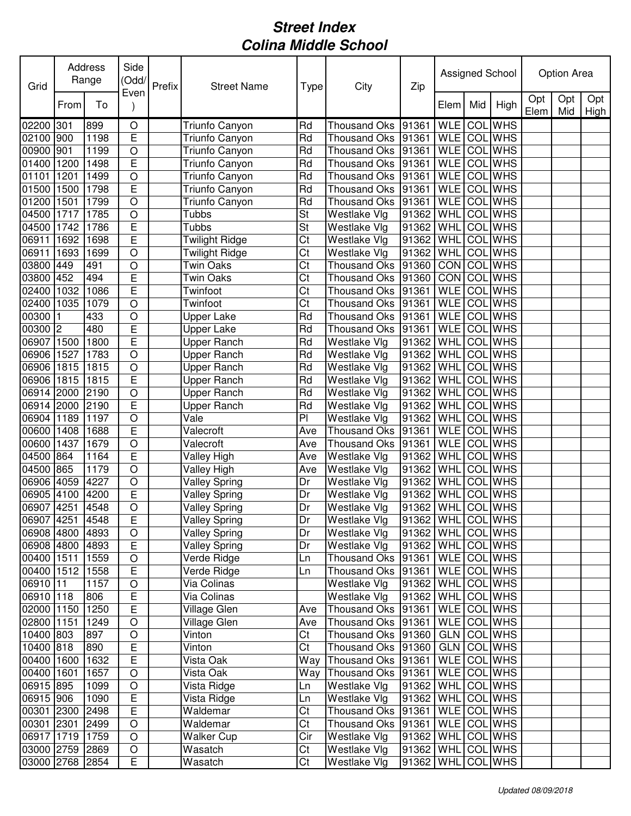| Grid                     |      | Address<br>Range | Side<br>(Odd/<br>Even | Prefix | <b>Street Name</b>         | Type                     | City                               | Zip                 |             |     | Assigned School            |             | Option Area |             |
|--------------------------|------|------------------|-----------------------|--------|----------------------------|--------------------------|------------------------------------|---------------------|-------------|-----|----------------------------|-------------|-------------|-------------|
|                          | From | To               |                       |        |                            |                          |                                    |                     | Elem        | Mid | High                       | Opt<br>Elem | Opt<br>Mid  | Opt<br>High |
| 02200 301                |      | 899              | $\bigcirc$            |        | Triunfo Canyon             | Rd                       | Thousand Oks                       | 91361               | <b>WLE</b>  | COL | <b>WHS</b>                 |             |             |             |
| 02100 900                |      | 1198             | E                     |        | Triunfo Canyon             | Rd                       | Thousand Oks                       | 91361               | <b>WLE</b>  |     | COL WHS                    |             |             |             |
| 00900 901                |      | 1199             | $\circ$               |        | Triunfo Canyon             | Rd                       | Thousand Oks 91361                 |                     | <b>WLE</b>  | COL | <b>WHS</b>                 |             |             |             |
| 01400 1200               |      | 1498             | E                     |        | Triunfo Canyon             | Rd                       | Thousand Oks 91361                 |                     | <b>WLE</b>  |     | COL WHS                    |             |             |             |
| 01101                    | 1201 | 1499             | $\circ$               |        | Triunfo Canyon             | Rd                       | Thousand Oks 91361                 |                     | <b>WLE</b>  |     | COL WHS                    |             |             |             |
| 01500 1500               |      | 1798             | $\overline{E}$        |        | Triunfo Canyon             | Rd                       | Thousand Oks 91361                 |                     | <b>WLE</b>  |     | <b>COL</b> WHS             |             |             |             |
| 01200                    | 1501 | 1799             | $\circ$               |        | Triunfo Canyon             | Rd                       | <b>Thousand Oks</b>                | 91361               | <b>WLE</b>  | COL | <b>WHS</b>                 |             |             |             |
| 04500 1717               |      | 1785             | $\circ$               |        | Tubbs                      | <b>St</b>                | Westlake Vlg                       | 91362               | WHL         | COL | <b>WHS</b>                 |             |             |             |
| 04500 1742               |      | 1786             | Ε                     |        | Tubbs                      | $\overline{\mathsf{St}}$ | Westlake Vlg                       | 91362               | WHL         | COL | <b>WHS</b>                 |             |             |             |
| 06911                    | 1692 | 1698             | E                     |        | <b>Twilight Ridge</b>      | $\overline{C}$           | Westlake Vlg                       | 91362               | WHL         | COL | <b>WHS</b>                 |             |             |             |
| 06911                    | 1693 | 1699             | $\circ$               |        | Twilight Ridge             | Ct                       | Westlake Vlg                       | 91362               | <b>WHL</b>  | COL | <b>WHS</b>                 |             |             |             |
| 03800 449                |      | 491              | $\circ$               |        | Twin Oaks                  | $\overline{C}$           | <b>Thousand Oks</b>                | 91360               | CON         | COL | <b>WHS</b>                 |             |             |             |
| 03800 452                |      | 494              | E                     |        | Twin Oaks                  | Ct                       | Thousand Oks 91360                 |                     | CON         | COL | <b>WHS</b>                 |             |             |             |
| 02400 1032               |      | 1086             | E                     |        | Twinfoot                   | $\overline{C}$           | Thousand Oks 91361                 |                     | <b>WLE</b>  |     | <b>COL</b> WHS             |             |             |             |
| 02400 1035               |      | 1079             | $\circ$               |        | Twinfoot                   | Ct                       | <b>Thousand Oks</b>                | 91361               | <b>WLE</b>  |     | <b>COL</b> WHS             |             |             |             |
| 00300                    |      | 433              | $\circ$               |        | Upper Lake                 | Rd                       | <b>Thousand Oks</b>                | 91361               | <b>WLE</b>  |     | <b>COL</b> WHS             |             |             |             |
| 00300 2                  |      | 480              | E                     |        | Upper Lake                 | Rd                       | Thousand Oks                       | 91361               | <b>WLE</b>  | COL | <b>WHS</b>                 |             |             |             |
| 06907                    | 1500 | 1800             | $\overline{E}$        |        | Upper Ranch                | Rd                       | Westlake Vlg                       | 91362               | WHL         | COL | <b>WHS</b>                 |             |             |             |
| 06906 1527               |      | 1783             | $\circ$               |        | Upper Ranch                | Rd                       | Westlake Vlg                       | 91362               | WHL         | COL | <b>WHS</b>                 |             |             |             |
| 06906 1815               |      | 1815             | $\circ$               |        | Upper Ranch                | Rd                       | Westlake Vlg                       | 91362               | <b>WHL</b>  | COL | <b>WHS</b>                 |             |             |             |
| 06906 1815               |      | 1815             | E                     |        | Upper Ranch                | Rd                       | Westlake Vlg                       | 91362               | WHL         | COL | <b>WHS</b>                 |             |             |             |
| 06914 2000               |      | 2190             | $\circ$               |        | Upper Ranch                | Rd                       | Westlake Vlg                       | 91362               | WHL         | COL | <b>WHS</b>                 |             |             |             |
| 06914 2000               |      | 2190             | E                     |        | Upper Ranch                | Rd                       | Westlake Vlg                       | 91362               | WHL         | COL | <b>WHS</b>                 |             |             |             |
| 06904 1189               |      | 1197             | $\circ$               |        | Vale                       | PI                       | Westlake Vlg                       | 91362               | WHL         | COL | <b>WHS</b>                 |             |             |             |
| 00600 1408               |      | 1688             | E                     |        | Valecroft                  | Ave                      | Thousand Oks                       | 91361               | <b>WLE</b>  | COL | <b>WHS</b>                 |             |             |             |
| 00600 1437               |      | 1679             | $\circ$               |        | Valecroft                  | Ave                      | <b>Thousand Oks</b>                | 91361               | <b>WLE</b>  | COL | <b>WHS</b>                 |             |             |             |
| 04500 864                |      | 1164             | E                     |        | Valley High                | Ave                      | <b>Westlake Vlg</b>                | 91362               | <b>WHL</b>  | COL | <b>WHS</b>                 |             |             |             |
| 04500 865                |      | 1179             | $\circ$               |        | Valley High                | Ave                      | Westlake Vlg                       | 91362               | <b>WHL</b>  | COL | <b>WHS</b>                 |             |             |             |
| 06906 4059               |      | 4227             | $\circ$               |        | <b>Valley Spring</b>       | Dr                       | Westlake Vlg                       | 91362               | WHL         | COL | <b>WHS</b>                 |             |             |             |
| 06905 4100               |      | 4200             | E                     |        | <b>Valley Spring</b>       | Dr                       | Westlake Vlg                       | 91362               | WHL         | COL | <b>WHS</b>                 |             |             |             |
| 06907 4251               |      | 4548             | $\circ$               |        | <b>Valley Spring</b>       | Dr                       | Westlake Vlg                       | 91362 WHL COL WHS   |             |     |                            |             |             |             |
| 06907 4251 4548          |      |                  | E                     |        | Valley Spring              | Dr                       | Westlake Vlg                       | 91362 WHL COL WHS   |             |     |                            |             |             |             |
| 06908 4800 4893          |      |                  | $\circ$               |        | <b>Valley Spring</b>       | Dr                       | Westlake Vlg                       | 91362   WHL COL WHS |             |     |                            |             |             |             |
| 06908 4800 4893          |      |                  | E                     |        | <b>Valley Spring</b>       | Dr                       | Westlake Vlg                       | 91362               |             |     | WHL COL WHS<br>WLE COL WHS |             |             |             |
| 00400 1511<br>00400 1512 |      | 1559<br>1558     | $\circ$               |        | Verde Ridge                | Ln                       | Thousand Oks 91361                 |                     |             |     | WLE COL WHS                |             |             |             |
| 06910 11                 |      | 1157             | E<br>$\circ$          |        | Verde Ridge<br>Via Colinas | Ln                       | Thousand Oks 91361<br>Westlake Vlg | 91362               |             |     | WHL COL WHS                |             |             |             |
| 06910 118                |      | 806              | $\mathsf E$           |        | Via Colinas                |                          | Westlake Vlg                       | 91362               |             |     | WHL COL WHS                |             |             |             |
| 02000 1150               |      | 1250             | $\overline{E}$        |        | Village Glen               | Ave                      | Thousand Oks 91361                 |                     |             |     | WLE COL WHS                |             |             |             |
| 02800 1151               |      | 1249             | $\bigcirc$            |        | Village Glen               | Ave                      | Thousand Oks 91361                 |                     | <b>WLE</b>  |     | COL WHS                    |             |             |             |
| 10400 803                |      | 897              | $\circ$               |        | Vinton                     | Ct                       | Thousand Oks 91360                 |                     | <b>GLN</b>  |     | COL WHS                    |             |             |             |
| 10400 818                |      | 890              | Е                     |        | Vinton                     | Ct                       | Thousand Oks 91360                 |                     | <b>GLN</b>  |     | COL WHS                    |             |             |             |
| 00400 1600               |      | 1632             | E                     |        | Vista Oak                  | Way                      | Thousand Oks 91361                 |                     | WLE COL WHS |     |                            |             |             |             |
| 00400 1601               |      | 1657             | $\circ$               |        | Vista Oak                  | Way                      | Thousand Oks 91361                 |                     | WLE COL WHS |     |                            |             |             |             |
| 06915 895                |      | 1099             | $\circ$               |        | Vista Ridge                | Ln                       | Westlake Vlg                       | 91362               | WHL COL WHS |     |                            |             |             |             |
| 06915 906                |      | 1090             | E                     |        | Vista Ridge                | Ln                       | Westlake Vlg                       | 91362               | WHL COL WHS |     |                            |             |             |             |
| 00301 2300               |      | 2498             | $\overline{E}$        |        | Waldemar                   | Ct                       | Thousand Oks   91361               |                     | WLE COL WHS |     |                            |             |             |             |
| 00301 2301               |      | 2499             | $\bigcirc$            |        | Waldemar                   | Ct                       | Thousand Oks 91361                 |                     | <b>WLE</b>  |     | <b>COL</b> WHS             |             |             |             |
| 06917 1719               |      | 1759             | $\circ$               |        | <b>Walker Cup</b>          | Cir                      | Westlake Vlg                       | 91362               | WHL         |     | COL WHS                    |             |             |             |
| 03000 2759 2869          |      |                  | $\bigcirc$            |        | Wasatch                    | Ct                       | Westlake Vlg                       | 91362               |             |     | WHL COL WHS                |             |             |             |
| 03000 2768 2854          |      |                  | E                     |        | Wasatch                    | Ct                       | Westlake Vlg                       | 91362               |             |     | WHL COL WHS                |             |             |             |
|                          |      |                  |                       |        |                            |                          |                                    |                     |             |     |                            |             |             |             |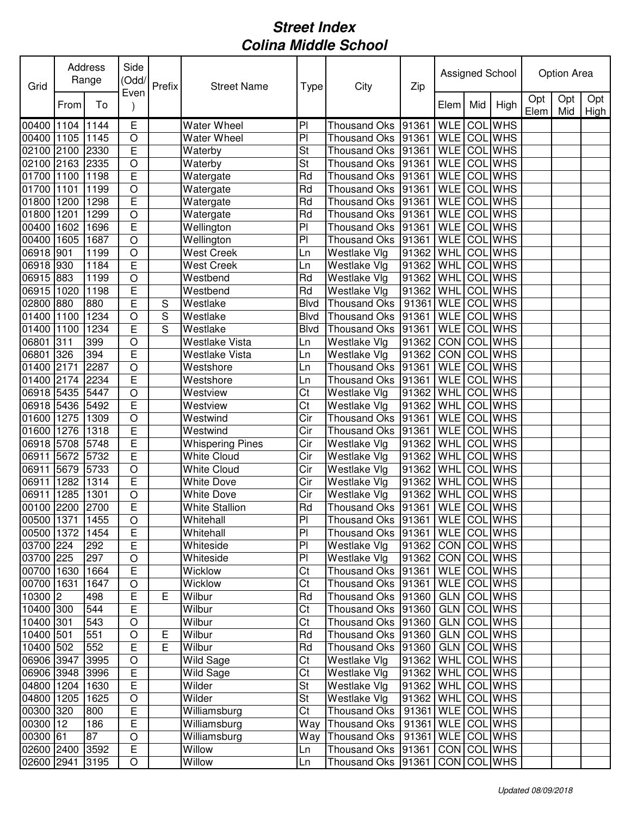| Grid            |      | Address<br>Range | Side<br>(Odd/  | Prefix | <b>Street Name</b>      | Type           | City                              | Zip   |             |     | Assigned School |             | Option Area |             |
|-----------------|------|------------------|----------------|--------|-------------------------|----------------|-----------------------------------|-------|-------------|-----|-----------------|-------------|-------------|-------------|
|                 | From | To               | Even           |        |                         |                |                                   |       | Elem        | Mid | High            | Opt<br>Elem | Opt<br>Mid  | Opt<br>High |
| 00400 1104      |      | 1144             | Ε              |        | <b>Water Wheel</b>      | P <sub>1</sub> | <b>Thousand Oks</b>               | 91361 | <b>WLE</b>  | COL | <b>WHS</b>      |             |             |             |
| 00400 1105      |      | 1145             | $\overline{O}$ |        | <b>Water Wheel</b>      | P <sub>1</sub> | <b>Thousand Oks</b>               | 91361 | <b>WLE</b>  |     | <b>COL</b> WHS  |             |             |             |
| 02100 2100      |      | 2330             | E              |        | Waterby                 | St             | <b>Thousand Oks</b>               | 91361 | <b>WLE</b>  | COL | <b>WHS</b>      |             |             |             |
| 02100 2163      |      | 2335             | $\overline{O}$ |        | Waterby                 | St             | Thousand Oks 91361                |       | <b>WLE</b>  | COL | <b>WHS</b>      |             |             |             |
| 01700 1100      |      | 1198             | E              |        | Watergate               | Rd             | Thousand Oks 91361                |       | <b>WLE</b>  | COL | <b>WHS</b>      |             |             |             |
| 01700 1101      |      | 1199             | $\circ$        |        | Watergate               | Rd             | <b>Thousand Oks</b>               | 91361 | <b>WLE</b>  |     | <b>COL</b> WHS  |             |             |             |
| 01800 1200      |      | 1298             | E              |        | Watergate               | Rd             | <b>Thousand Oks</b>               | 91361 | <b>WLE</b>  | COL | <b>WHS</b>      |             |             |             |
| 01800 1201      |      | 1299             | $\circ$        |        | Watergate               | Rd             | <b>Thousand Oks</b>               | 91361 | <b>WLE</b>  |     | <b>COL</b> WHS  |             |             |             |
| 00400           | 1602 | 1696             | E              |        | Wellington              | P <sub>1</sub> | <b>Thousand Oks</b>               | 91361 | <b>WLE</b>  | COL | <b>WHS</b>      |             |             |             |
| 00400 1605      |      | 1687             | $\circ$        |        | Wellington              | PI             | <b>Thousand Oks</b>               | 91361 | <b>WLE</b>  | COL | <b>WHS</b>      |             |             |             |
| 06918 901       |      | 1199             | $\circ$        |        | West Creek              | Ln             | <b>Westlake Vlg</b>               | 91362 | <b>WHL</b>  | COL | <b>WHS</b>      |             |             |             |
| 06918 930       |      | 1184             | E              |        | <b>West Creek</b>       | Ln             | Westlake Vlg                      | 91362 | <b>WHL</b>  | COL | <b>WHS</b>      |             |             |             |
| 06915 883       |      | 1199             | $\circ$        |        | Westbend                | Rd             | Westlake Vlg                      | 91362 | WHL         | COL | <b>WHS</b>      |             |             |             |
| 06915 1020      |      | 1198             | E              |        | Westbend                | Rd             | Westlake Vlg                      | 91362 | <b>WHL</b>  | COL | <b>WHS</b>      |             |             |             |
| 02800 880       |      | 880              | E              | S      | Westlake                | Blvd           | <b>Thousand Oks</b>               | 91361 | <b>WLE</b>  |     | <b>COL WHS</b>  |             |             |             |
| 01400 1100      |      | 1234             | $\circ$        | S      | Westlake                | <b>Blvd</b>    | <b>Thousand Oks</b>               | 91361 | <b>WLE</b>  | COL | <b>WHS</b>      |             |             |             |
| 01400           | 1100 | 1234             | E              | S      | Westlake                | <b>Blvd</b>    | <b>Thousand Oks</b>               | 91361 | <b>WLE</b>  | COL | <b>WHS</b>      |             |             |             |
| 06801           | 311  | 399              | $\circ$        |        | <b>Westlake Vista</b>   | Ln             | Westlake Vlg                      | 91362 | CON         | COL | <b>WHS</b>      |             |             |             |
| 06801           | 326  | 394              | E              |        | Westlake Vista          | Ln             | Westlake Vlg                      | 91362 | CON         | COL | <b>WHS</b>      |             |             |             |
| 01400           | 2171 | 2287             | $\circ$        |        | Westshore               | Ln             | <b>Thousand Oks</b>               | 91361 | <b>WLE</b>  | COL | <b>WHS</b>      |             |             |             |
| 01400 2174      |      | 2234             | E              |        | Westshore               | Ln             | <b>Thousand Oks</b>               | 91361 | <b>WLE</b>  | COL | <b>WHS</b>      |             |             |             |
| 06918 5435      |      | 5447             | $\circ$        |        | Westview                | Ct             | Westlake Vlg                      | 91362 | <b>WHL</b>  | COL | <b>WHS</b>      |             |             |             |
| 06918 5436      |      | 5492             | E              |        | Westview                | Ct             | Westlake Vlg                      | 91362 | WHL         |     | <b>COL</b> WHS  |             |             |             |
| 01600 1275      |      | 1309             | $\circ$        |        | Westwind                | Cir            | <b>Thousand Oks</b>               | 91361 | <b>WLE</b>  | COL | <b>WHS</b>      |             |             |             |
| 01600 1276      |      | 1318             | E              |        | Westwind                | Cir            | <b>Thousand Oks</b>               | 91361 | <b>WLE</b>  | COL | <b>WHS</b>      |             |             |             |
| 06918 5708      |      | 5748             | E              |        | <b>Whispering Pines</b> | Cir            | Westlake Vlg                      | 91362 | WHL         | COL | <b>WHS</b>      |             |             |             |
| 06911           | 5672 | 5732             | E              |        | <b>White Cloud</b>      | Cir            | Westlake Vlg                      | 91362 | WHL         | COL | <b>WHS</b>      |             |             |             |
| 06911           | 5679 | 5733             | $\circ$        |        | <b>White Cloud</b>      | Cir            | Westlake Vlg                      | 91362 | WHL         | COL | <b>WHS</b>      |             |             |             |
| 06911           | 1282 | 1314             | E              |        | <b>White Dove</b>       | Cir            | Westlake Vlg                      | 91362 | <b>WHL</b>  | COL | <b>WHS</b>      |             |             |             |
| 06911           | 1285 | 1301             | $\circ$        |        | <b>White Dove</b>       | Cir            | Westlake Vlg                      | 91362 | <b>WHL</b>  | COL | <b>WHS</b>      |             |             |             |
| 00100 2200 2700 |      |                  | E              |        | <b>White Stallion</b>   | Rd             | Thousand Oks 91361                |       | WLE COL WHS |     |                 |             |             |             |
| 00500 1371      |      | 1455             | $\overline{O}$ |        | Whitehall               | PI             | Thousand Oks 91361 WLE COL WHS    |       |             |     |                 |             |             |             |
| 00500 1372      |      | 1454             | E              |        | Whitehall               | P <sub>1</sub> | Thousand Oks  91361   WLE COL WHS |       |             |     |                 |             |             |             |
| 03700 224       |      | 292              | E              |        | Whiteside               | P <sub>1</sub> | Westlake Vlg                      | 91362 |             |     | CON COL WHS     |             |             |             |
| 03700 225       |      | 297              | $\circ$        |        | Whiteside               | $\overline{P}$ | Westlake Vlg                      | 91362 |             |     | CON COL WHS     |             |             |             |
| 00700 1630      |      | 1664             | E              |        | Wicklow                 | Ct             | Thousand Oks 91361                |       |             |     | WLE COL WHS     |             |             |             |
| 00700 1631      |      | 1647             | $\circ$        |        | Wicklow                 | Ct             | Thousand Oks 91361                |       |             |     | WLE COL WHS     |             |             |             |
| 10300 2         |      | 498              | E              | Е      | Wilbur                  | Rd             | Thousand Oks 91360                |       | GLN         |     | COL WHS         |             |             |             |
| 10400 300       |      | 544              | $\mathsf E$    |        | Wilbur                  | Ct             | Thousand Oks 91360                |       | <b>GLN</b>  |     | COL WHS         |             |             |             |
| 10400 301       |      | 543              | $\circ$        |        | Wilbur                  | Ct             | Thousand Oks 91360                |       | <b>GLN</b>  |     | COL WHS         |             |             |             |
| 10400 501       |      | 551              | $\circ$        | Е      | Wilbur                  | Rd             | Thousand Oks 91360                |       | <b>GLN</b>  |     | <b>COL</b> WHS  |             |             |             |
| 10400 502       |      | 552              | E              | E      | Wilbur                  | Rd             | Thousand Oks 91360                |       | <b>GLN</b>  |     | COL WHS         |             |             |             |
| 06906 3947      |      | 3995             | $\circ$        |        | <b>Wild Sage</b>        | Ct             | Westlake Vlg                      | 91362 | <b>WHL</b>  |     | <b>COL WHS</b>  |             |             |             |
| 06906 3948      |      | 3996             | $\mathsf E$    |        | Wild Sage               | Ct             | Westlake Vlg                      | 91362 | <b>WHL</b>  |     | COL WHS         |             |             |             |
| 04800 1204      |      | 1630             | $\mathsf E$    |        | Wilder                  | St             | Westlake Vlg                      | 91362 |             |     | WHL COL WHS     |             |             |             |
| 04800 1205      |      | 1625             | $\circ$        |        | Wilder                  | St             | Westlake Vlg                      | 91362 | <b>WHL</b>  |     | <b>COL</b> WHS  |             |             |             |
| 00300 320       |      | 800              | $\mathsf E$    |        | Williamsburg            | Ct             | Thousand Oks                      | 91361 |             |     | WLE COL WHS     |             |             |             |
| 00300 12        |      | 186              | $\mathsf E$    |        | Williamsburg            | Way            | Thousand Oks   91361              |       |             |     | WLE COL WHS     |             |             |             |
| 00300 61        |      | 87               | $\circ$        |        | Williamsburg            | Way            | Thousand Oks   91361              |       |             |     | WLE COL WHS     |             |             |             |
| 02600 2400      |      | 3592             | E              |        | Willow                  | Ln             | Thousand Oks 91361                |       |             |     | CON COL WHS     |             |             |             |
| 02600 2941      |      | 3195             | $\bigcirc$     |        | Willow                  | Ln             | Thousand Oks 91361                |       |             |     | CON COL WHS     |             |             |             |